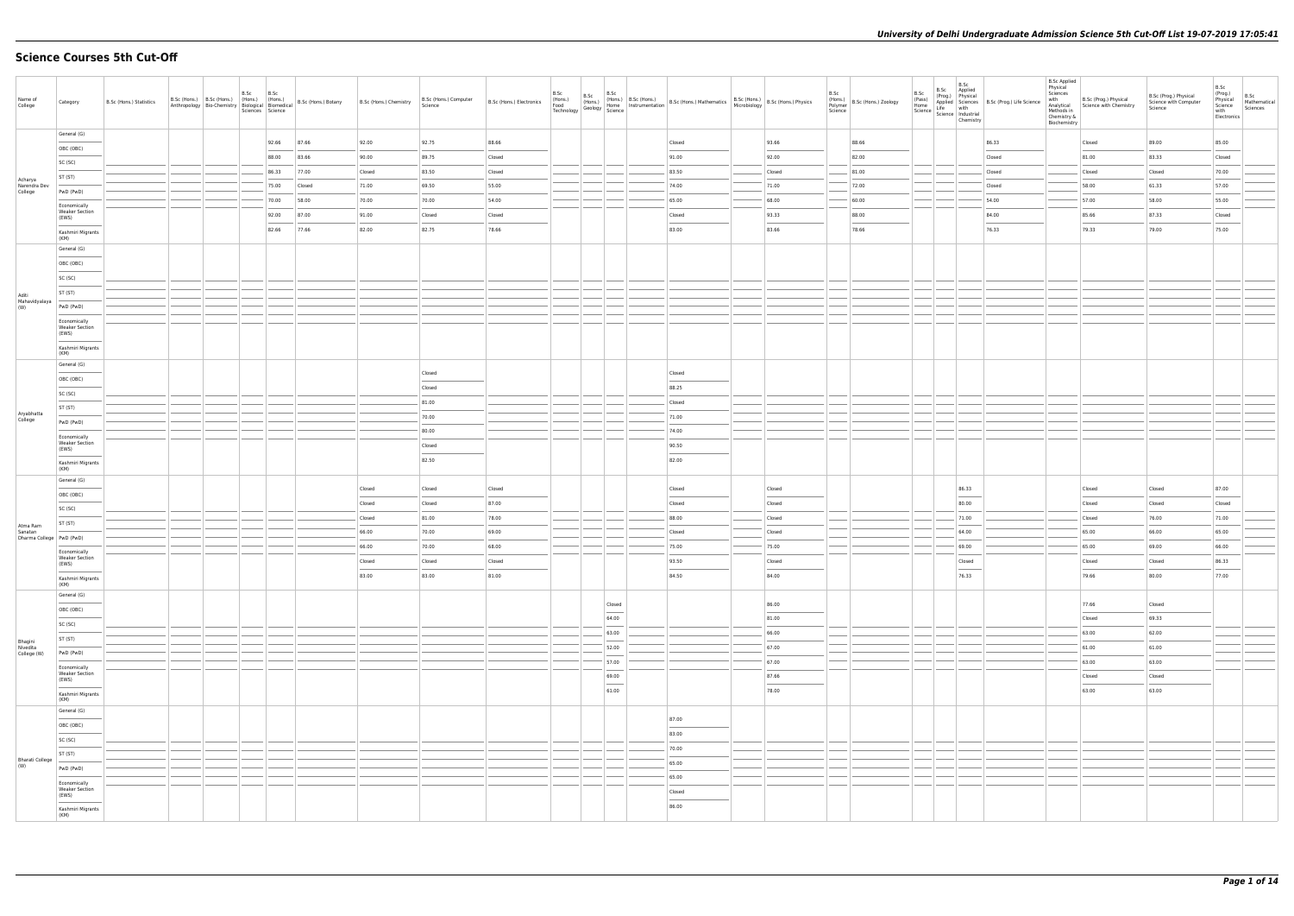# **Science Courses 5th Cut-Off**

| Name of<br>College                                | Category                                                      | B.Sc (Hons.) Statistics | B.Sc (Hons.)   B.Sc (Hons.)   (Hons.)<br>Anthropology Bio-Chemistry Biological Biomedical | B.Sc | B.Sc<br>(Hons.)<br>Sciences Science | B.Sc (Hons.) Botany B.Sc (Hons.) Chemistry |        | B.Sc (Hons.) Computer<br>Science | B.Sc (Hons.) Electronics | B.Sc | B.Sc | B.Sc                              | The B.Sc (Hons.) B.Sc (Hons.) B.Sc (Hons.) Mathematics B.Sc (Hons.) B.Sc (Hons.) (Hons.) Physics<br>Food (Hons.) Geology Home Instrumentation B.Sc (Hons.) Mathematics B.C. (Hons.) B.Sc (Hons.) Physics<br>Technology Geology Scien                                                                                                                                                                                                                                                |        | B.Sc<br>(Hons.)<br>Polymer<br>Science | B.Sc (Hons.) Zoology | B.Sc | B.Sc<br>B.Sc Applied<br>Chemistry                                                                                                                                                                                                                                                                                                                                                                                                                                                   | B.Sc (Prog.) Physical<br>Home Applied Science<br>Home Alife Science<br>Science Industrial<br>Science Industrial<br>Industrial | <b>B.Sc Applied</b><br>Physical<br>Sciences<br>with<br>Analytical<br>Methods in<br>Chemistry &<br>Biochemistry | B.Sc (Prog.) Physical<br>Science with Chemistry | B.Sc (Prog.) Physical<br>Science with Computer<br>Science | B.Sc<br>(Prog.)<br>Physical<br>Science<br>with<br>Electronics | B.Sc<br>Mathematical<br>Sciences |
|---------------------------------------------------|---------------------------------------------------------------|-------------------------|-------------------------------------------------------------------------------------------|------|-------------------------------------|--------------------------------------------|--------|----------------------------------|--------------------------|------|------|-----------------------------------|-------------------------------------------------------------------------------------------------------------------------------------------------------------------------------------------------------------------------------------------------------------------------------------------------------------------------------------------------------------------------------------------------------------------------------------------------------------------------------------|--------|---------------------------------------|----------------------|------|-------------------------------------------------------------------------------------------------------------------------------------------------------------------------------------------------------------------------------------------------------------------------------------------------------------------------------------------------------------------------------------------------------------------------------------------------------------------------------------|-------------------------------------------------------------------------------------------------------------------------------|----------------------------------------------------------------------------------------------------------------|-------------------------------------------------|-----------------------------------------------------------|---------------------------------------------------------------|----------------------------------|
|                                                   | General (G)                                                   |                         |                                                                                           |      | 92.66                               | 87.66                                      | 92.00  | 92.75                            | 88.66                    |      |      |                                   | Closed                                                                                                                                                                                                                                                                                                                                                                                                                                                                              | 93.66  |                                       | 88.66                |      |                                                                                                                                                                                                                                                                                                                                                                                                                                                                                     | 86.33                                                                                                                         |                                                                                                                | Closed                                          | 89.00                                                     | 85.00                                                         |                                  |
|                                                   | OBC (OBC)                                                     |                         |                                                                                           |      | 88.00                               | 83.66                                      | 90.00  | 89.75                            | Closed                   |      |      |                                   | 91.00                                                                                                                                                                                                                                                                                                                                                                                                                                                                               | 92.00  |                                       | 82.00                |      |                                                                                                                                                                                                                                                                                                                                                                                                                                                                                     | Closed                                                                                                                        |                                                                                                                | 81.00                                           | 83.33                                                     | Closed                                                        |                                  |
|                                                   | SC (SC)<br>ST (ST)                                            |                         |                                                                                           |      | 86.33                               | 77.00                                      | Closed | 83.50                            | Closed                   |      |      |                                   | 83.50                                                                                                                                                                                                                                                                                                                                                                                                                                                                               | Closed |                                       | 81.00                |      |                                                                                                                                                                                                                                                                                                                                                                                                                                                                                     | Closed                                                                                                                        |                                                                                                                | Closed                                          | Closed                                                    | 70.00                                                         |                                  |
| Acharya<br>Narendra Dev<br>College                | PwD (PwD)                                                     |                         |                                                                                           |      | 75.00                               | Closed                                     | 71.00  | 69.50                            | 55.00                    |      |      |                                   | 74.00                                                                                                                                                                                                                                                                                                                                                                                                                                                                               | 71.00  |                                       | 72.00                |      |                                                                                                                                                                                                                                                                                                                                                                                                                                                                                     | Closed                                                                                                                        |                                                                                                                | 58.00                                           | 61.33                                                     | 57.00                                                         |                                  |
|                                                   | Economically                                                  |                         |                                                                                           |      | 70.00                               | 58.00                                      | 70.00  | 70.00                            | 54.00                    |      |      |                                   | 65.00                                                                                                                                                                                                                                                                                                                                                                                                                                                                               | 68.00  |                                       | 60.00                |      |                                                                                                                                                                                                                                                                                                                                                                                                                                                                                     | 54.00                                                                                                                         |                                                                                                                | 57.00                                           | 58.00                                                     | 55.00                                                         |                                  |
|                                                   | <b>Weaker Section</b><br>(EWS)                                |                         |                                                                                           |      | 92.00                               | 87.00                                      | 91.00  | Closed                           | Closed                   |      |      |                                   | Closed                                                                                                                                                                                                                                                                                                                                                                                                                                                                              | 93.33  |                                       | 88.00                |      |                                                                                                                                                                                                                                                                                                                                                                                                                                                                                     | 84.00                                                                                                                         |                                                                                                                | 85.66                                           | 87.33                                                     | Closed                                                        |                                  |
|                                                   | Kashmiri Migrants<br>(KM)                                     |                         |                                                                                           |      | 82.66                               | 77.66                                      | 82.00  | 82.75                            | 78.66                    |      |      |                                   | 83.00                                                                                                                                                                                                                                                                                                                                                                                                                                                                               | 83.66  |                                       | 78.66                |      |                                                                                                                                                                                                                                                                                                                                                                                                                                                                                     | 76.33                                                                                                                         |                                                                                                                | 79.33                                           | 79.00                                                     | 75.00                                                         |                                  |
|                                                   | General (G)                                                   |                         |                                                                                           |      |                                     |                                            |        |                                  |                          |      |      |                                   |                                                                                                                                                                                                                                                                                                                                                                                                                                                                                     |        |                                       |                      |      |                                                                                                                                                                                                                                                                                                                                                                                                                                                                                     |                                                                                                                               |                                                                                                                |                                                 |                                                           |                                                               |                                  |
|                                                   | OBC (OBC)                                                     |                         |                                                                                           |      |                                     |                                            |        |                                  |                          |      |      |                                   |                                                                                                                                                                                                                                                                                                                                                                                                                                                                                     |        |                                       |                      |      |                                                                                                                                                                                                                                                                                                                                                                                                                                                                                     |                                                                                                                               |                                                                                                                |                                                 |                                                           |                                                               |                                  |
|                                                   | SC (SC)                                                       |                         |                                                                                           |      |                                     |                                            |        |                                  |                          |      |      |                                   |                                                                                                                                                                                                                                                                                                                                                                                                                                                                                     |        |                                       |                      |      |                                                                                                                                                                                                                                                                                                                                                                                                                                                                                     |                                                                                                                               |                                                                                                                |                                                 |                                                           |                                                               |                                  |
| Aditi<br>Mahavidyalaya                            | ST (ST)                                                       |                         |                                                                                           |      |                                     |                                            |        |                                  |                          |      |      |                                   |                                                                                                                                                                                                                                                                                                                                                                                                                                                                                     |        |                                       |                      |      |                                                                                                                                                                                                                                                                                                                                                                                                                                                                                     |                                                                                                                               |                                                                                                                |                                                 |                                                           |                                                               |                                  |
| (W)                                               | PwD (PwD)                                                     |                         |                                                                                           |      |                                     |                                            |        |                                  |                          |      |      |                                   |                                                                                                                                                                                                                                                                                                                                                                                                                                                                                     |        |                                       |                      |      |                                                                                                                                                                                                                                                                                                                                                                                                                                                                                     |                                                                                                                               |                                                                                                                |                                                 |                                                           |                                                               |                                  |
|                                                   | Economically<br><b>Weaker Section</b><br>(EWS)                |                         |                                                                                           |      |                                     |                                            |        |                                  |                          |      |      |                                   |                                                                                                                                                                                                                                                                                                                                                                                                                                                                                     |        |                                       |                      |      |                                                                                                                                                                                                                                                                                                                                                                                                                                                                                     |                                                                                                                               |                                                                                                                |                                                 |                                                           |                                                               |                                  |
|                                                   | Kashmiri Migrants<br>(KM)                                     |                         |                                                                                           |      |                                     |                                            |        |                                  |                          |      |      |                                   |                                                                                                                                                                                                                                                                                                                                                                                                                                                                                     |        |                                       |                      |      |                                                                                                                                                                                                                                                                                                                                                                                                                                                                                     |                                                                                                                               |                                                                                                                |                                                 |                                                           |                                                               |                                  |
|                                                   | General (G)                                                   |                         |                                                                                           |      |                                     |                                            |        | Closed                           |                          |      |      |                                   | Closed                                                                                                                                                                                                                                                                                                                                                                                                                                                                              |        |                                       |                      |      |                                                                                                                                                                                                                                                                                                                                                                                                                                                                                     |                                                                                                                               |                                                                                                                |                                                 |                                                           |                                                               |                                  |
|                                                   | OBC (OBC)                                                     |                         |                                                                                           |      |                                     |                                            |        | Closed                           |                          |      |      |                                   | 88.25                                                                                                                                                                                                                                                                                                                                                                                                                                                                               |        |                                       |                      |      |                                                                                                                                                                                                                                                                                                                                                                                                                                                                                     |                                                                                                                               |                                                                                                                |                                                 |                                                           |                                                               |                                  |
|                                                   | SC (SC)                                                       |                         |                                                                                           |      |                                     |                                            |        | 81.00                            |                          |      |      |                                   | Closed                                                                                                                                                                                                                                                                                                                                                                                                                                                                              |        |                                       |                      |      |                                                                                                                                                                                                                                                                                                                                                                                                                                                                                     |                                                                                                                               |                                                                                                                |                                                 |                                                           |                                                               |                                  |
| Aryabhatta<br>College                             | ST (ST)                                                       |                         |                                                                                           |      |                                     |                                            |        | 70.00                            |                          |      |      |                                   | 71.00                                                                                                                                                                                                                                                                                                                                                                                                                                                                               |        |                                       |                      |      |                                                                                                                                                                                                                                                                                                                                                                                                                                                                                     |                                                                                                                               |                                                                                                                |                                                 |                                                           |                                                               |                                  |
|                                                   | PwD (PwD)                                                     |                         |                                                                                           |      |                                     |                                            |        | 80.00                            |                          |      |      |                                   | 74.00                                                                                                                                                                                                                                                                                                                                                                                                                                                                               |        |                                       |                      |      |                                                                                                                                                                                                                                                                                                                                                                                                                                                                                     |                                                                                                                               |                                                                                                                |                                                 |                                                           |                                                               |                                  |
|                                                   | Economically<br><b>Weaker Section</b><br>(EWS)                |                         |                                                                                           |      |                                     |                                            |        | Closed                           |                          |      |      |                                   | 90.50                                                                                                                                                                                                                                                                                                                                                                                                                                                                               |        |                                       |                      |      |                                                                                                                                                                                                                                                                                                                                                                                                                                                                                     |                                                                                                                               |                                                                                                                |                                                 |                                                           |                                                               |                                  |
|                                                   | Kashmiri Migrants<br>(KM)                                     |                         |                                                                                           |      |                                     |                                            |        | 82.50                            |                          |      |      |                                   | 82.00                                                                                                                                                                                                                                                                                                                                                                                                                                                                               |        |                                       |                      |      |                                                                                                                                                                                                                                                                                                                                                                                                                                                                                     |                                                                                                                               |                                                                                                                |                                                 |                                                           |                                                               |                                  |
|                                                   | General (G)                                                   |                         |                                                                                           |      |                                     |                                            | Closed | Closed                           | Closed                   |      |      |                                   | Closed                                                                                                                                                                                                                                                                                                                                                                                                                                                                              | Closed |                                       |                      |      | 86.33                                                                                                                                                                                                                                                                                                                                                                                                                                                                               |                                                                                                                               |                                                                                                                | Closed                                          | Closed                                                    | 87.00                                                         |                                  |
|                                                   | OBC (OBC)                                                     |                         |                                                                                           |      |                                     |                                            | Closed | Closed                           | 87.00                    |      |      |                                   | Closed                                                                                                                                                                                                                                                                                                                                                                                                                                                                              | Closed |                                       |                      |      | $\frac{1}{2} \left( \frac{1}{2} \right) \left( \frac{1}{2} \right) \left( \frac{1}{2} \right) \left( \frac{1}{2} \right) \left( \frac{1}{2} \right) \left( \frac{1}{2} \right) \left( \frac{1}{2} \right) \left( \frac{1}{2} \right) \left( \frac{1}{2} \right) \left( \frac{1}{2} \right) \left( \frac{1}{2} \right) \left( \frac{1}{2} \right) \left( \frac{1}{2} \right) \left( \frac{1}{2} \right) \left( \frac{1}{2} \right) \left( \frac{1}{2} \right) \left( \frac$<br>80.00 |                                                                                                                               |                                                                                                                | Closed                                          | Closed                                                    | Closed                                                        |                                  |
|                                                   | SC (SC)<br>ST (ST)                                            |                         |                                                                                           |      |                                     |                                            | Closed | 81.00                            | 78.00                    |      |      |                                   | 88.00                                                                                                                                                                                                                                                                                                                                                                                                                                                                               | Closed |                                       |                      |      | 71.00                                                                                                                                                                                                                                                                                                                                                                                                                                                                               |                                                                                                                               |                                                                                                                | Closed                                          | 76.00                                                     | 71.00                                                         |                                  |
| Atma Ram<br>Sanatan<br>Dharma College   PwD (PwD) |                                                               |                         |                                                                                           |      |                                     |                                            | 66.00  | 70.00                            | 69.00                    |      |      |                                   | Closed                                                                                                                                                                                                                                                                                                                                                                                                                                                                              | Closed |                                       |                      |      | 64.00                                                                                                                                                                                                                                                                                                                                                                                                                                                                               |                                                                                                                               |                                                                                                                | 65.00                                           | 66.00                                                     | 65.00                                                         |                                  |
|                                                   | Economically                                                  |                         |                                                                                           |      |                                     |                                            | 66.00  | 70.00                            | 68.00                    |      |      |                                   | 75.00                                                                                                                                                                                                                                                                                                                                                                                                                                                                               | 75.00  |                                       |                      |      | 69.00                                                                                                                                                                                                                                                                                                                                                                                                                                                                               |                                                                                                                               |                                                                                                                | 65.00                                           | 69.00                                                     | 66.00                                                         |                                  |
|                                                   | <b>Weaker Section</b><br>(EWS)                                |                         |                                                                                           |      |                                     |                                            | Closed | Closed                           | Closed                   |      |      |                                   | 93.50                                                                                                                                                                                                                                                                                                                                                                                                                                                                               | Closed |                                       |                      |      | Closed<br>$\overline{\phantom{a}}$                                                                                                                                                                                                                                                                                                                                                                                                                                                  |                                                                                                                               |                                                                                                                | Closed                                          | Closed                                                    | 86.33                                                         |                                  |
|                                                   | Kashmiri Migrants<br>(KM)                                     |                         |                                                                                           |      |                                     |                                            | 83.00  | 83.00                            | 81.00                    |      |      |                                   | 84.50                                                                                                                                                                                                                                                                                                                                                                                                                                                                               | 84.00  |                                       |                      |      | 76.33                                                                                                                                                                                                                                                                                                                                                                                                                                                                               |                                                                                                                               |                                                                                                                | 79.66                                           | 80.00                                                     | 77.00                                                         |                                  |
|                                                   | General (G)<br>and the control of                             |                         |                                                                                           |      |                                     |                                            |        |                                  |                          |      |      | Closed                            |                                                                                                                                                                                                                                                                                                                                                                                                                                                                                     | 86.00  |                                       |                      |      |                                                                                                                                                                                                                                                                                                                                                                                                                                                                                     |                                                                                                                               |                                                                                                                | 77.66                                           | Closed                                                    |                                                               |                                  |
|                                                   | OBC (OBC)<br>SC (SC)                                          |                         |                                                                                           |      |                                     |                                            |        |                                  |                          |      |      | 64.00                             |                                                                                                                                                                                                                                                                                                                                                                                                                                                                                     | 81.00  |                                       |                      |      |                                                                                                                                                                                                                                                                                                                                                                                                                                                                                     |                                                                                                                               |                                                                                                                | Closed                                          | 69.33                                                     |                                                               |                                  |
|                                                   | ST (ST)                                                       |                         |                                                                                           |      |                                     |                                            |        |                                  |                          |      |      | 63.00                             |                                                                                                                                                                                                                                                                                                                                                                                                                                                                                     | 66.00  |                                       |                      |      |                                                                                                                                                                                                                                                                                                                                                                                                                                                                                     |                                                                                                                               |                                                                                                                | 63.00                                           | 62.00                                                     |                                                               |                                  |
| Bhagini<br>Nivedita<br>College (W)                | PwD (PwD)                                                     |                         |                                                                                           |      |                                     |                                            |        |                                  |                          |      |      | 52.00                             |                                                                                                                                                                                                                                                                                                                                                                                                                                                                                     | 67.00  |                                       |                      |      |                                                                                                                                                                                                                                                                                                                                                                                                                                                                                     |                                                                                                                               |                                                                                                                | 61.00                                           | 61.00                                                     |                                                               |                                  |
|                                                   | Economically                                                  |                         |                                                                                           |      |                                     |                                            |        |                                  |                          |      |      | 57.00                             |                                                                                                                                                                                                                                                                                                                                                                                                                                                                                     | 67.00  |                                       |                      |      |                                                                                                                                                                                                                                                                                                                                                                                                                                                                                     |                                                                                                                               |                                                                                                                | 63.00                                           | 63.00                                                     |                                                               |                                  |
|                                                   | <b>Weaker Section</b><br>(EWS)                                |                         |                                                                                           |      |                                     |                                            |        |                                  |                          |      |      | 69.00<br>$\overline{\phantom{a}}$ |                                                                                                                                                                                                                                                                                                                                                                                                                                                                                     | 87.66  |                                       |                      |      |                                                                                                                                                                                                                                                                                                                                                                                                                                                                                     |                                                                                                                               |                                                                                                                | Closed                                          | Closed                                                    |                                                               |                                  |
|                                                   | Kashmiri Migrants<br>(KM)                                     |                         |                                                                                           |      |                                     |                                            |        |                                  |                          |      |      | 61.00                             |                                                                                                                                                                                                                                                                                                                                                                                                                                                                                     | 78.00  |                                       |                      |      |                                                                                                                                                                                                                                                                                                                                                                                                                                                                                     |                                                                                                                               |                                                                                                                | 63.00                                           | 63.00                                                     |                                                               |                                  |
|                                                   | General (G)                                                   |                         |                                                                                           |      |                                     |                                            |        |                                  |                          |      |      |                                   | 87.00                                                                                                                                                                                                                                                                                                                                                                                                                                                                               |        |                                       |                      |      |                                                                                                                                                                                                                                                                                                                                                                                                                                                                                     |                                                                                                                               |                                                                                                                |                                                 |                                                           |                                                               |                                  |
|                                                   | OBC (OBC)                                                     |                         |                                                                                           |      |                                     |                                            |        |                                  |                          |      |      |                                   | $\frac{1}{2} \left( \frac{1}{2} \right) \left( \frac{1}{2} \right) \left( \frac{1}{2} \right) \left( \frac{1}{2} \right) \left( \frac{1}{2} \right) \left( \frac{1}{2} \right) \left( \frac{1}{2} \right) \left( \frac{1}{2} \right) \left( \frac{1}{2} \right) \left( \frac{1}{2} \right) \left( \frac{1}{2} \right) \left( \frac{1}{2} \right) \left( \frac{1}{2} \right) \left( \frac{1}{2} \right) \left( \frac{1}{2} \right) \left( \frac{1}{2} \right) \left( \frac$<br>83.00 |        |                                       |                      |      |                                                                                                                                                                                                                                                                                                                                                                                                                                                                                     |                                                                                                                               |                                                                                                                |                                                 |                                                           |                                                               |                                  |
|                                                   | SC (SC)                                                       |                         |                                                                                           |      |                                     |                                            |        |                                  |                          |      |      |                                   | 70.00                                                                                                                                                                                                                                                                                                                                                                                                                                                                               |        |                                       |                      |      |                                                                                                                                                                                                                                                                                                                                                                                                                                                                                     |                                                                                                                               |                                                                                                                |                                                 |                                                           |                                                               |                                  |
| <b>Bharati College</b><br>(W)                     | ST (ST)<br>PwD (PwD)                                          |                         |                                                                                           |      |                                     |                                            |        |                                  |                          |      |      |                                   | 65.00                                                                                                                                                                                                                                                                                                                                                                                                                                                                               |        |                                       |                      |      |                                                                                                                                                                                                                                                                                                                                                                                                                                                                                     |                                                                                                                               |                                                                                                                |                                                 |                                                           |                                                               |                                  |
|                                                   |                                                               |                         |                                                                                           |      |                                     |                                            |        |                                  |                          |      |      |                                   | 65.00                                                                                                                                                                                                                                                                                                                                                                                                                                                                               |        |                                       |                      |      |                                                                                                                                                                                                                                                                                                                                                                                                                                                                                     |                                                                                                                               |                                                                                                                |                                                 |                                                           |                                                               |                                  |
|                                                   | Economically<br>Weaker Section<br>(EWS)<br><b>State State</b> |                         |                                                                                           |      |                                     |                                            |        |                                  |                          |      |      |                                   | Closed                                                                                                                                                                                                                                                                                                                                                                                                                                                                              |        |                                       |                      |      |                                                                                                                                                                                                                                                                                                                                                                                                                                                                                     |                                                                                                                               |                                                                                                                |                                                 |                                                           |                                                               |                                  |
|                                                   | Kashmiri Migrants<br>(KM)                                     |                         |                                                                                           |      |                                     |                                            |        |                                  |                          |      |      |                                   | 86.00                                                                                                                                                                                                                                                                                                                                                                                                                                                                               |        |                                       |                      |      |                                                                                                                                                                                                                                                                                                                                                                                                                                                                                     |                                                                                                                               |                                                                                                                |                                                 |                                                           |                                                               |                                  |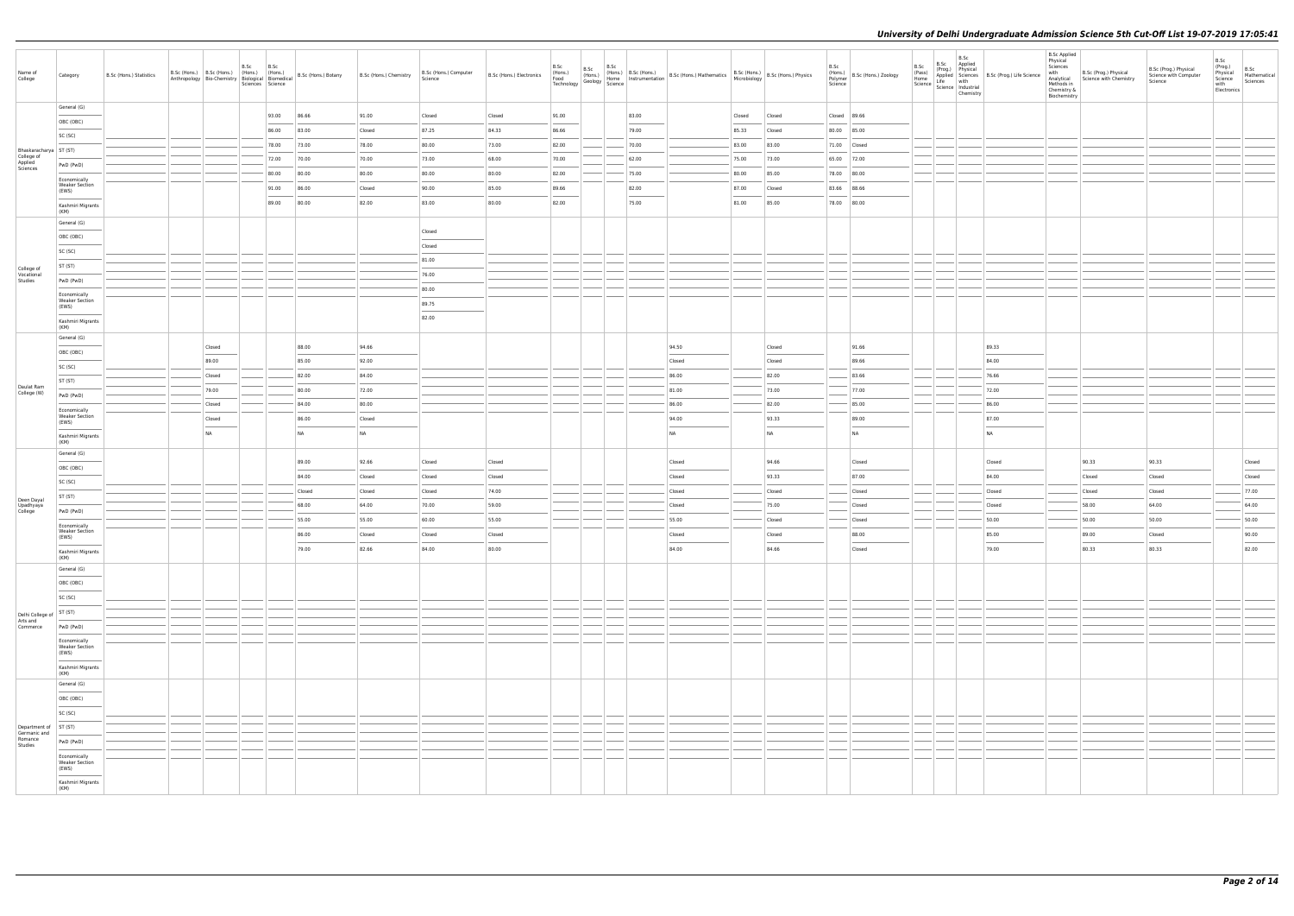| Name of<br>College                       | Category                                                   | B.Sc (Hons.) Statistics |              | B.Sc | B.Sc<br>Sciences Science | Anthropology Bio-Chemistry   House   Biomedical   B.Sc (Hons.) Botany   B.Sc (Hons.) Chemistry |           | B.Sc (Hons.) Computer<br>Science | B.Sc (Hons.) Electronics | B.Sc<br>(Hons.)<br>Food<br>Technology | B.Sc<br>$\begin{bmatrix} 1 & 1 & 1 \\ 1 & 1 & 1 \\ 1 & 1 & 1 \end{bmatrix}$ (Hons.) Home $\begin{bmatrix} 1 & 1 & 1 \\ 1 & 1 & 1 \end{bmatrix}$ Ins | B.Sc |       | (Hons.) B.Sc (Hons.) B.Sc (Hons.) Mathematics B.Sc (Hons.) B.Sc (Hons.) Physics<br>Home Instrumentation B.Sc (Hons.) Mathematics Microbiology B.Sc (Hons.) Physics |        |        | B.Sc<br>Science | (Hons.)<br>Polymer B.Sc (Hons.) Zoology | B.Sc<br>(Pass)<br>Home | B.Sc<br>B.Sc<br>Applied<br>(Prog.) Physical<br>Science   Science   Industrial<br>Chemistry | Applied Sciences B.Sc (Prog.) Life Science<br>Life with | <b>B.Sc Applied</b><br>Physical<br>Sciences<br>with<br>Methods in<br>Chemistry &<br>Biochemistry | B.Sc (Prog.) Physical<br>Analytical Science with Chemistry | B.Sc (Prog.) Physical<br>Science with Computer<br>Science | B.Sc<br>(Prog.)<br>Physical<br>Science<br>with<br>Electronics | B.Sc<br>Mathematical<br>Sciences |
|------------------------------------------|------------------------------------------------------------|-------------------------|--------------|------|--------------------------|------------------------------------------------------------------------------------------------|-----------|----------------------------------|--------------------------|---------------------------------------|-----------------------------------------------------------------------------------------------------------------------------------------------------|------|-------|--------------------------------------------------------------------------------------------------------------------------------------------------------------------|--------|--------|-----------------|-----------------------------------------|------------------------|--------------------------------------------------------------------------------------------|---------------------------------------------------------|--------------------------------------------------------------------------------------------------|------------------------------------------------------------|-----------------------------------------------------------|---------------------------------------------------------------|----------------------------------|
|                                          | General (G)                                                |                         |              |      | 93.00                    | 86.66                                                                                          | 91.00     | Closed                           | Closed                   | 91.00                                 |                                                                                                                                                     |      | 83.00 |                                                                                                                                                                    | Closed | Closed | Closed 89.66    |                                         |                        |                                                                                            |                                                         |                                                                                                  |                                                            |                                                           |                                                               |                                  |
|                                          | OBC (OBC)                                                  |                         |              |      | 86.00                    | 83.00                                                                                          | Closed    | 87.25                            | 84.33                    | 86.66                                 |                                                                                                                                                     |      | 79.00 |                                                                                                                                                                    | 85.33  | Closed | 80.00 85.00     |                                         |                        |                                                                                            |                                                         |                                                                                                  |                                                            |                                                           |                                                               |                                  |
|                                          | SC (SC)                                                    |                         |              |      | 78.00                    | 73.00                                                                                          | 78.00     | 80.00                            | 73.00                    | 82.00                                 |                                                                                                                                                     |      | 70.00 |                                                                                                                                                                    | 83.00  | 83.00  | 71.00 Closed    |                                         |                        |                                                                                            |                                                         |                                                                                                  |                                                            |                                                           |                                                               |                                  |
| Bhaskaracharya   ST (ST)                 |                                                            |                         |              |      | 72.00                    | 70.00                                                                                          | 70.00     | 73.00                            | 68.00                    | 70.00                                 |                                                                                                                                                     |      | 62.00 |                                                                                                                                                                    | 75.00  | 73.00  | 65.00 72.00     |                                         |                        |                                                                                            |                                                         |                                                                                                  |                                                            |                                                           |                                                               |                                  |
| College of<br>Applied<br>Sciences        | PwD (PwD)                                                  |                         |              |      | 80.00                    | 80.00                                                                                          | 80.00     | 80.00                            | 80.00                    | 82.00                                 |                                                                                                                                                     |      | 75.00 |                                                                                                                                                                    | 80.00  | 85.00  | 78.00 80.00     |                                         |                        |                                                                                            |                                                         |                                                                                                  |                                                            |                                                           |                                                               |                                  |
|                                          | Economically<br><b>Weaker Section</b>                      |                         |              |      | 91.00                    | 86.00                                                                                          | Closed    | 90.00                            | 85.00                    | 89.66                                 |                                                                                                                                                     |      | 82.00 |                                                                                                                                                                    | 87.00  | Closed | 83.66 88.66     |                                         |                        |                                                                                            |                                                         |                                                                                                  |                                                            |                                                           |                                                               |                                  |
|                                          | (EWS)<br>Kashmiri Migrants                                 |                         |              |      | 89.00                    | 80.00                                                                                          | 82.00     | 83.00                            | 80.00                    | 82.00                                 |                                                                                                                                                     |      | 75.00 |                                                                                                                                                                    | 81.00  | 85.00  | 78.00 80.00     |                                         |                        |                                                                                            |                                                         |                                                                                                  |                                                            |                                                           |                                                               |                                  |
|                                          | (KM)                                                       |                         |              |      |                          |                                                                                                |           |                                  |                          |                                       |                                                                                                                                                     |      |       |                                                                                                                                                                    |        |        |                 |                                         |                        |                                                                                            |                                                         |                                                                                                  |                                                            |                                                           |                                                               |                                  |
|                                          | General (G)                                                |                         |              |      |                          |                                                                                                |           | Closed                           |                          |                                       |                                                                                                                                                     |      |       |                                                                                                                                                                    |        |        |                 |                                         |                        |                                                                                            |                                                         |                                                                                                  |                                                            |                                                           |                                                               |                                  |
|                                          | OBC (OBC)                                                  |                         |              |      |                          |                                                                                                |           | Closed                           |                          |                                       |                                                                                                                                                     |      |       |                                                                                                                                                                    |        |        |                 |                                         |                        |                                                                                            |                                                         |                                                                                                  |                                                            |                                                           |                                                               |                                  |
|                                          | SC (SC)                                                    |                         |              |      |                          |                                                                                                |           | 81.00                            |                          |                                       |                                                                                                                                                     |      |       |                                                                                                                                                                    |        |        |                 |                                         |                        |                                                                                            |                                                         |                                                                                                  |                                                            |                                                           |                                                               |                                  |
| College of<br>Vocational                 | ST (ST)                                                    |                         |              |      |                          |                                                                                                |           | 76.00                            |                          |                                       |                                                                                                                                                     |      |       |                                                                                                                                                                    |        |        |                 |                                         |                        |                                                                                            |                                                         |                                                                                                  |                                                            |                                                           |                                                               |                                  |
| Studies                                  | PwD (PwD)                                                  |                         |              |      |                          |                                                                                                |           | 80.00                            |                          |                                       |                                                                                                                                                     |      |       |                                                                                                                                                                    |        |        |                 |                                         |                        |                                                                                            |                                                         |                                                                                                  |                                                            |                                                           |                                                               |                                  |
|                                          | Economically<br><b>Weaker Section</b><br>(EWS)             |                         |              |      |                          |                                                                                                |           | 89.75                            |                          |                                       |                                                                                                                                                     |      |       |                                                                                                                                                                    |        |        |                 |                                         |                        |                                                                                            |                                                         |                                                                                                  |                                                            |                                                           |                                                               |                                  |
|                                          | Kashmiri Migrants<br>(KM)                                  |                         |              |      |                          |                                                                                                |           | 82.00                            |                          |                                       |                                                                                                                                                     |      |       |                                                                                                                                                                    |        |        |                 |                                         |                        |                                                                                            |                                                         |                                                                                                  |                                                            |                                                           |                                                               |                                  |
|                                          | General (G)                                                |                         | Closed       |      |                          | 88.00                                                                                          | 94.66     |                                  |                          |                                       |                                                                                                                                                     |      |       | 94.50                                                                                                                                                              |        | Closed |                 | 91.66                                   |                        |                                                                                            | 89.33                                                   |                                                                                                  |                                                            |                                                           |                                                               |                                  |
|                                          | OBC (OBC)                                                  |                         | 89.00        |      |                          | 85.00                                                                                          | 92.00     |                                  |                          |                                       |                                                                                                                                                     |      |       | Closed                                                                                                                                                             |        | Closed |                 | 89.66                                   |                        |                                                                                            | 84.00                                                   |                                                                                                  |                                                            |                                                           |                                                               |                                  |
|                                          | SC (SC)                                                    |                         | Closed       |      |                          | 82.00                                                                                          | 84.00     |                                  |                          |                                       |                                                                                                                                                     |      |       | 86.00                                                                                                                                                              |        | 82.00  |                 | 83.66                                   |                        |                                                                                            | 76.66                                                   |                                                                                                  |                                                            |                                                           |                                                               |                                  |
| Daulat Ram<br>College (W)                | ST (ST)                                                    |                         | 79.00        |      |                          | 80.00                                                                                          | 72.00     |                                  |                          |                                       |                                                                                                                                                     |      |       | 81.00                                                                                                                                                              |        | 73.00  |                 | 77.00                                   |                        |                                                                                            | 72.00                                                   |                                                                                                  |                                                            |                                                           |                                                               |                                  |
|                                          | PwD (PwD)                                                  |                         | Closed       |      |                          | 84.00                                                                                          | 80.00     |                                  |                          |                                       |                                                                                                                                                     |      |       | 86.00                                                                                                                                                              |        | 82.00  |                 | 85.00                                   |                        |                                                                                            | 86.00                                                   |                                                                                                  |                                                            |                                                           |                                                               |                                  |
|                                          | Economically<br><b>Weaker Section</b>                      |                         | Closed       |      |                          | 86.00                                                                                          | Closed    |                                  |                          |                                       |                                                                                                                                                     |      |       | 94.00                                                                                                                                                              |        | 93.33  |                 | 89.00                                   |                        |                                                                                            | 87.00                                                   |                                                                                                  |                                                            |                                                           |                                                               |                                  |
|                                          | (EWS)<br>Kashmiri Migrants<br>(KM)                         |                         | $\sim$<br>NA |      |                          | <b>NA</b>                                                                                      | <b>NA</b> |                                  |                          |                                       |                                                                                                                                                     |      |       | <b>NA</b>                                                                                                                                                          |        | NA     |                 | NA                                      |                        |                                                                                            | $\sim$<br>NA                                            |                                                                                                  |                                                            |                                                           |                                                               |                                  |
|                                          | General (G)                                                |                         |              |      |                          | 89.00                                                                                          | 92.66     | Closed                           | Closed                   |                                       |                                                                                                                                                     |      |       | Closed                                                                                                                                                             |        | 94.66  |                 | Closed                                  |                        |                                                                                            | Closed                                                  |                                                                                                  | 90.33                                                      | 90.33                                                     |                                                               | Closed                           |
|                                          | OBC (OBC)                                                  |                         |              |      |                          | 84.00                                                                                          | Closed    | Closed                           | Closed                   |                                       |                                                                                                                                                     |      |       | Closed                                                                                                                                                             |        | 93.33  |                 | 87.00                                   |                        |                                                                                            | 84.00                                                   |                                                                                                  | Closed                                                     | Closed                                                    |                                                               | Closed                           |
|                                          | SC (SC)                                                    |                         |              |      |                          | Closed                                                                                         | Closed    | Closed                           | 74.00                    |                                       |                                                                                                                                                     |      |       | Closed                                                                                                                                                             |        | Closed |                 | Closed                                  |                        |                                                                                            | Closed                                                  |                                                                                                  | Closed                                                     | Closed                                                    |                                                               | 77.00                            |
| Deen Dayal                               | ST (ST)                                                    |                         |              |      |                          | 68.00                                                                                          | 64.00     | 70.00                            | 59.00                    |                                       |                                                                                                                                                     |      |       | Closed                                                                                                                                                             |        | 75.00  |                 | Closed                                  |                        |                                                                                            | Closed                                                  |                                                                                                  | 58.00                                                      | 64.00                                                     |                                                               | 64.00                            |
| Upadhyaya<br>College                     | PwD (PwD)                                                  |                         |              |      |                          | 55.00                                                                                          | 55.00     | 60.00                            | 55.00                    |                                       |                                                                                                                                                     |      |       | 55.00                                                                                                                                                              |        | Closed |                 | Closed                                  |                        |                                                                                            | 50.00                                                   |                                                                                                  | 50.00                                                      | 50.00                                                     |                                                               | 50.00                            |
|                                          | Economically<br><b>Weaker Section</b>                      |                         |              |      |                          | 86.00                                                                                          | Closed    | Closed                           | Closed                   |                                       |                                                                                                                                                     |      |       | Closed                                                                                                                                                             |        | Closed |                 | 88.00                                   |                        |                                                                                            | 85.00                                                   |                                                                                                  | 89.00                                                      | Closed                                                    |                                                               | 90.00                            |
|                                          | (EWS)<br>and the control of the con-<br>Kashmiri Migrants  |                         |              |      |                          | 79.00                                                                                          | 82.66     | 84.00                            | 80.00                    |                                       |                                                                                                                                                     |      |       | 84.00                                                                                                                                                              |        | 84.66  |                 | Closed                                  |                        |                                                                                            | 79.00                                                   |                                                                                                  | $\sim$<br>80.33                                            | 80.33                                                     |                                                               | $\sim$<br>82.00                  |
|                                          | (KM)                                                       |                         |              |      |                          |                                                                                                |           |                                  |                          |                                       |                                                                                                                                                     |      |       |                                                                                                                                                                    |        |        |                 |                                         |                        |                                                                                            |                                                         |                                                                                                  |                                                            |                                                           |                                                               |                                  |
|                                          | General (G)<br>OBC (OBC)                                   |                         |              |      |                          |                                                                                                |           |                                  |                          |                                       |                                                                                                                                                     |      |       |                                                                                                                                                                    |        |        |                 |                                         |                        |                                                                                            |                                                         |                                                                                                  |                                                            |                                                           |                                                               |                                  |
|                                          | SC (SC)                                                    |                         |              |      |                          |                                                                                                |           |                                  |                          |                                       |                                                                                                                                                     |      |       |                                                                                                                                                                    |        |        |                 |                                         |                        |                                                                                            |                                                         |                                                                                                  |                                                            |                                                           |                                                               |                                  |
|                                          | ST (ST)                                                    |                         |              |      |                          |                                                                                                |           |                                  |                          |                                       |                                                                                                                                                     |      |       |                                                                                                                                                                    |        |        |                 |                                         |                        |                                                                                            |                                                         |                                                                                                  |                                                            |                                                           |                                                               |                                  |
| Delhi College of<br>Arts and<br>Commerce | PwD (PwD)                                                  |                         |              |      |                          |                                                                                                |           |                                  |                          |                                       |                                                                                                                                                     |      |       |                                                                                                                                                                    |        |        |                 |                                         |                        |                                                                                            |                                                         |                                                                                                  |                                                            |                                                           |                                                               |                                  |
|                                          | Economically                                               |                         |              |      |                          |                                                                                                |           |                                  |                          |                                       |                                                                                                                                                     |      |       |                                                                                                                                                                    |        |        |                 |                                         |                        |                                                                                            |                                                         |                                                                                                  |                                                            |                                                           |                                                               |                                  |
|                                          | <b>Weaker Section</b><br>(EWS)<br>$\overline{\phantom{a}}$ |                         |              |      |                          |                                                                                                |           |                                  |                          |                                       |                                                                                                                                                     |      |       |                                                                                                                                                                    |        |        |                 |                                         |                        |                                                                                            |                                                         |                                                                                                  |                                                            |                                                           |                                                               |                                  |
|                                          | Kashmiri Migrants<br>(KM)                                  |                         |              |      |                          |                                                                                                |           |                                  |                          |                                       |                                                                                                                                                     |      |       |                                                                                                                                                                    |        |        |                 |                                         |                        |                                                                                            |                                                         |                                                                                                  |                                                            |                                                           |                                                               |                                  |
|                                          | General (G)                                                |                         |              |      |                          |                                                                                                |           |                                  |                          |                                       |                                                                                                                                                     |      |       |                                                                                                                                                                    |        |        |                 |                                         |                        |                                                                                            |                                                         |                                                                                                  |                                                            |                                                           |                                                               |                                  |
|                                          | OBC (OBC)<br>$\sim$                                        |                         |              |      |                          |                                                                                                |           |                                  |                          |                                       |                                                                                                                                                     |      |       |                                                                                                                                                                    |        |        |                 |                                         |                        |                                                                                            |                                                         |                                                                                                  |                                                            |                                                           |                                                               |                                  |
|                                          | SC (SC)                                                    |                         |              |      |                          |                                                                                                |           |                                  |                          |                                       |                                                                                                                                                     |      |       |                                                                                                                                                                    |        |        |                 |                                         |                        |                                                                                            |                                                         |                                                                                                  |                                                            |                                                           |                                                               |                                  |
| Department of<br>Germanic and            | ST (ST)                                                    |                         |              |      |                          |                                                                                                |           |                                  |                          |                                       |                                                                                                                                                     |      |       |                                                                                                                                                                    |        |        |                 |                                         |                        |                                                                                            |                                                         |                                                                                                  |                                                            |                                                           |                                                               |                                  |
| Romance<br>Studies                       | PwD (PwD)                                                  |                         |              |      |                          |                                                                                                |           |                                  |                          |                                       |                                                                                                                                                     |      |       |                                                                                                                                                                    |        |        |                 |                                         |                        |                                                                                            |                                                         |                                                                                                  |                                                            |                                                           |                                                               |                                  |
|                                          | Economically<br><b>Weaker Section</b><br>(EWS)             |                         |              |      |                          |                                                                                                |           |                                  |                          |                                       |                                                                                                                                                     |      |       |                                                                                                                                                                    |        |        |                 |                                         |                        |                                                                                            |                                                         |                                                                                                  |                                                            |                                                           |                                                               |                                  |
|                                          | $\sim$<br>Kashmiri Migrants<br>(KM)                        |                         |              |      |                          |                                                                                                |           |                                  |                          |                                       |                                                                                                                                                     |      |       |                                                                                                                                                                    |        |        |                 |                                         |                        |                                                                                            |                                                         |                                                                                                  |                                                            |                                                           |                                                               |                                  |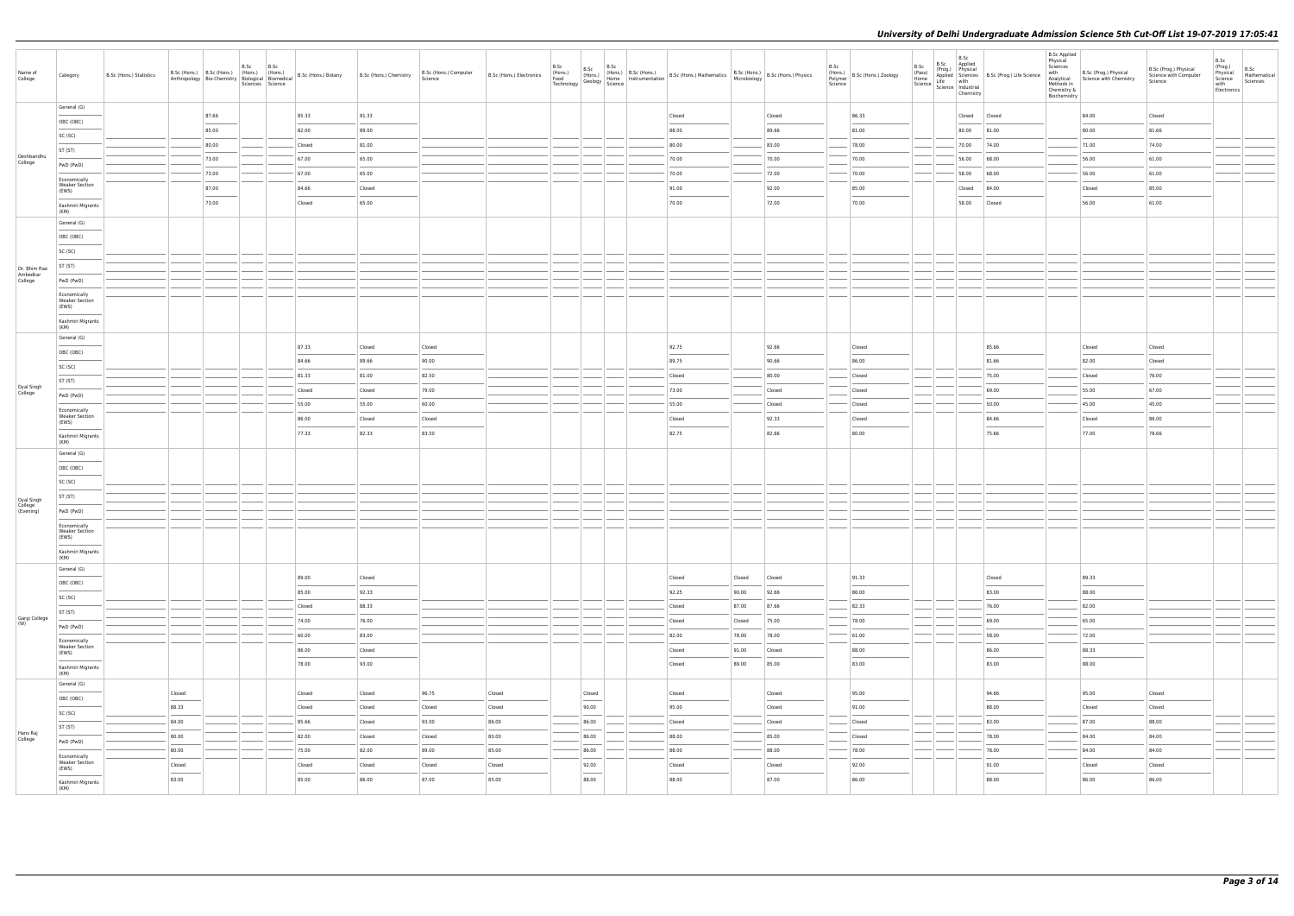| Name of<br>College                 | Category                                            | B.Sc (Hons.) Statistics |                                                                                                                                                                                                                                                                                                                                                                                                                                                                                     |       | B.Sc | B.Sc<br>Sciences Science |        | Anthropology   Bio-Chemistry   Biological   Biomedical   B.Sc (Hons.) Botany   B.Sc (Hons.) Chemistry | B.Sc (Hons.) Computer<br>Science | B.Sc (Hons.) Electronics | B.Sc<br>(Hons.)<br>Food<br>Technology | B.Sc                              | B.Sc<br>$\begin{array}{c c c c} & \text{b.o.s.} \\ \hline & \text{(Hons.)} & \text{Home} \\ \hline \text{Geology} & \text{Science} & \text{Inr}^2 \end{array}$ | (Hons.) B.Sc (Hons.) B.Sc (Hons.) Mathematics B.Sc (Hons.) B.Sc (Hons.) Physics<br>Home Instrumentation B.Sc (Hons.) Mathematics Microbiology B.Sc (Hons.) Physics |        |        | B.Sc<br>Science | B.Sc<br>(Hons.)<br>Polymer B.Sc (Hons.) Zoology<br>(Pass)<br>Home | B.Sc<br>B.Sc<br>Applied<br>(Prog.) Physical<br>Science   Science   Industrial<br>Chemistry | Applied Sciences B.Sc (Prog.) Life Science<br>Life with | <b>B.Sc Applied</b><br>Physical<br>Sciences<br>with<br>Methods in<br>Chemistry &<br>Biochemistry | B.Sc (Prog.) Physical<br>Analytical Science with Chemistry | B.Sc (Prog.) Physical<br>Science with Computer<br>Science | B.Sc<br>(Prog.)<br>Physical<br>Science<br>with<br>Electronics | B.Sc<br>Mathematical<br>Sciences |  |
|------------------------------------|-----------------------------------------------------|-------------------------|-------------------------------------------------------------------------------------------------------------------------------------------------------------------------------------------------------------------------------------------------------------------------------------------------------------------------------------------------------------------------------------------------------------------------------------------------------------------------------------|-------|------|--------------------------|--------|-------------------------------------------------------------------------------------------------------|----------------------------------|--------------------------|---------------------------------------|-----------------------------------|----------------------------------------------------------------------------------------------------------------------------------------------------------------|--------------------------------------------------------------------------------------------------------------------------------------------------------------------|--------|--------|-----------------|-------------------------------------------------------------------|--------------------------------------------------------------------------------------------|---------------------------------------------------------|--------------------------------------------------------------------------------------------------|------------------------------------------------------------|-----------------------------------------------------------|---------------------------------------------------------------|----------------------------------|--|
|                                    | General (G)                                         |                         |                                                                                                                                                                                                                                                                                                                                                                                                                                                                                     | 87.66 |      |                          | 85.33  | 91.33                                                                                                 |                                  |                          |                                       |                                   |                                                                                                                                                                | Closed                                                                                                                                                             |        | Closed |                 | 86.33                                                             | Closed Closed                                                                              |                                                         |                                                                                                  | 84.00                                                      | Closed                                                    |                                                               |                                  |  |
|                                    | OBC (OBC)                                           |                         |                                                                                                                                                                                                                                                                                                                                                                                                                                                                                     | 85.00 |      |                          | 82.00  | 89.00                                                                                                 |                                  |                          |                                       |                                   |                                                                                                                                                                | 88.00                                                                                                                                                              |        | 89.66  |                 | 81.00                                                             | 80.00 81.00                                                                                |                                                         |                                                                                                  | 80.00                                                      | 81.66                                                     |                                                               |                                  |  |
|                                    | SC (SC)                                             |                         |                                                                                                                                                                                                                                                                                                                                                                                                                                                                                     | 80.00 |      |                          | Closed | 81.00                                                                                                 |                                  |                          |                                       |                                   |                                                                                                                                                                | 80.00                                                                                                                                                              |        | 83.00  |                 | 78.00                                                             | 70.00 74.00                                                                                |                                                         |                                                                                                  | 71.00                                                      | 74.00                                                     |                                                               |                                  |  |
| Deshbandhu<br>College              | ST (ST)<br>PwD (PwD)                                |                         |                                                                                                                                                                                                                                                                                                                                                                                                                                                                                     | 73.00 |      |                          | 67.00  | 65.00                                                                                                 |                                  |                          |                                       |                                   |                                                                                                                                                                | 70.00                                                                                                                                                              |        | 70.00  |                 | 70.00                                                             | 56.00 68.00                                                                                |                                                         |                                                                                                  | 56.00                                                      | 61.00                                                     |                                                               |                                  |  |
|                                    | Economically                                        |                         |                                                                                                                                                                                                                                                                                                                                                                                                                                                                                     | 73.00 |      |                          | 67.00  | 65.00                                                                                                 |                                  |                          |                                       |                                   |                                                                                                                                                                | 70.00                                                                                                                                                              |        | 72.00  |                 | 70.00                                                             | 58.00 68.00                                                                                |                                                         |                                                                                                  | 56.00                                                      | 61.00                                                     |                                                               |                                  |  |
|                                    | <b>Weaker Section</b><br>(EWS)                      |                         |                                                                                                                                                                                                                                                                                                                                                                                                                                                                                     | 87.00 |      |                          | 84.66  | Closed                                                                                                |                                  |                          |                                       |                                   |                                                                                                                                                                | 91.00                                                                                                                                                              |        | 92.00  |                 | 85.00                                                             | Closed 84.00                                                                               |                                                         |                                                                                                  | Closed                                                     | 85.00                                                     |                                                               |                                  |  |
|                                    | Kashmiri Migrants                                   |                         |                                                                                                                                                                                                                                                                                                                                                                                                                                                                                     | 73.00 |      |                          | Closed | 65.00                                                                                                 |                                  |                          |                                       |                                   |                                                                                                                                                                | 70.00                                                                                                                                                              |        | 72.00  |                 | 70.00                                                             | 58.00 Closed                                                                               |                                                         |                                                                                                  | 56.00                                                      | 61.00                                                     |                                                               |                                  |  |
|                                    | (KM)<br>General (G)                                 |                         |                                                                                                                                                                                                                                                                                                                                                                                                                                                                                     |       |      |                          |        |                                                                                                       |                                  |                          |                                       |                                   |                                                                                                                                                                |                                                                                                                                                                    |        |        |                 |                                                                   |                                                                                            |                                                         |                                                                                                  |                                                            |                                                           |                                                               |                                  |  |
|                                    | OBC (OBC)                                           |                         |                                                                                                                                                                                                                                                                                                                                                                                                                                                                                     |       |      |                          |        |                                                                                                       |                                  |                          |                                       |                                   |                                                                                                                                                                |                                                                                                                                                                    |        |        |                 |                                                                   |                                                                                            |                                                         |                                                                                                  |                                                            |                                                           |                                                               |                                  |  |
|                                    | SC (SC)                                             |                         |                                                                                                                                                                                                                                                                                                                                                                                                                                                                                     |       |      |                          |        |                                                                                                       |                                  |                          |                                       |                                   |                                                                                                                                                                |                                                                                                                                                                    |        |        |                 |                                                                   |                                                                                            |                                                         |                                                                                                  |                                                            |                                                           |                                                               |                                  |  |
| Dr. Bhim Rao                       | ST (ST)                                             |                         |                                                                                                                                                                                                                                                                                                                                                                                                                                                                                     |       |      |                          |        |                                                                                                       |                                  |                          |                                       |                                   |                                                                                                                                                                |                                                                                                                                                                    |        |        |                 |                                                                   |                                                                                            |                                                         |                                                                                                  |                                                            |                                                           |                                                               |                                  |  |
| Ambedkar<br>College                | PwD (PwD)                                           |                         |                                                                                                                                                                                                                                                                                                                                                                                                                                                                                     |       |      |                          |        |                                                                                                       |                                  |                          |                                       |                                   |                                                                                                                                                                |                                                                                                                                                                    |        |        |                 |                                                                   |                                                                                            |                                                         |                                                                                                  |                                                            |                                                           |                                                               |                                  |  |
|                                    | Economically<br><b>Weaker Section</b><br>(EWS)      |                         |                                                                                                                                                                                                                                                                                                                                                                                                                                                                                     |       |      |                          |        |                                                                                                       |                                  |                          |                                       |                                   |                                                                                                                                                                |                                                                                                                                                                    |        |        |                 |                                                                   |                                                                                            |                                                         |                                                                                                  |                                                            |                                                           |                                                               |                                  |  |
|                                    | Kashmiri Migrants<br>(KM)                           |                         |                                                                                                                                                                                                                                                                                                                                                                                                                                                                                     |       |      |                          |        |                                                                                                       |                                  |                          |                                       |                                   |                                                                                                                                                                |                                                                                                                                                                    |        |        |                 |                                                                   |                                                                                            |                                                         |                                                                                                  |                                                            |                                                           |                                                               |                                  |  |
|                                    | General (G)                                         |                         |                                                                                                                                                                                                                                                                                                                                                                                                                                                                                     |       |      |                          | 87.33  | Closed                                                                                                | Closed                           |                          |                                       |                                   |                                                                                                                                                                | 92.75                                                                                                                                                              |        | 92.66  |                 | Closed                                                            |                                                                                            | 85.66                                                   |                                                                                                  | Closed                                                     | Closed                                                    |                                                               |                                  |  |
|                                    | OBC (OBC)                                           |                         |                                                                                                                                                                                                                                                                                                                                                                                                                                                                                     |       |      |                          | 84.66  | 89.66                                                                                                 | 90.00                            |                          |                                       |                                   |                                                                                                                                                                | 89.75                                                                                                                                                              |        | 90.66  |                 | 86.00                                                             |                                                                                            | 81.66                                                   |                                                                                                  | 82.00                                                      | Closed                                                    |                                                               |                                  |  |
|                                    | SC (SC)                                             |                         |                                                                                                                                                                                                                                                                                                                                                                                                                                                                                     |       |      |                          | 81.33  | 81.00                                                                                                 | 82.50                            |                          |                                       |                                   |                                                                                                                                                                | Closed                                                                                                                                                             |        | 80.00  |                 | Closed                                                            |                                                                                            | 75.00                                                   |                                                                                                  | Closed                                                     | 76.00                                                     |                                                               |                                  |  |
| Dyal Singh<br>College              | ST (ST)                                             |                         |                                                                                                                                                                                                                                                                                                                                                                                                                                                                                     |       |      |                          | Closed | Closed                                                                                                | 79.00                            |                          |                                       |                                   |                                                                                                                                                                | 73.00                                                                                                                                                              |        | Closed |                 | Closed                                                            |                                                                                            | 69.00                                                   |                                                                                                  | 55.00                                                      | 67.00                                                     |                                                               |                                  |  |
|                                    | PwD (PwD)                                           |                         |                                                                                                                                                                                                                                                                                                                                                                                                                                                                                     |       |      |                          | 55.00  | 55.00                                                                                                 | 60.00                            |                          |                                       |                                   |                                                                                                                                                                | 55.00                                                                                                                                                              |        | Closed |                 | Closed                                                            |                                                                                            | 50.00                                                   |                                                                                                  | 45.00                                                      | 45.00                                                     |                                                               |                                  |  |
|                                    | Economically<br><b>Weaker Section</b>               |                         |                                                                                                                                                                                                                                                                                                                                                                                                                                                                                     |       |      |                          | 86.00  | Closed                                                                                                | Closed                           |                          |                                       |                                   |                                                                                                                                                                | Closed                                                                                                                                                             |        | 92.33  |                 | Closed                                                            |                                                                                            | 84.66                                                   |                                                                                                  | Closed                                                     | 86.00                                                     |                                                               |                                  |  |
|                                    | (EWS)<br>Kashmiri Migrants                          |                         |                                                                                                                                                                                                                                                                                                                                                                                                                                                                                     |       |      |                          | 77.33  | 82.33                                                                                                 | 83.50                            |                          |                                       |                                   |                                                                                                                                                                | 82.75                                                                                                                                                              |        | 82.66  |                 | 80.00                                                             |                                                                                            | 75.66                                                   |                                                                                                  | 77.00                                                      | 78.66                                                     |                                                               |                                  |  |
|                                    | (KM)                                                |                         |                                                                                                                                                                                                                                                                                                                                                                                                                                                                                     |       |      |                          |        |                                                                                                       |                                  |                          |                                       |                                   |                                                                                                                                                                |                                                                                                                                                                    |        |        |                 |                                                                   |                                                                                            |                                                         |                                                                                                  |                                                            |                                                           |                                                               |                                  |  |
|                                    | General (G)<br>OBC (OBC)                            |                         |                                                                                                                                                                                                                                                                                                                                                                                                                                                                                     |       |      |                          |        |                                                                                                       |                                  |                          |                                       |                                   |                                                                                                                                                                |                                                                                                                                                                    |        |        |                 |                                                                   |                                                                                            |                                                         |                                                                                                  |                                                            |                                                           |                                                               |                                  |  |
|                                    | SC (SC)                                             |                         |                                                                                                                                                                                                                                                                                                                                                                                                                                                                                     |       |      |                          |        |                                                                                                       |                                  |                          |                                       |                                   |                                                                                                                                                                |                                                                                                                                                                    |        |        |                 |                                                                   |                                                                                            |                                                         |                                                                                                  |                                                            |                                                           |                                                               |                                  |  |
|                                    | ST (ST)                                             |                         |                                                                                                                                                                                                                                                                                                                                                                                                                                                                                     |       |      |                          |        |                                                                                                       |                                  |                          |                                       |                                   |                                                                                                                                                                |                                                                                                                                                                    |        |        |                 |                                                                   |                                                                                            |                                                         |                                                                                                  |                                                            |                                                           |                                                               |                                  |  |
| Dyal Singh<br>College<br>(Evening) | PwD (PwD)                                           |                         |                                                                                                                                                                                                                                                                                                                                                                                                                                                                                     |       |      |                          |        |                                                                                                       |                                  |                          |                                       |                                   |                                                                                                                                                                |                                                                                                                                                                    |        |        |                 |                                                                   |                                                                                            |                                                         |                                                                                                  |                                                            |                                                           |                                                               |                                  |  |
|                                    | Economically                                        |                         |                                                                                                                                                                                                                                                                                                                                                                                                                                                                                     |       |      |                          |        |                                                                                                       |                                  |                          |                                       |                                   |                                                                                                                                                                |                                                                                                                                                                    |        |        |                 |                                                                   |                                                                                            |                                                         |                                                                                                  |                                                            |                                                           |                                                               |                                  |  |
|                                    | <b>Weaker Section</b><br>(EWS)<br>Kashmiri Migrants |                         |                                                                                                                                                                                                                                                                                                                                                                                                                                                                                     |       |      |                          |        |                                                                                                       |                                  |                          |                                       |                                   |                                                                                                                                                                |                                                                                                                                                                    |        |        |                 |                                                                   |                                                                                            |                                                         |                                                                                                  |                                                            |                                                           |                                                               |                                  |  |
|                                    | (KM)                                                |                         |                                                                                                                                                                                                                                                                                                                                                                                                                                                                                     |       |      |                          |        |                                                                                                       |                                  |                          |                                       |                                   |                                                                                                                                                                |                                                                                                                                                                    |        |        |                 |                                                                   |                                                                                            |                                                         |                                                                                                  |                                                            |                                                           |                                                               |                                  |  |
|                                    | General (G)<br>OBC (OBC)                            |                         |                                                                                                                                                                                                                                                                                                                                                                                                                                                                                     |       |      |                          | 89.00  | Closed                                                                                                |                                  |                          |                                       |                                   |                                                                                                                                                                | Closed                                                                                                                                                             | Closed | Closed |                 | 91.33                                                             |                                                                                            | Closed                                                  |                                                                                                  | 89.33                                                      |                                                           |                                                               |                                  |  |
|                                    | SC (SC)                                             |                         |                                                                                                                                                                                                                                                                                                                                                                                                                                                                                     |       |      |                          | 85.00  | 92.33                                                                                                 |                                  |                          |                                       |                                   |                                                                                                                                                                | 92.25                                                                                                                                                              | 90.00  | 92.66  |                 | 86.00                                                             |                                                                                            | 83.00                                                   |                                                                                                  | 88.00                                                      |                                                           |                                                               |                                  |  |
|                                    | ST (ST)                                             |                         |                                                                                                                                                                                                                                                                                                                                                                                                                                                                                     |       |      |                          | Closed | 88.33                                                                                                 |                                  |                          |                                       |                                   |                                                                                                                                                                | Closed                                                                                                                                                             | 87.00  | 87.66  |                 | 82.33                                                             |                                                                                            | 76.00                                                   |                                                                                                  | 82.00                                                      |                                                           |                                                               |                                  |  |
| Gargi College<br>(W)               | PwD (PwD)                                           |                         |                                                                                                                                                                                                                                                                                                                                                                                                                                                                                     |       |      |                          | 74.00  | 76.00                                                                                                 |                                  |                          |                                       |                                   |                                                                                                                                                                | Closed                                                                                                                                                             | Closed | 75.00  |                 | 78.00                                                             |                                                                                            | 69.00                                                   |                                                                                                  | 65.00                                                      |                                                           |                                                               |                                  |  |
|                                    | Economically                                        |                         |                                                                                                                                                                                                                                                                                                                                                                                                                                                                                     |       |      |                          | 60.00  | 83.00                                                                                                 |                                  |                          |                                       |                                   |                                                                                                                                                                | 82.00                                                                                                                                                              | 78.00  | 78.00  |                 | 61.00                                                             |                                                                                            | 58.00                                                   |                                                                                                  | 72.00                                                      |                                                           |                                                               |                                  |  |
|                                    | <b>Weaker Section</b><br>(EWS)                      |                         |                                                                                                                                                                                                                                                                                                                                                                                                                                                                                     |       |      |                          | 86.00  | Closed                                                                                                |                                  |                          |                                       |                                   |                                                                                                                                                                | Closed                                                                                                                                                             | 91.00  | Closed |                 | 88.00                                                             |                                                                                            | 86.00                                                   |                                                                                                  | 88.33                                                      |                                                           |                                                               |                                  |  |
|                                    | Kashmiri Migrants<br>(KM)                           |                         |                                                                                                                                                                                                                                                                                                                                                                                                                                                                                     |       |      |                          | 78.00  | 93.00                                                                                                 |                                  |                          |                                       |                                   |                                                                                                                                                                | Closed                                                                                                                                                             | 89.00  | 85.00  |                 | 83.00                                                             |                                                                                            | 83.00                                                   |                                                                                                  | 88.00                                                      |                                                           |                                                               |                                  |  |
|                                    | General (G)                                         |                         | Closed                                                                                                                                                                                                                                                                                                                                                                                                                                                                              |       |      |                          | Closed | Closed                                                                                                | 96.75                            | Closed                   |                                       | Closed                            |                                                                                                                                                                | Closed                                                                                                                                                             |        | Closed |                 | 95.00                                                             |                                                                                            | 94.66                                                   |                                                                                                  | 95.00                                                      | Closed                                                    |                                                               |                                  |  |
|                                    | OBC (OBC)                                           |                         | $\frac{1}{2} \left( \frac{1}{2} \right) \left( \frac{1}{2} \right) \left( \frac{1}{2} \right) \left( \frac{1}{2} \right) \left( \frac{1}{2} \right) \left( \frac{1}{2} \right) \left( \frac{1}{2} \right) \left( \frac{1}{2} \right) \left( \frac{1}{2} \right) \left( \frac{1}{2} \right) \left( \frac{1}{2} \right) \left( \frac{1}{2} \right) \left( \frac{1}{2} \right) \left( \frac{1}{2} \right) \left( \frac{1}{2} \right) \left( \frac{1}{2} \right) \left( \frac$<br>88.33 |       |      |                          | Closed | Closed                                                                                                | Closed                           | Closed                   |                                       | $\overline{\phantom{a}}$<br>90.00 |                                                                                                                                                                | 95.00                                                                                                                                                              |        | Closed |                 | 91.00                                                             |                                                                                            | 88.00                                                   |                                                                                                  | Closed                                                     | Closed                                                    |                                                               |                                  |  |
|                                    | SC (SC)                                             |                         | 84.00                                                                                                                                                                                                                                                                                                                                                                                                                                                                               |       |      |                          | 85.66  | Closed                                                                                                | 93.00                            | 86.00                    |                                       | 86.00                             |                                                                                                                                                                | Closed                                                                                                                                                             |        | Closed |                 | Closed                                                            |                                                                                            | 83.00                                                   |                                                                                                  | 87.00                                                      | 88.00                                                     |                                                               |                                  |  |
| Hans Raj<br>College                | ST (ST)                                             |                         | 80.00                                                                                                                                                                                                                                                                                                                                                                                                                                                                               |       |      |                          | 82.00  | Closed                                                                                                | Closed                           | 80.00                    |                                       | 86.00                             |                                                                                                                                                                | 88.00                                                                                                                                                              |        | 85.00  |                 | Closed                                                            |                                                                                            | 78.00                                                   |                                                                                                  | 84.00                                                      | 84.00                                                     |                                                               |                                  |  |
|                                    | PwD (PwD)                                           |                         | 80.00                                                                                                                                                                                                                                                                                                                                                                                                                                                                               |       |      |                          | 75.00  | 82.00                                                                                                 | 89.00                            | 85.00                    |                                       | 86.00                             |                                                                                                                                                                | 88.00                                                                                                                                                              |        | 88.00  |                 | 78.00                                                             |                                                                                            | 78.00                                                   |                                                                                                  | 84.00                                                      | 84.00                                                     |                                                               |                                  |  |
|                                    | Economically<br><b>Weaker Section</b><br>(EWS)      |                         | Closed                                                                                                                                                                                                                                                                                                                                                                                                                                                                              |       |      |                          | Closed | Closed                                                                                                | Closed                           | Closed                   |                                       | 92.00                             |                                                                                                                                                                | Closed                                                                                                                                                             |        | Closed |                 | 92.00                                                             |                                                                                            | 91.00                                                   |                                                                                                  | Closed                                                     | Closed                                                    |                                                               |                                  |  |
|                                    | Kashmiri Migrants<br>(KM)                           |                         | 83.00                                                                                                                                                                                                                                                                                                                                                                                                                                                                               |       |      |                          | 85.00  | 86.00                                                                                                 | 87.00                            | 85.00                    |                                       | $\sim$ 100 $\mu$<br>88.00         |                                                                                                                                                                | 88.00                                                                                                                                                              |        | 87.00  |                 | 86.00                                                             |                                                                                            | 88.00                                                   |                                                                                                  | 86.00                                                      | 86.00                                                     |                                                               |                                  |  |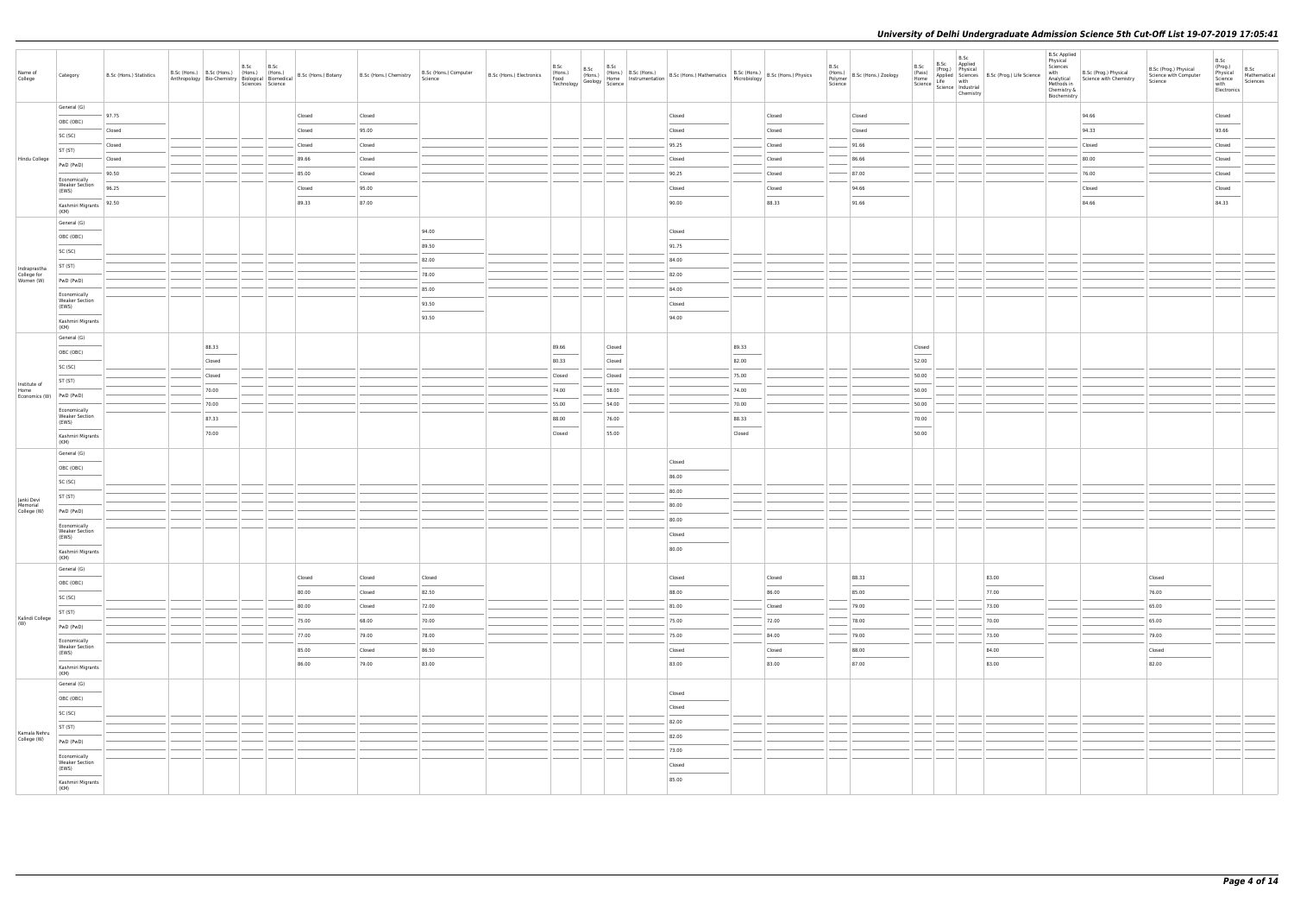| Name of<br>College                       | Category                              | B.Sc (Hons.) Statistics |                 | B.Sc B.Sc<br>Sciences Science |                 | B.Sc (Hons.) B.Sc (Hons.) (Hons.) (Hons.) (Hons.) B.Sc (Hons.) Botany B.Sc (Hons.) Chemistry Anthropology Bio-Chemistry Biological Biomedical B.Sc (Hons.) Botany | B.Sc (Hons.) Computer<br>B.Sc (Hons.) Electronics |                                                                                                                                                                                                                                                                                                                                                                                                                                                                                      |                                   | B.Sc<br>(Hons.) B.Sc (Hons.) B.Sc (Hons.) B.Sc (Hons.) B.Sc (Hons.) Mathematics<br>Food (Hons.) Geology Science B.Sc (Hons.) Mathematics B.Sc (Hons.) B.Sc (Hons.) Physics<br>Technology B.Sc (Hons.) Physics                                                                                                                                                                                                                                                                        |                                                                                                                                                                                                                                                                                                                                                                                                                                                                                      |                 | B.Sc<br>Science | (Hons.)<br>Polymer B.Sc (Hons.) Zoology | B.Sc<br>(Pass)<br>Home            | B.Sc<br>B.Sc Applied<br>(Prog.) Physical<br>Life with<br>Science   Science   Industrial<br>Chemistry | (Prog.) Priysical<br>Anglied Sciences B.Sc (Prog.) Life Science with B.Sc (Prog.) Physical<br>Life with                                                                                                                                                                                                                                                                                                                                                                             | <b>B.Sc Applied</b><br>Physical<br>Sciences<br>Methods in<br>Chemistry &<br>Biochemistry |                                                                                                                                                                                                                                                                                                                                                                                                                                                                                     | B.Sc (Prog.) Physical<br>Science with Computer<br>Science | $B.Sc$<br>(Prog.)<br>B.Sc<br>Mathematical<br>Physical<br>Science<br>Sciences<br>with<br>Electronics |
|------------------------------------------|---------------------------------------|-------------------------|-----------------|-------------------------------|-----------------|-------------------------------------------------------------------------------------------------------------------------------------------------------------------|---------------------------------------------------|--------------------------------------------------------------------------------------------------------------------------------------------------------------------------------------------------------------------------------------------------------------------------------------------------------------------------------------------------------------------------------------------------------------------------------------------------------------------------------------|-----------------------------------|--------------------------------------------------------------------------------------------------------------------------------------------------------------------------------------------------------------------------------------------------------------------------------------------------------------------------------------------------------------------------------------------------------------------------------------------------------------------------------------|--------------------------------------------------------------------------------------------------------------------------------------------------------------------------------------------------------------------------------------------------------------------------------------------------------------------------------------------------------------------------------------------------------------------------------------------------------------------------------------|-----------------|-----------------|-----------------------------------------|-----------------------------------|------------------------------------------------------------------------------------------------------|-------------------------------------------------------------------------------------------------------------------------------------------------------------------------------------------------------------------------------------------------------------------------------------------------------------------------------------------------------------------------------------------------------------------------------------------------------------------------------------|------------------------------------------------------------------------------------------|-------------------------------------------------------------------------------------------------------------------------------------------------------------------------------------------------------------------------------------------------------------------------------------------------------------------------------------------------------------------------------------------------------------------------------------------------------------------------------------|-----------------------------------------------------------|-----------------------------------------------------------------------------------------------------|
|                                          | General (G)                           | 97.75                   |                 |                               | Closed          | Closed                                                                                                                                                            |                                                   |                                                                                                                                                                                                                                                                                                                                                                                                                                                                                      |                                   | Closed                                                                                                                                                                                                                                                                                                                                                                                                                                                                               |                                                                                                                                                                                                                                                                                                                                                                                                                                                                                      | Closed          |                 | Closed                                  |                                   |                                                                                                      |                                                                                                                                                                                                                                                                                                                                                                                                                                                                                     |                                                                                          | 94.66                                                                                                                                                                                                                                                                                                                                                                                                                                                                               |                                                           | Closed                                                                                              |
|                                          | OBC (OBC)                             | Closed                  |                 |                               | Closed          | 95.00                                                                                                                                                             |                                                   |                                                                                                                                                                                                                                                                                                                                                                                                                                                                                      |                                   | Closed                                                                                                                                                                                                                                                                                                                                                                                                                                                                               |                                                                                                                                                                                                                                                                                                                                                                                                                                                                                      | Closed          |                 | Closed                                  |                                   |                                                                                                      |                                                                                                                                                                                                                                                                                                                                                                                                                                                                                     |                                                                                          | 94.33                                                                                                                                                                                                                                                                                                                                                                                                                                                                               |                                                           | 93.66                                                                                               |
|                                          | SC (SC)                               | Closed                  |                 |                               | Closed          | Closed                                                                                                                                                            |                                                   |                                                                                                                                                                                                                                                                                                                                                                                                                                                                                      |                                   | 95.25                                                                                                                                                                                                                                                                                                                                                                                                                                                                                |                                                                                                                                                                                                                                                                                                                                                                                                                                                                                      | Closed          |                 | 91.66                                   |                                   |                                                                                                      |                                                                                                                                                                                                                                                                                                                                                                                                                                                                                     |                                                                                          | Closed                                                                                                                                                                                                                                                                                                                                                                                                                                                                              |                                                           | Closed                                                                                              |
| Hindu College                            | ST (ST)                               | Closed                  |                 |                               | 89.66           | Closed                                                                                                                                                            |                                                   |                                                                                                                                                                                                                                                                                                                                                                                                                                                                                      |                                   | Closed                                                                                                                                                                                                                                                                                                                                                                                                                                                                               |                                                                                                                                                                                                                                                                                                                                                                                                                                                                                      | Closed          |                 | 86.66                                   |                                   |                                                                                                      |                                                                                                                                                                                                                                                                                                                                                                                                                                                                                     |                                                                                          | 80.00                                                                                                                                                                                                                                                                                                                                                                                                                                                                               |                                                           | Closed                                                                                              |
|                                          | PwD (PwD)                             | 90.50                   |                 |                               | 85.00           | Closed                                                                                                                                                            |                                                   |                                                                                                                                                                                                                                                                                                                                                                                                                                                                                      |                                   | 90.25                                                                                                                                                                                                                                                                                                                                                                                                                                                                                |                                                                                                                                                                                                                                                                                                                                                                                                                                                                                      | Closed          |                 | 87.00                                   |                                   |                                                                                                      |                                                                                                                                                                                                                                                                                                                                                                                                                                                                                     |                                                                                          | 76.00                                                                                                                                                                                                                                                                                                                                                                                                                                                                               |                                                           | Closed                                                                                              |
|                                          | Economically<br><b>Weaker Section</b> | 96.25                   |                 |                               | Closed          | 95.00                                                                                                                                                             |                                                   |                                                                                                                                                                                                                                                                                                                                                                                                                                                                                      |                                   | Closed                                                                                                                                                                                                                                                                                                                                                                                                                                                                               |                                                                                                                                                                                                                                                                                                                                                                                                                                                                                      | Closed          |                 | 94.66                                   |                                   |                                                                                                      |                                                                                                                                                                                                                                                                                                                                                                                                                                                                                     |                                                                                          | Closed                                                                                                                                                                                                                                                                                                                                                                                                                                                                              |                                                           | Closed                                                                                              |
|                                          | (EWS)<br>Kashmiri Migrants            | 92.50                   |                 |                               | 89.33           | 87.00                                                                                                                                                             |                                                   |                                                                                                                                                                                                                                                                                                                                                                                                                                                                                      |                                   | 90.00                                                                                                                                                                                                                                                                                                                                                                                                                                                                                |                                                                                                                                                                                                                                                                                                                                                                                                                                                                                      | 88.33           |                 | 91.66                                   |                                   |                                                                                                      |                                                                                                                                                                                                                                                                                                                                                                                                                                                                                     |                                                                                          | $\frac{1}{2} \left( \frac{1}{2} \right) \left( \frac{1}{2} \right) \left( \frac{1}{2} \right) \left( \frac{1}{2} \right) \left( \frac{1}{2} \right) \left( \frac{1}{2} \right) \left( \frac{1}{2} \right) \left( \frac{1}{2} \right) \left( \frac{1}{2} \right) \left( \frac{1}{2} \right) \left( \frac{1}{2} \right) \left( \frac{1}{2} \right) \left( \frac{1}{2} \right) \left( \frac{1}{2} \right) \left( \frac{1}{2} \right) \left( \frac{1}{2} \right) \left( \frac$<br>84.66 |                                                           | $\overline{\phantom{a}}$<br>84.33                                                                   |
|                                          | (KM)                                  |                         |                 |                               |                 |                                                                                                                                                                   |                                                   |                                                                                                                                                                                                                                                                                                                                                                                                                                                                                      |                                   |                                                                                                                                                                                                                                                                                                                                                                                                                                                                                      |                                                                                                                                                                                                                                                                                                                                                                                                                                                                                      |                 |                 |                                         |                                   |                                                                                                      |                                                                                                                                                                                                                                                                                                                                                                                                                                                                                     |                                                                                          |                                                                                                                                                                                                                                                                                                                                                                                                                                                                                     |                                                           |                                                                                                     |
|                                          | General (G)                           |                         |                 |                               |                 |                                                                                                                                                                   | 94.00                                             |                                                                                                                                                                                                                                                                                                                                                                                                                                                                                      |                                   | Closed                                                                                                                                                                                                                                                                                                                                                                                                                                                                               |                                                                                                                                                                                                                                                                                                                                                                                                                                                                                      |                 |                 |                                         |                                   |                                                                                                      |                                                                                                                                                                                                                                                                                                                                                                                                                                                                                     |                                                                                          |                                                                                                                                                                                                                                                                                                                                                                                                                                                                                     |                                                           |                                                                                                     |
|                                          | OBC (OBC)<br>$\frac{1}{2}$            |                         |                 |                               |                 |                                                                                                                                                                   | 89.50                                             |                                                                                                                                                                                                                                                                                                                                                                                                                                                                                      |                                   | 91.75                                                                                                                                                                                                                                                                                                                                                                                                                                                                                |                                                                                                                                                                                                                                                                                                                                                                                                                                                                                      |                 |                 |                                         |                                   |                                                                                                      |                                                                                                                                                                                                                                                                                                                                                                                                                                                                                     |                                                                                          |                                                                                                                                                                                                                                                                                                                                                                                                                                                                                     |                                                           |                                                                                                     |
|                                          | SC (SC)<br>ST (ST)                    |                         |                 |                               |                 |                                                                                                                                                                   | 82.00                                             |                                                                                                                                                                                                                                                                                                                                                                                                                                                                                      |                                   | 84.00                                                                                                                                                                                                                                                                                                                                                                                                                                                                                |                                                                                                                                                                                                                                                                                                                                                                                                                                                                                      |                 |                 |                                         |                                   |                                                                                                      |                                                                                                                                                                                                                                                                                                                                                                                                                                                                                     |                                                                                          |                                                                                                                                                                                                                                                                                                                                                                                                                                                                                     |                                                           |                                                                                                     |
| Indraprastha<br>College for<br>Women (W) | PwD (PwD)                             |                         |                 |                               |                 |                                                                                                                                                                   | 78.00                                             |                                                                                                                                                                                                                                                                                                                                                                                                                                                                                      |                                   | 82.00                                                                                                                                                                                                                                                                                                                                                                                                                                                                                |                                                                                                                                                                                                                                                                                                                                                                                                                                                                                      |                 |                 |                                         |                                   |                                                                                                      |                                                                                                                                                                                                                                                                                                                                                                                                                                                                                     |                                                                                          |                                                                                                                                                                                                                                                                                                                                                                                                                                                                                     |                                                           |                                                                                                     |
|                                          | Economically                          |                         |                 |                               |                 |                                                                                                                                                                   | 85.00                                             |                                                                                                                                                                                                                                                                                                                                                                                                                                                                                      |                                   | 84.00                                                                                                                                                                                                                                                                                                                                                                                                                                                                                |                                                                                                                                                                                                                                                                                                                                                                                                                                                                                      |                 |                 |                                         |                                   |                                                                                                      |                                                                                                                                                                                                                                                                                                                                                                                                                                                                                     |                                                                                          |                                                                                                                                                                                                                                                                                                                                                                                                                                                                                     |                                                           |                                                                                                     |
|                                          | <b>Weaker Section</b><br>(EWS)        |                         |                 |                               |                 |                                                                                                                                                                   | 93.50                                             |                                                                                                                                                                                                                                                                                                                                                                                                                                                                                      |                                   | Closed                                                                                                                                                                                                                                                                                                                                                                                                                                                                               |                                                                                                                                                                                                                                                                                                                                                                                                                                                                                      |                 |                 |                                         |                                   |                                                                                                      |                                                                                                                                                                                                                                                                                                                                                                                                                                                                                     |                                                                                          |                                                                                                                                                                                                                                                                                                                                                                                                                                                                                     |                                                           |                                                                                                     |
|                                          | Kashmiri Migrants<br>(KM)             |                         |                 |                               |                 |                                                                                                                                                                   | 93.50                                             |                                                                                                                                                                                                                                                                                                                                                                                                                                                                                      |                                   | 94.00                                                                                                                                                                                                                                                                                                                                                                                                                                                                                |                                                                                                                                                                                                                                                                                                                                                                                                                                                                                      |                 |                 |                                         |                                   |                                                                                                      |                                                                                                                                                                                                                                                                                                                                                                                                                                                                                     |                                                                                          |                                                                                                                                                                                                                                                                                                                                                                                                                                                                                     |                                                           |                                                                                                     |
|                                          | General (G)                           |                         |                 |                               |                 |                                                                                                                                                                   |                                                   |                                                                                                                                                                                                                                                                                                                                                                                                                                                                                      |                                   |                                                                                                                                                                                                                                                                                                                                                                                                                                                                                      |                                                                                                                                                                                                                                                                                                                                                                                                                                                                                      |                 |                 |                                         |                                   |                                                                                                      |                                                                                                                                                                                                                                                                                                                                                                                                                                                                                     |                                                                                          |                                                                                                                                                                                                                                                                                                                                                                                                                                                                                     |                                                           |                                                                                                     |
|                                          | OBC (OBC)                             |                         | 88.33<br>Closed |                               |                 |                                                                                                                                                                   |                                                   | 89.66<br>80.33                                                                                                                                                                                                                                                                                                                                                                                                                                                                       | Closed<br>Closed                  |                                                                                                                                                                                                                                                                                                                                                                                                                                                                                      | 89.33                                                                                                                                                                                                                                                                                                                                                                                                                                                                                |                 |                 |                                         | Closed<br>52.00                   |                                                                                                      |                                                                                                                                                                                                                                                                                                                                                                                                                                                                                     |                                                                                          |                                                                                                                                                                                                                                                                                                                                                                                                                                                                                     |                                                           |                                                                                                     |
|                                          | SC (SC)                               |                         | Closed          |                               |                 |                                                                                                                                                                   |                                                   | Closed                                                                                                                                                                                                                                                                                                                                                                                                                                                                               | Closed                            |                                                                                                                                                                                                                                                                                                                                                                                                                                                                                      | 82.00<br>75.00                                                                                                                                                                                                                                                                                                                                                                                                                                                                       |                 |                 |                                         | 50.00                             |                                                                                                      |                                                                                                                                                                                                                                                                                                                                                                                                                                                                                     |                                                                                          |                                                                                                                                                                                                                                                                                                                                                                                                                                                                                     |                                                           |                                                                                                     |
| Institute of<br>Home                     | ST (ST)                               |                         | 70.00           |                               |                 |                                                                                                                                                                   |                                                   | 74.00                                                                                                                                                                                                                                                                                                                                                                                                                                                                                | 58.00                             |                                                                                                                                                                                                                                                                                                                                                                                                                                                                                      | 74.00                                                                                                                                                                                                                                                                                                                                                                                                                                                                                |                 |                 |                                         | 50.00                             |                                                                                                      |                                                                                                                                                                                                                                                                                                                                                                                                                                                                                     |                                                                                          |                                                                                                                                                                                                                                                                                                                                                                                                                                                                                     |                                                           |                                                                                                     |
| Economics (W) PwD (PwD)                  |                                       |                         | 70.00           |                               |                 |                                                                                                                                                                   |                                                   | 55.00                                                                                                                                                                                                                                                                                                                                                                                                                                                                                | 54.00                             |                                                                                                                                                                                                                                                                                                                                                                                                                                                                                      | 70.00                                                                                                                                                                                                                                                                                                                                                                                                                                                                                |                 |                 |                                         | 50.00                             |                                                                                                      |                                                                                                                                                                                                                                                                                                                                                                                                                                                                                     |                                                                                          |                                                                                                                                                                                                                                                                                                                                                                                                                                                                                     |                                                           |                                                                                                     |
|                                          | Economically<br><b>Weaker Section</b> |                         | 87.33           |                               |                 |                                                                                                                                                                   |                                                   | 88.00                                                                                                                                                                                                                                                                                                                                                                                                                                                                                | 76.00                             |                                                                                                                                                                                                                                                                                                                                                                                                                                                                                      | 88.33                                                                                                                                                                                                                                                                                                                                                                                                                                                                                |                 |                 |                                         | 70.00                             |                                                                                                      |                                                                                                                                                                                                                                                                                                                                                                                                                                                                                     |                                                                                          |                                                                                                                                                                                                                                                                                                                                                                                                                                                                                     |                                                           |                                                                                                     |
|                                          | (EWS)<br>Kashmiri Migrants            |                         | 70.00           |                               |                 |                                                                                                                                                                   |                                                   | $\frac{1}{2} \left( \frac{1}{2} \right) \left( \frac{1}{2} \right) \left( \frac{1}{2} \right) \left( \frac{1}{2} \right) \left( \frac{1}{2} \right) \left( \frac{1}{2} \right) \left( \frac{1}{2} \right) \left( \frac{1}{2} \right) \left( \frac{1}{2} \right) \left( \frac{1}{2} \right) \left( \frac{1}{2} \right) \left( \frac{1}{2} \right) \left( \frac{1}{2} \right) \left( \frac{1}{2} \right) \left( \frac{1}{2} \right) \left( \frac{1}{2} \right) \left( \frac$<br>Closed | $\overline{\phantom{a}}$<br>55.00 |                                                                                                                                                                                                                                                                                                                                                                                                                                                                                      | $\frac{1}{2} \left( \frac{1}{2} \right) \left( \frac{1}{2} \right) \left( \frac{1}{2} \right) \left( \frac{1}{2} \right) \left( \frac{1}{2} \right) \left( \frac{1}{2} \right) \left( \frac{1}{2} \right) \left( \frac{1}{2} \right) \left( \frac{1}{2} \right) \left( \frac{1}{2} \right) \left( \frac{1}{2} \right) \left( \frac{1}{2} \right) \left( \frac{1}{2} \right) \left( \frac{1}{2} \right) \left( \frac{1}{2} \right) \left( \frac{1}{2} \right) \left( \frac$<br>Closed |                 |                 |                                         | $\overline{\phantom{a}}$<br>50.00 |                                                                                                      |                                                                                                                                                                                                                                                                                                                                                                                                                                                                                     |                                                                                          |                                                                                                                                                                                                                                                                                                                                                                                                                                                                                     |                                                           |                                                                                                     |
|                                          | (KM)                                  |                         |                 |                               |                 |                                                                                                                                                                   |                                                   |                                                                                                                                                                                                                                                                                                                                                                                                                                                                                      |                                   |                                                                                                                                                                                                                                                                                                                                                                                                                                                                                      |                                                                                                                                                                                                                                                                                                                                                                                                                                                                                      |                 |                 |                                         |                                   |                                                                                                      |                                                                                                                                                                                                                                                                                                                                                                                                                                                                                     |                                                                                          |                                                                                                                                                                                                                                                                                                                                                                                                                                                                                     |                                                           |                                                                                                     |
|                                          | General (G)                           |                         |                 |                               |                 |                                                                                                                                                                   |                                                   |                                                                                                                                                                                                                                                                                                                                                                                                                                                                                      |                                   | Closed                                                                                                                                                                                                                                                                                                                                                                                                                                                                               |                                                                                                                                                                                                                                                                                                                                                                                                                                                                                      |                 |                 |                                         |                                   |                                                                                                      |                                                                                                                                                                                                                                                                                                                                                                                                                                                                                     |                                                                                          |                                                                                                                                                                                                                                                                                                                                                                                                                                                                                     |                                                           |                                                                                                     |
|                                          | OBC (OBC)                             |                         |                 |                               |                 |                                                                                                                                                                   |                                                   |                                                                                                                                                                                                                                                                                                                                                                                                                                                                                      |                                   | 86.00                                                                                                                                                                                                                                                                                                                                                                                                                                                                                |                                                                                                                                                                                                                                                                                                                                                                                                                                                                                      |                 |                 |                                         |                                   |                                                                                                      |                                                                                                                                                                                                                                                                                                                                                                                                                                                                                     |                                                                                          |                                                                                                                                                                                                                                                                                                                                                                                                                                                                                     |                                                           |                                                                                                     |
|                                          | SC (SC)<br>ST (ST)                    |                         |                 |                               |                 |                                                                                                                                                                   |                                                   |                                                                                                                                                                                                                                                                                                                                                                                                                                                                                      |                                   | 80.00                                                                                                                                                                                                                                                                                                                                                                                                                                                                                |                                                                                                                                                                                                                                                                                                                                                                                                                                                                                      |                 |                 |                                         |                                   |                                                                                                      |                                                                                                                                                                                                                                                                                                                                                                                                                                                                                     |                                                                                          |                                                                                                                                                                                                                                                                                                                                                                                                                                                                                     |                                                           |                                                                                                     |
| Janki Devi<br>Memorial<br>College (W)    | PwD (PwD)                             |                         |                 |                               |                 |                                                                                                                                                                   |                                                   |                                                                                                                                                                                                                                                                                                                                                                                                                                                                                      |                                   | 80.00                                                                                                                                                                                                                                                                                                                                                                                                                                                                                |                                                                                                                                                                                                                                                                                                                                                                                                                                                                                      |                 |                 |                                         |                                   |                                                                                                      |                                                                                                                                                                                                                                                                                                                                                                                                                                                                                     |                                                                                          |                                                                                                                                                                                                                                                                                                                                                                                                                                                                                     |                                                           |                                                                                                     |
|                                          | Economically                          |                         |                 |                               |                 |                                                                                                                                                                   |                                                   |                                                                                                                                                                                                                                                                                                                                                                                                                                                                                      |                                   | 80.00                                                                                                                                                                                                                                                                                                                                                                                                                                                                                |                                                                                                                                                                                                                                                                                                                                                                                                                                                                                      |                 |                 |                                         |                                   |                                                                                                      |                                                                                                                                                                                                                                                                                                                                                                                                                                                                                     |                                                                                          |                                                                                                                                                                                                                                                                                                                                                                                                                                                                                     |                                                           |                                                                                                     |
|                                          | <b>Weaker Section</b><br>(EWS)        |                         |                 |                               |                 |                                                                                                                                                                   |                                                   |                                                                                                                                                                                                                                                                                                                                                                                                                                                                                      |                                   | Closed                                                                                                                                                                                                                                                                                                                                                                                                                                                                               |                                                                                                                                                                                                                                                                                                                                                                                                                                                                                      |                 |                 |                                         |                                   |                                                                                                      |                                                                                                                                                                                                                                                                                                                                                                                                                                                                                     |                                                                                          |                                                                                                                                                                                                                                                                                                                                                                                                                                                                                     |                                                           |                                                                                                     |
|                                          | Kashmiri Migrants<br>(KM)             |                         |                 |                               |                 |                                                                                                                                                                   |                                                   |                                                                                                                                                                                                                                                                                                                                                                                                                                                                                      |                                   | 80.00                                                                                                                                                                                                                                                                                                                                                                                                                                                                                |                                                                                                                                                                                                                                                                                                                                                                                                                                                                                      |                 |                 |                                         |                                   |                                                                                                      |                                                                                                                                                                                                                                                                                                                                                                                                                                                                                     |                                                                                          |                                                                                                                                                                                                                                                                                                                                                                                                                                                                                     |                                                           |                                                                                                     |
|                                          | General (G)                           |                         |                 |                               |                 |                                                                                                                                                                   |                                                   |                                                                                                                                                                                                                                                                                                                                                                                                                                                                                      |                                   |                                                                                                                                                                                                                                                                                                                                                                                                                                                                                      |                                                                                                                                                                                                                                                                                                                                                                                                                                                                                      |                 |                 |                                         |                                   |                                                                                                      |                                                                                                                                                                                                                                                                                                                                                                                                                                                                                     |                                                                                          |                                                                                                                                                                                                                                                                                                                                                                                                                                                                                     |                                                           |                                                                                                     |
|                                          | OBC (OBC)<br>$\sim$                   |                         |                 |                               | Closed<br>80.00 | Closed<br>Closed                                                                                                                                                  | Closed<br>82.50                                   |                                                                                                                                                                                                                                                                                                                                                                                                                                                                                      |                                   | Closed<br>88.00                                                                                                                                                                                                                                                                                                                                                                                                                                                                      |                                                                                                                                                                                                                                                                                                                                                                                                                                                                                      | Closed<br>86.00 |                 | 88.33<br>85.00                          |                                   |                                                                                                      | 83.00<br>77.00                                                                                                                                                                                                                                                                                                                                                                                                                                                                      |                                                                                          |                                                                                                                                                                                                                                                                                                                                                                                                                                                                                     | Closed<br>76.00                                           |                                                                                                     |
|                                          | SC (SC)                               |                         |                 |                               | 80.00           | Closed                                                                                                                                                            | 72.00                                             |                                                                                                                                                                                                                                                                                                                                                                                                                                                                                      |                                   | 81.00                                                                                                                                                                                                                                                                                                                                                                                                                                                                                |                                                                                                                                                                                                                                                                                                                                                                                                                                                                                      | Closed          |                 | 79.00                                   |                                   |                                                                                                      | 73.00                                                                                                                                                                                                                                                                                                                                                                                                                                                                               |                                                                                          |                                                                                                                                                                                                                                                                                                                                                                                                                                                                                     | 65.00                                                     |                                                                                                     |
| Kalindi College                          | ST (ST)                               |                         |                 |                               | 75.00           | 68.00                                                                                                                                                             | 70.00                                             |                                                                                                                                                                                                                                                                                                                                                                                                                                                                                      |                                   | 75.00                                                                                                                                                                                                                                                                                                                                                                                                                                                                                |                                                                                                                                                                                                                                                                                                                                                                                                                                                                                      | 72.00           |                 | 78.00                                   |                                   |                                                                                                      | 70.00                                                                                                                                                                                                                                                                                                                                                                                                                                                                               |                                                                                          |                                                                                                                                                                                                                                                                                                                                                                                                                                                                                     | 65.00                                                     |                                                                                                     |
| (W)                                      | PwD (PwD)                             |                         |                 |                               | 77.00           | 79.00                                                                                                                                                             | 78.00                                             |                                                                                                                                                                                                                                                                                                                                                                                                                                                                                      |                                   | 75.00                                                                                                                                                                                                                                                                                                                                                                                                                                                                                |                                                                                                                                                                                                                                                                                                                                                                                                                                                                                      | 84.00           |                 | 79.00                                   |                                   |                                                                                                      | 73.00                                                                                                                                                                                                                                                                                                                                                                                                                                                                               |                                                                                          |                                                                                                                                                                                                                                                                                                                                                                                                                                                                                     | 79.00                                                     |                                                                                                     |
|                                          | Economically<br><b>Weaker Section</b> |                         |                 |                               | 85.00           | Closed                                                                                                                                                            | 86.50                                             |                                                                                                                                                                                                                                                                                                                                                                                                                                                                                      |                                   | Closed                                                                                                                                                                                                                                                                                                                                                                                                                                                                               |                                                                                                                                                                                                                                                                                                                                                                                                                                                                                      | Closed          |                 | 88.00                                   |                                   |                                                                                                      | 84.00                                                                                                                                                                                                                                                                                                                                                                                                                                                                               |                                                                                          |                                                                                                                                                                                                                                                                                                                                                                                                                                                                                     | Closed                                                    |                                                                                                     |
|                                          | (EWS)<br>Kashmiri Migrants            |                         |                 |                               | 86.00           | 79.00                                                                                                                                                             | 83.00                                             |                                                                                                                                                                                                                                                                                                                                                                                                                                                                                      |                                   | 83.00                                                                                                                                                                                                                                                                                                                                                                                                                                                                                |                                                                                                                                                                                                                                                                                                                                                                                                                                                                                      | 83.00           |                 | 87.00                                   |                                   |                                                                                                      | $\frac{1}{2} \left( \frac{1}{2} \right) \left( \frac{1}{2} \right) \left( \frac{1}{2} \right) \left( \frac{1}{2} \right) \left( \frac{1}{2} \right) \left( \frac{1}{2} \right) \left( \frac{1}{2} \right) \left( \frac{1}{2} \right) \left( \frac{1}{2} \right) \left( \frac{1}{2} \right) \left( \frac{1}{2} \right) \left( \frac{1}{2} \right) \left( \frac{1}{2} \right) \left( \frac{1}{2} \right) \left( \frac{1}{2} \right) \left( \frac{1}{2} \right) \left( \frac$<br>83.00 |                                                                                          |                                                                                                                                                                                                                                                                                                                                                                                                                                                                                     | 82.00                                                     |                                                                                                     |
|                                          | (KM)                                  |                         |                 |                               |                 |                                                                                                                                                                   |                                                   |                                                                                                                                                                                                                                                                                                                                                                                                                                                                                      |                                   |                                                                                                                                                                                                                                                                                                                                                                                                                                                                                      |                                                                                                                                                                                                                                                                                                                                                                                                                                                                                      |                 |                 |                                         |                                   |                                                                                                      |                                                                                                                                                                                                                                                                                                                                                                                                                                                                                     |                                                                                          |                                                                                                                                                                                                                                                                                                                                                                                                                                                                                     |                                                           |                                                                                                     |
|                                          | General (G)                           |                         |                 |                               |                 |                                                                                                                                                                   |                                                   |                                                                                                                                                                                                                                                                                                                                                                                                                                                                                      |                                   | Closed                                                                                                                                                                                                                                                                                                                                                                                                                                                                               |                                                                                                                                                                                                                                                                                                                                                                                                                                                                                      |                 |                 |                                         |                                   |                                                                                                      |                                                                                                                                                                                                                                                                                                                                                                                                                                                                                     |                                                                                          |                                                                                                                                                                                                                                                                                                                                                                                                                                                                                     |                                                           |                                                                                                     |
|                                          | OBC (OBC)<br><b>Contract Contract</b> |                         |                 |                               |                 |                                                                                                                                                                   |                                                   |                                                                                                                                                                                                                                                                                                                                                                                                                                                                                      |                                   | Closed                                                                                                                                                                                                                                                                                                                                                                                                                                                                               |                                                                                                                                                                                                                                                                                                                                                                                                                                                                                      |                 |                 |                                         |                                   |                                                                                                      |                                                                                                                                                                                                                                                                                                                                                                                                                                                                                     |                                                                                          |                                                                                                                                                                                                                                                                                                                                                                                                                                                                                     |                                                           |                                                                                                     |
|                                          | SC (SC)<br>ST (ST)                    |                         |                 |                               |                 |                                                                                                                                                                   |                                                   |                                                                                                                                                                                                                                                                                                                                                                                                                                                                                      |                                   | 82.00                                                                                                                                                                                                                                                                                                                                                                                                                                                                                |                                                                                                                                                                                                                                                                                                                                                                                                                                                                                      |                 |                 |                                         |                                   |                                                                                                      |                                                                                                                                                                                                                                                                                                                                                                                                                                                                                     |                                                                                          |                                                                                                                                                                                                                                                                                                                                                                                                                                                                                     |                                                           |                                                                                                     |
| Kamala Nehru<br>College (W)              | PwD (PwD)                             |                         |                 |                               |                 |                                                                                                                                                                   |                                                   |                                                                                                                                                                                                                                                                                                                                                                                                                                                                                      |                                   | 82.00                                                                                                                                                                                                                                                                                                                                                                                                                                                                                |                                                                                                                                                                                                                                                                                                                                                                                                                                                                                      |                 |                 |                                         |                                   |                                                                                                      |                                                                                                                                                                                                                                                                                                                                                                                                                                                                                     |                                                                                          |                                                                                                                                                                                                                                                                                                                                                                                                                                                                                     |                                                           |                                                                                                     |
|                                          | Economically                          |                         |                 |                               |                 |                                                                                                                                                                   |                                                   |                                                                                                                                                                                                                                                                                                                                                                                                                                                                                      |                                   | 73.00                                                                                                                                                                                                                                                                                                                                                                                                                                                                                |                                                                                                                                                                                                                                                                                                                                                                                                                                                                                      |                 |                 |                                         |                                   |                                                                                                      |                                                                                                                                                                                                                                                                                                                                                                                                                                                                                     |                                                                                          |                                                                                                                                                                                                                                                                                                                                                                                                                                                                                     |                                                           |                                                                                                     |
|                                          | <b>Weaker Section</b><br>(EWS)        |                         |                 |                               |                 |                                                                                                                                                                   |                                                   |                                                                                                                                                                                                                                                                                                                                                                                                                                                                                      |                                   | Closed<br>$\frac{1}{2} \left( \frac{1}{2} \right) \left( \frac{1}{2} \right) \left( \frac{1}{2} \right) \left( \frac{1}{2} \right) \left( \frac{1}{2} \right) \left( \frac{1}{2} \right) \left( \frac{1}{2} \right) \left( \frac{1}{2} \right) \left( \frac{1}{2} \right) \left( \frac{1}{2} \right) \left( \frac{1}{2} \right) \left( \frac{1}{2} \right) \left( \frac{1}{2} \right) \left( \frac{1}{2} \right) \left( \frac{1}{2} \right) \left( \frac{1}{2} \right) \left( \frac$ |                                                                                                                                                                                                                                                                                                                                                                                                                                                                                      |                 |                 |                                         |                                   |                                                                                                      |                                                                                                                                                                                                                                                                                                                                                                                                                                                                                     |                                                                                          |                                                                                                                                                                                                                                                                                                                                                                                                                                                                                     |                                                           |                                                                                                     |
|                                          | Kashmiri Migrants<br>(KM)             |                         |                 |                               |                 |                                                                                                                                                                   |                                                   |                                                                                                                                                                                                                                                                                                                                                                                                                                                                                      |                                   | 85.00                                                                                                                                                                                                                                                                                                                                                                                                                                                                                |                                                                                                                                                                                                                                                                                                                                                                                                                                                                                      |                 |                 |                                         |                                   |                                                                                                      |                                                                                                                                                                                                                                                                                                                                                                                                                                                                                     |                                                                                          |                                                                                                                                                                                                                                                                                                                                                                                                                                                                                     |                                                           |                                                                                                     |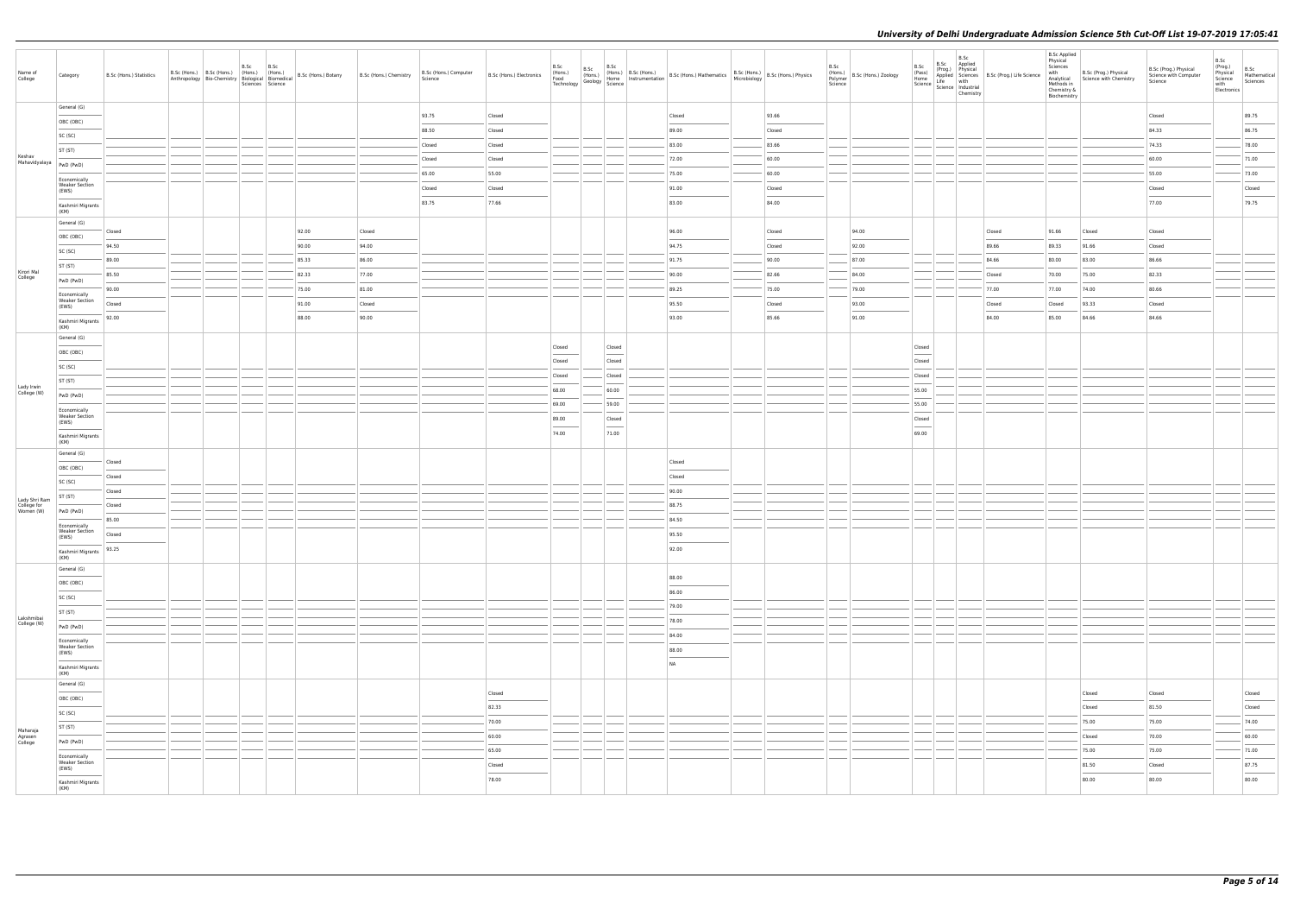| Name of<br>College                  | Category                                                                                                                                                                                                                                                                                                                                                                                                                                                                                | B.Sc (Hons.) Statistics     | B.Sc (Hons.) B.Sc (Hons.) (Hons.) (Hons.)<br>Anthropology Bio-Chemistry   Hons.) (Hons.) B.Sc (Hons.) Botany B.Sc (Hons.) Chemistry   Anthropology   Bio-Chemistry   Biological   Biomedical   B.Sc (Hons.) Botany | B.Sc<br>B.Sc<br>Sciences Science |       |        | B.Sc (Hons.) Computer<br>Science | B.Sc (Hons.) Electronics | B.Sc<br>(Hons.)<br>Food<br>Technology |                         | B.Sc (Hons.) B.Sc (Hons.) B.Sc (Hons.) B.Sc (Hons.) B.Sc (Hons.) B.Sc (Hons.) Physics (Hons.) Physics (Hons.) Physics (Hons.) Physics (Hons.) Physics (Hons.) Physics (Hons.) Physics (Hons.) Physics (Hons.) Physics (Physics |        | B.Sc<br>Science | (Hons.)<br>Polymer B.Sc (Hons.) Zoology | B.Sc<br>(Pass)<br>Home                                                                                                                                                                                                                                                                                                                                                                                                                                                               | B.Sc<br>B.Sc Applied<br>(Prog.) Physical<br>$\left  \frac{\text{Line}}{\text{Science}} \right  \frac{\text{Line}}{\text{Science}} \left  \frac{\text{mine}}{\text{industrial}} \right $<br>Chemistry | Applied Sciences B.Sc (Prog.) Life Science<br>Life with | <b>B.Sc Applied</b><br>Physical<br>Sciences<br>with<br>Methods in<br>Chemistry &<br>Biochemistry | B.Sc (Prog.) Physical<br>Analytical Science with Chemistry | B.Sc (Prog.) Physical<br>Science with Computer<br>Science | B.Sc<br>(Prog.)<br>Physical<br>Science<br>with<br>Electronics | B.Sc<br>Mathematical<br>Sciences   |
|-------------------------------------|-----------------------------------------------------------------------------------------------------------------------------------------------------------------------------------------------------------------------------------------------------------------------------------------------------------------------------------------------------------------------------------------------------------------------------------------------------------------------------------------|-----------------------------|--------------------------------------------------------------------------------------------------------------------------------------------------------------------------------------------------------------------|----------------------------------|-------|--------|----------------------------------|--------------------------|---------------------------------------|-------------------------|--------------------------------------------------------------------------------------------------------------------------------------------------------------------------------------------------------------------------------|--------|-----------------|-----------------------------------------|--------------------------------------------------------------------------------------------------------------------------------------------------------------------------------------------------------------------------------------------------------------------------------------------------------------------------------------------------------------------------------------------------------------------------------------------------------------------------------------|------------------------------------------------------------------------------------------------------------------------------------------------------------------------------------------------------|---------------------------------------------------------|--------------------------------------------------------------------------------------------------|------------------------------------------------------------|-----------------------------------------------------------|---------------------------------------------------------------|------------------------------------|
|                                     | General (G)                                                                                                                                                                                                                                                                                                                                                                                                                                                                             |                             |                                                                                                                                                                                                                    |                                  |       |        | 93.75                            | Closed                   |                                       |                         | Closed                                                                                                                                                                                                                         | 93.66  |                 |                                         |                                                                                                                                                                                                                                                                                                                                                                                                                                                                                      |                                                                                                                                                                                                      |                                                         |                                                                                                  |                                                            | Closed                                                    |                                                               | 89.75                              |
|                                     | OBC (OBC)                                                                                                                                                                                                                                                                                                                                                                                                                                                                               |                             |                                                                                                                                                                                                                    |                                  |       |        | 88.50                            | Closed                   |                                       |                         | 89.00                                                                                                                                                                                                                          | Closed |                 |                                         |                                                                                                                                                                                                                                                                                                                                                                                                                                                                                      |                                                                                                                                                                                                      |                                                         |                                                                                                  |                                                            | 84.33                                                     |                                                               | 86.75                              |
|                                     | SC (SC)                                                                                                                                                                                                                                                                                                                                                                                                                                                                                 |                             |                                                                                                                                                                                                                    |                                  |       |        | Closed                           | Closed                   |                                       |                         | 83.00                                                                                                                                                                                                                          | 83.66  |                 |                                         |                                                                                                                                                                                                                                                                                                                                                                                                                                                                                      |                                                                                                                                                                                                      |                                                         |                                                                                                  |                                                            | 74.33                                                     |                                                               | 78.00                              |
| Keshav<br>Mahavidyalaya   PwD (PwD) | ST (ST)                                                                                                                                                                                                                                                                                                                                                                                                                                                                                 |                             |                                                                                                                                                                                                                    |                                  |       |        | Closed                           | Closed                   |                                       |                         | 72.00                                                                                                                                                                                                                          | 60.00  |                 |                                         |                                                                                                                                                                                                                                                                                                                                                                                                                                                                                      |                                                                                                                                                                                                      |                                                         |                                                                                                  |                                                            | 60.00                                                     |                                                               | 71.00                              |
|                                     |                                                                                                                                                                                                                                                                                                                                                                                                                                                                                         |                             |                                                                                                                                                                                                                    |                                  |       |        | 65.00                            | 55.00                    |                                       |                         | 75.00                                                                                                                                                                                                                          | 60.00  |                 |                                         |                                                                                                                                                                                                                                                                                                                                                                                                                                                                                      |                                                                                                                                                                                                      |                                                         |                                                                                                  |                                                            | 55.00                                                     |                                                               | 73.00                              |
|                                     | Economically<br><b>Weaker Section</b><br>(EWS)                                                                                                                                                                                                                                                                                                                                                                                                                                          |                             |                                                                                                                                                                                                                    |                                  |       |        | Closed                           | Closed                   |                                       |                         | 91.00                                                                                                                                                                                                                          | Closed |                 |                                         |                                                                                                                                                                                                                                                                                                                                                                                                                                                                                      |                                                                                                                                                                                                      |                                                         |                                                                                                  |                                                            | Closed                                                    |                                                               | Closed                             |
|                                     | Kashmiri Migrants                                                                                                                                                                                                                                                                                                                                                                                                                                                                       |                             |                                                                                                                                                                                                                    |                                  |       |        | 83.75                            | 77.66                    |                                       |                         | 83.00                                                                                                                                                                                                                          | 84.00  |                 |                                         |                                                                                                                                                                                                                                                                                                                                                                                                                                                                                      |                                                                                                                                                                                                      |                                                         |                                                                                                  |                                                            | 77.00                                                     |                                                               | 79.75                              |
|                                     | (KM)                                                                                                                                                                                                                                                                                                                                                                                                                                                                                    |                             |                                                                                                                                                                                                                    |                                  |       |        |                                  |                          |                                       |                         |                                                                                                                                                                                                                                |        |                 |                                         |                                                                                                                                                                                                                                                                                                                                                                                                                                                                                      |                                                                                                                                                                                                      |                                                         |                                                                                                  |                                                            |                                                           |                                                               |                                    |
|                                     | General (G)                                                                                                                                                                                                                                                                                                                                                                                                                                                                             | Closed                      |                                                                                                                                                                                                                    |                                  | 92.00 | Closed |                                  |                          |                                       |                         | 96.00                                                                                                                                                                                                                          | Closed |                 | 94.00                                   |                                                                                                                                                                                                                                                                                                                                                                                                                                                                                      |                                                                                                                                                                                                      | Closed                                                  | 91.66                                                                                            | Closed                                                     | Closed                                                    |                                                               |                                    |
|                                     | OBC (OBC)                                                                                                                                                                                                                                                                                                                                                                                                                                                                               | 94.50                       |                                                                                                                                                                                                                    |                                  | 90.00 | 94.00  |                                  |                          |                                       |                         | 94.75                                                                                                                                                                                                                          | Closed |                 | 92.00                                   |                                                                                                                                                                                                                                                                                                                                                                                                                                                                                      |                                                                                                                                                                                                      | 89.66                                                   | 89.33                                                                                            | 91.66                                                      | Closed                                                    |                                                               |                                    |
|                                     | SC (SC)                                                                                                                                                                                                                                                                                                                                                                                                                                                                                 | 89.00                       |                                                                                                                                                                                                                    |                                  | 85.33 | 86.00  |                                  |                          |                                       |                         | 91.75                                                                                                                                                                                                                          | 90.00  |                 | 87.00                                   |                                                                                                                                                                                                                                                                                                                                                                                                                                                                                      |                                                                                                                                                                                                      | 84.66                                                   | 80.00                                                                                            | 83.00                                                      | 86.66                                                     |                                                               |                                    |
| Kirori Mal<br>College               | ST (ST)                                                                                                                                                                                                                                                                                                                                                                                                                                                                                 | 85.50                       |                                                                                                                                                                                                                    |                                  | 82.33 | 77.00  |                                  |                          |                                       |                         | 90.00                                                                                                                                                                                                                          | 82.66  |                 | 84.00                                   |                                                                                                                                                                                                                                                                                                                                                                                                                                                                                      |                                                                                                                                                                                                      | Closed                                                  | 70.00                                                                                            | 75.00                                                      | 82.33                                                     |                                                               |                                    |
|                                     | PwD (PwD)                                                                                                                                                                                                                                                                                                                                                                                                                                                                               | 90.00                       |                                                                                                                                                                                                                    |                                  | 75.00 | 81.00  |                                  |                          |                                       |                         | 89.25                                                                                                                                                                                                                          | 75.00  |                 | 79.00                                   |                                                                                                                                                                                                                                                                                                                                                                                                                                                                                      |                                                                                                                                                                                                      | 77.00                                                   | 77.00                                                                                            | 74.00                                                      | 80.66                                                     |                                                               |                                    |
|                                     | Economically<br><b>Weaker Section</b><br>(EWS)                                                                                                                                                                                                                                                                                                                                                                                                                                          | Closed                      |                                                                                                                                                                                                                    |                                  | 91.00 | Closed |                                  |                          |                                       |                         | 95.50                                                                                                                                                                                                                          | Closed |                 | 93.00                                   |                                                                                                                                                                                                                                                                                                                                                                                                                                                                                      |                                                                                                                                                                                                      | Closed                                                  | Closed                                                                                           | 93.33                                                      | Closed                                                    |                                                               |                                    |
|                                     | Kashmiri Migrants                                                                                                                                                                                                                                                                                                                                                                                                                                                                       | 92.00                       |                                                                                                                                                                                                                    |                                  | 88.00 | 90.00  |                                  |                          |                                       |                         | 93.00                                                                                                                                                                                                                          | 85.66  |                 | 91.00                                   |                                                                                                                                                                                                                                                                                                                                                                                                                                                                                      |                                                                                                                                                                                                      | 84.00                                                   | 85.00                                                                                            | 84.66                                                      | 84.66                                                     |                                                               |                                    |
|                                     | (KM)                                                                                                                                                                                                                                                                                                                                                                                                                                                                                    |                             |                                                                                                                                                                                                                    |                                  |       |        |                                  |                          |                                       |                         |                                                                                                                                                                                                                                |        |                 |                                         |                                                                                                                                                                                                                                                                                                                                                                                                                                                                                      |                                                                                                                                                                                                      |                                                         |                                                                                                  |                                                            |                                                           |                                                               |                                    |
|                                     | General (G)                                                                                                                                                                                                                                                                                                                                                                                                                                                                             |                             |                                                                                                                                                                                                                    |                                  |       |        |                                  |                          | Closed                                | Closed                  |                                                                                                                                                                                                                                |        |                 |                                         | Closed                                                                                                                                                                                                                                                                                                                                                                                                                                                                               |                                                                                                                                                                                                      |                                                         |                                                                                                  |                                                            |                                                           |                                                               |                                    |
|                                     | OBC (OBC)                                                                                                                                                                                                                                                                                                                                                                                                                                                                               |                             |                                                                                                                                                                                                                    |                                  |       |        |                                  |                          | Closed                                | $\frac{1}{2}$<br>Closed |                                                                                                                                                                                                                                |        |                 |                                         | $\frac{1}{2} \left( \frac{1}{2} \right) \left( \frac{1}{2} \right) \left( \frac{1}{2} \right) \left( \frac{1}{2} \right) \left( \frac{1}{2} \right) \left( \frac{1}{2} \right) \left( \frac{1}{2} \right) \left( \frac{1}{2} \right) \left( \frac{1}{2} \right) \left( \frac{1}{2} \right) \left( \frac{1}{2} \right) \left( \frac{1}{2} \right) \left( \frac{1}{2} \right) \left( \frac{1}{2} \right) \left( \frac{1}{2} \right) \left( \frac{1}{2} \right) \left( \frac$<br>Closed |                                                                                                                                                                                                      |                                                         |                                                                                                  |                                                            |                                                           |                                                               |                                    |
|                                     | SC (SC)                                                                                                                                                                                                                                                                                                                                                                                                                                                                                 |                             |                                                                                                                                                                                                                    |                                  |       |        |                                  |                          | Closed                                | Closed                  |                                                                                                                                                                                                                                |        |                 |                                         | Closed                                                                                                                                                                                                                                                                                                                                                                                                                                                                               |                                                                                                                                                                                                      |                                                         |                                                                                                  |                                                            |                                                           |                                                               |                                    |
| Lady Irwin<br>College (W)           | ST (ST)                                                                                                                                                                                                                                                                                                                                                                                                                                                                                 |                             |                                                                                                                                                                                                                    |                                  |       |        |                                  |                          | 68.00                                 | 60.00                   |                                                                                                                                                                                                                                |        |                 |                                         | 55.00                                                                                                                                                                                                                                                                                                                                                                                                                                                                                |                                                                                                                                                                                                      |                                                         |                                                                                                  |                                                            |                                                           |                                                               |                                    |
|                                     | PwD (PwD)                                                                                                                                                                                                                                                                                                                                                                                                                                                                               |                             |                                                                                                                                                                                                                    |                                  |       |        |                                  |                          | 69.00                                 | 59.00                   |                                                                                                                                                                                                                                |        |                 |                                         | 55.00                                                                                                                                                                                                                                                                                                                                                                                                                                                                                |                                                                                                                                                                                                      |                                                         |                                                                                                  |                                                            |                                                           |                                                               |                                    |
|                                     | Economically<br><b>Weaker Section</b><br>(EWS)                                                                                                                                                                                                                                                                                                                                                                                                                                          |                             |                                                                                                                                                                                                                    |                                  |       |        |                                  |                          | 89.00                                 | Closed                  |                                                                                                                                                                                                                                |        |                 |                                         | Closed                                                                                                                                                                                                                                                                                                                                                                                                                                                                               |                                                                                                                                                                                                      |                                                         |                                                                                                  |                                                            |                                                           |                                                               |                                    |
|                                     | Kashmiri Migrants                                                                                                                                                                                                                                                                                                                                                                                                                                                                       |                             |                                                                                                                                                                                                                    |                                  |       |        |                                  |                          | $\frac{1}{2}$<br>74.00                | $\sim$<br>71.00         |                                                                                                                                                                                                                                |        |                 |                                         | $\frac{1}{2}$<br>69.00                                                                                                                                                                                                                                                                                                                                                                                                                                                               |                                                                                                                                                                                                      |                                                         |                                                                                                  |                                                            |                                                           |                                                               |                                    |
|                                     | (KM)                                                                                                                                                                                                                                                                                                                                                                                                                                                                                    |                             |                                                                                                                                                                                                                    |                                  |       |        |                                  |                          |                                       |                         |                                                                                                                                                                                                                                |        |                 |                                         |                                                                                                                                                                                                                                                                                                                                                                                                                                                                                      |                                                                                                                                                                                                      |                                                         |                                                                                                  |                                                            |                                                           |                                                               |                                    |
|                                     | General (G)                                                                                                                                                                                                                                                                                                                                                                                                                                                                             | Closed                      |                                                                                                                                                                                                                    |                                  |       |        |                                  |                          |                                       |                         | Closed                                                                                                                                                                                                                         |        |                 |                                         |                                                                                                                                                                                                                                                                                                                                                                                                                                                                                      |                                                                                                                                                                                                      |                                                         |                                                                                                  |                                                            |                                                           |                                                               |                                    |
|                                     | OBC (OBC)                                                                                                                                                                                                                                                                                                                                                                                                                                                                               | Closed                      |                                                                                                                                                                                                                    |                                  |       |        |                                  |                          |                                       |                         | Closed                                                                                                                                                                                                                         |        |                 |                                         |                                                                                                                                                                                                                                                                                                                                                                                                                                                                                      |                                                                                                                                                                                                      |                                                         |                                                                                                  |                                                            |                                                           |                                                               |                                    |
|                                     | SC (SC)                                                                                                                                                                                                                                                                                                                                                                                                                                                                                 | Closed                      |                                                                                                                                                                                                                    |                                  |       |        |                                  |                          |                                       |                         | 90.00                                                                                                                                                                                                                          |        |                 |                                         |                                                                                                                                                                                                                                                                                                                                                                                                                                                                                      |                                                                                                                                                                                                      |                                                         |                                                                                                  |                                                            |                                                           |                                                               |                                    |
| Lady Shri Ram<br>College for        | ST (ST)                                                                                                                                                                                                                                                                                                                                                                                                                                                                                 | <b>STATISTICS</b><br>Closed |                                                                                                                                                                                                                    |                                  |       |        |                                  |                          |                                       |                         | 88.75                                                                                                                                                                                                                          |        |                 |                                         |                                                                                                                                                                                                                                                                                                                                                                                                                                                                                      |                                                                                                                                                                                                      |                                                         |                                                                                                  |                                                            |                                                           |                                                               |                                    |
| Women (W)                           | PwD (PwD)                                                                                                                                                                                                                                                                                                                                                                                                                                                                               | 85.00                       |                                                                                                                                                                                                                    |                                  |       |        |                                  |                          |                                       |                         | 84.50                                                                                                                                                                                                                          |        |                 |                                         |                                                                                                                                                                                                                                                                                                                                                                                                                                                                                      |                                                                                                                                                                                                      |                                                         |                                                                                                  |                                                            |                                                           |                                                               |                                    |
|                                     | Economically<br><b>Weaker Section</b><br>(EWS)                                                                                                                                                                                                                                                                                                                                                                                                                                          | Closed                      |                                                                                                                                                                                                                    |                                  |       |        |                                  |                          |                                       |                         | 95.50                                                                                                                                                                                                                          |        |                 |                                         |                                                                                                                                                                                                                                                                                                                                                                                                                                                                                      |                                                                                                                                                                                                      |                                                         |                                                                                                  |                                                            |                                                           |                                                               |                                    |
|                                     | Kashmiri Migrants   93.25                                                                                                                                                                                                                                                                                                                                                                                                                                                               |                             |                                                                                                                                                                                                                    |                                  |       |        |                                  |                          |                                       |                         | 92.00                                                                                                                                                                                                                          |        |                 |                                         |                                                                                                                                                                                                                                                                                                                                                                                                                                                                                      |                                                                                                                                                                                                      |                                                         |                                                                                                  |                                                            |                                                           |                                                               |                                    |
|                                     | (KM)<br>General (G)                                                                                                                                                                                                                                                                                                                                                                                                                                                                     |                             |                                                                                                                                                                                                                    |                                  |       |        |                                  |                          |                                       |                         |                                                                                                                                                                                                                                |        |                 |                                         |                                                                                                                                                                                                                                                                                                                                                                                                                                                                                      |                                                                                                                                                                                                      |                                                         |                                                                                                  |                                                            |                                                           |                                                               |                                    |
|                                     | $\frac{1}{2} \left( \frac{1}{2} \right) \left( \frac{1}{2} \right) \left( \frac{1}{2} \right) \left( \frac{1}{2} \right) \left( \frac{1}{2} \right) \left( \frac{1}{2} \right) \left( \frac{1}{2} \right) \left( \frac{1}{2} \right) \left( \frac{1}{2} \right) \left( \frac{1}{2} \right) \left( \frac{1}{2} \right) \left( \frac{1}{2} \right) \left( \frac{1}{2} \right) \left( \frac{1}{2} \right) \left( \frac{1}{2} \right) \left( \frac{1}{2} \right) \left( \frac$<br>OBC (OBC) |                             |                                                                                                                                                                                                                    |                                  |       |        |                                  |                          |                                       |                         | 88.00                                                                                                                                                                                                                          |        |                 |                                         |                                                                                                                                                                                                                                                                                                                                                                                                                                                                                      |                                                                                                                                                                                                      |                                                         |                                                                                                  |                                                            |                                                           |                                                               |                                    |
|                                     | <b>Contract Contract Contract Contract Contract Contract Contract Contract Contract Contract Contract Contract Contract Contract Contract Contract Contract Contract Contract Contract Contract Contract Contract Contract Contr</b><br>SC (SC)                                                                                                                                                                                                                                         |                             |                                                                                                                                                                                                                    |                                  |       |        |                                  |                          |                                       |                         | 86.00                                                                                                                                                                                                                          |        |                 |                                         |                                                                                                                                                                                                                                                                                                                                                                                                                                                                                      |                                                                                                                                                                                                      |                                                         |                                                                                                  |                                                            |                                                           |                                                               |                                    |
|                                     | ST (ST)                                                                                                                                                                                                                                                                                                                                                                                                                                                                                 |                             |                                                                                                                                                                                                                    |                                  |       |        |                                  |                          |                                       |                         | 79.00                                                                                                                                                                                                                          |        |                 |                                         |                                                                                                                                                                                                                                                                                                                                                                                                                                                                                      |                                                                                                                                                                                                      |                                                         |                                                                                                  |                                                            |                                                           |                                                               |                                    |
| Lakshmibai<br>College (W)           | PwD (PwD)                                                                                                                                                                                                                                                                                                                                                                                                                                                                               |                             |                                                                                                                                                                                                                    |                                  |       |        |                                  |                          |                                       |                         | 78.00                                                                                                                                                                                                                          |        |                 |                                         |                                                                                                                                                                                                                                                                                                                                                                                                                                                                                      |                                                                                                                                                                                                      |                                                         |                                                                                                  |                                                            |                                                           |                                                               |                                    |
|                                     | Economically                                                                                                                                                                                                                                                                                                                                                                                                                                                                            |                             |                                                                                                                                                                                                                    |                                  |       |        |                                  |                          |                                       |                         | 84.00                                                                                                                                                                                                                          |        |                 |                                         |                                                                                                                                                                                                                                                                                                                                                                                                                                                                                      |                                                                                                                                                                                                      |                                                         |                                                                                                  |                                                            |                                                           |                                                               |                                    |
|                                     | <b>Weaker Section</b><br>(EWS)                                                                                                                                                                                                                                                                                                                                                                                                                                                          |                             |                                                                                                                                                                                                                    |                                  |       |        |                                  |                          |                                       |                         | 88.00                                                                                                                                                                                                                          |        |                 |                                         |                                                                                                                                                                                                                                                                                                                                                                                                                                                                                      |                                                                                                                                                                                                      |                                                         |                                                                                                  |                                                            |                                                           |                                                               |                                    |
|                                     | Kashmiri Migrants                                                                                                                                                                                                                                                                                                                                                                                                                                                                       |                             |                                                                                                                                                                                                                    |                                  |       |        |                                  |                          |                                       |                         | <b>NA</b>                                                                                                                                                                                                                      |        |                 |                                         |                                                                                                                                                                                                                                                                                                                                                                                                                                                                                      |                                                                                                                                                                                                      |                                                         |                                                                                                  |                                                            |                                                           |                                                               |                                    |
|                                     | (KM)<br>General (G)                                                                                                                                                                                                                                                                                                                                                                                                                                                                     |                             |                                                                                                                                                                                                                    |                                  |       |        |                                  |                          |                                       |                         |                                                                                                                                                                                                                                |        |                 |                                         |                                                                                                                                                                                                                                                                                                                                                                                                                                                                                      |                                                                                                                                                                                                      |                                                         |                                                                                                  |                                                            |                                                           |                                                               |                                    |
|                                     | OBC (OBC)                                                                                                                                                                                                                                                                                                                                                                                                                                                                               |                             |                                                                                                                                                                                                                    |                                  |       |        |                                  | Closed                   |                                       |                         |                                                                                                                                                                                                                                |        |                 |                                         |                                                                                                                                                                                                                                                                                                                                                                                                                                                                                      |                                                                                                                                                                                                      |                                                         |                                                                                                  | Closed                                                     | Closed                                                    |                                                               | Closed                             |
|                                     | SC (SC)                                                                                                                                                                                                                                                                                                                                                                                                                                                                                 |                             |                                                                                                                                                                                                                    |                                  |       |        |                                  | 82.33                    |                                       |                         |                                                                                                                                                                                                                                |        |                 |                                         |                                                                                                                                                                                                                                                                                                                                                                                                                                                                                      |                                                                                                                                                                                                      |                                                         |                                                                                                  | Closed                                                     | 81.50                                                     |                                                               | $\overline{\phantom{a}}$<br>Closed |
|                                     | ST (ST)                                                                                                                                                                                                                                                                                                                                                                                                                                                                                 |                             |                                                                                                                                                                                                                    |                                  |       |        |                                  |                          |                                       |                         |                                                                                                                                                                                                                                |        |                 |                                         |                                                                                                                                                                                                                                                                                                                                                                                                                                                                                      |                                                                                                                                                                                                      |                                                         |                                                                                                  | 75.00                                                      | 75.00                                                     |                                                               | 74.00                              |
| Maharaja<br>Agrasen<br>College      | PwD (PwD)                                                                                                                                                                                                                                                                                                                                                                                                                                                                               |                             |                                                                                                                                                                                                                    |                                  |       |        |                                  | 60.00                    |                                       |                         |                                                                                                                                                                                                                                |        |                 |                                         |                                                                                                                                                                                                                                                                                                                                                                                                                                                                                      |                                                                                                                                                                                                      |                                                         |                                                                                                  | Closed                                                     | 70.00                                                     |                                                               | 60.00                              |
|                                     | Economically                                                                                                                                                                                                                                                                                                                                                                                                                                                                            |                             |                                                                                                                                                                                                                    |                                  |       |        |                                  | 65.00                    |                                       |                         |                                                                                                                                                                                                                                |        |                 |                                         |                                                                                                                                                                                                                                                                                                                                                                                                                                                                                      |                                                                                                                                                                                                      |                                                         |                                                                                                  | 75.00                                                      | 75.00                                                     |                                                               | 71.00                              |
|                                     | <b>Weaker Section</b><br>(EWS)                                                                                                                                                                                                                                                                                                                                                                                                                                                          |                             |                                                                                                                                                                                                                    |                                  |       |        |                                  | Closed                   |                                       |                         |                                                                                                                                                                                                                                |        |                 |                                         |                                                                                                                                                                                                                                                                                                                                                                                                                                                                                      |                                                                                                                                                                                                      |                                                         |                                                                                                  | 81.50                                                      | Closed                                                    |                                                               | 87.75                              |
|                                     | <b>Contract Contract</b><br>Kashmiri Migrants                                                                                                                                                                                                                                                                                                                                                                                                                                           |                             |                                                                                                                                                                                                                    |                                  |       |        |                                  | 78.00                    |                                       |                         |                                                                                                                                                                                                                                |        |                 |                                         |                                                                                                                                                                                                                                                                                                                                                                                                                                                                                      |                                                                                                                                                                                                      |                                                         |                                                                                                  | 80.00                                                      | 80.00                                                     |                                                               | $\sim$<br>80.00                    |
|                                     | (KM)                                                                                                                                                                                                                                                                                                                                                                                                                                                                                    |                             |                                                                                                                                                                                                                    |                                  |       |        |                                  |                          |                                       |                         |                                                                                                                                                                                                                                |        |                 |                                         |                                                                                                                                                                                                                                                                                                                                                                                                                                                                                      |                                                                                                                                                                                                      |                                                         |                                                                                                  |                                                            |                                                           |                                                               |                                    |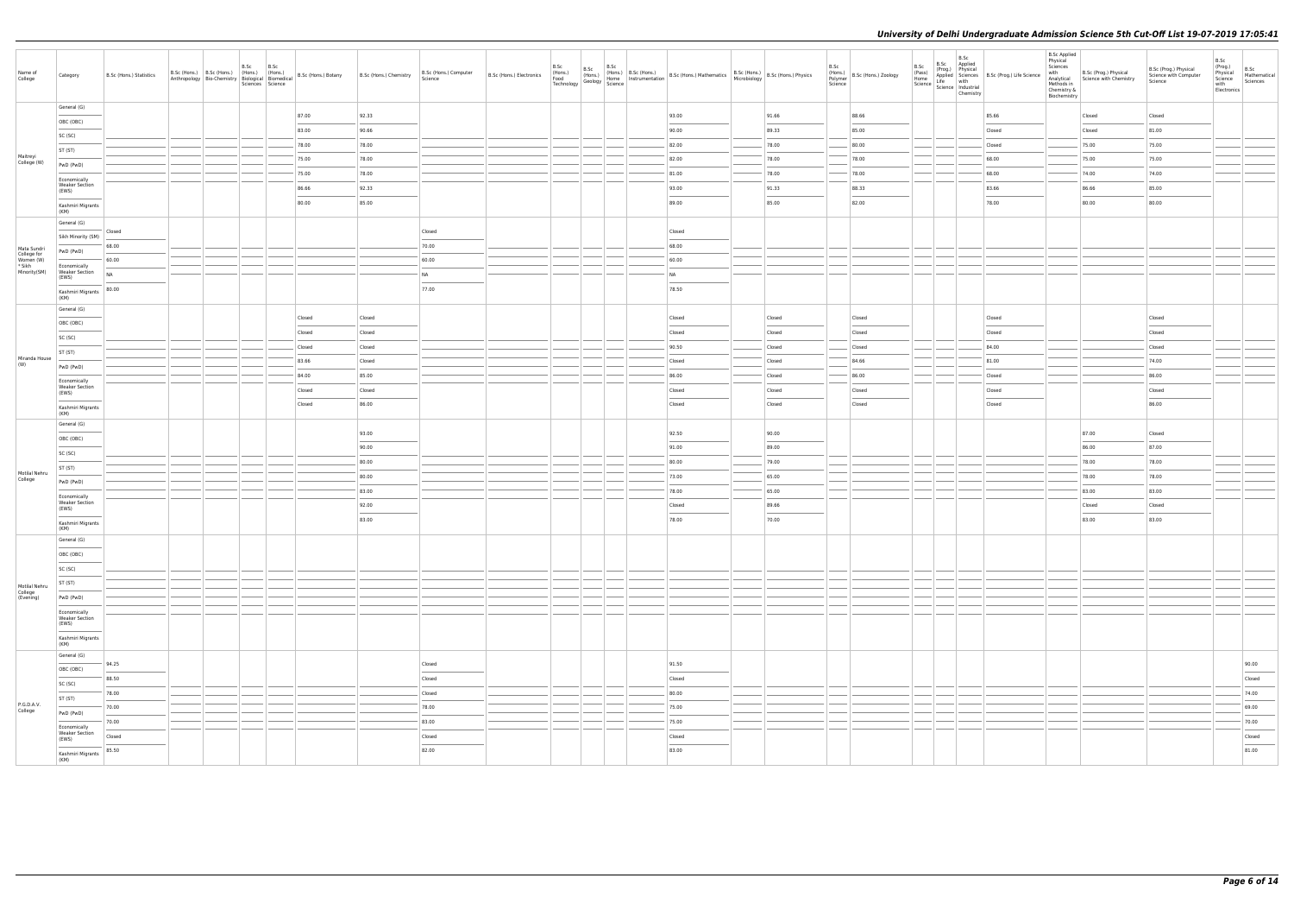| Name of<br>College                 | Category                                                                                                                                                                                                                                                                                                                                                                                                                                                                                                         | B.Sc (Hons.) Statistics | B.Sc<br>Anthropology Bio-Chemistry   Prions.)   (Hons.)   B.Sc (Hons.) Botany   B.Sc (Hons.) Chemistry | B.Sc<br>Sciences Science |        |        | B.Sc (Hons.) Computer<br>Science | B.Sc (Hons.) Electronics |  |  |                 |        | B.Sc<br>Science | (Hons.)<br>Polymer B.Sc (Hons.) Zoology | B.Sc<br>(Pass)<br>Home | B.Sc<br>B.Sc Applied<br>(Prog.) Physical<br>Life with<br>$\left  \frac{\text{Line}}{\text{Science}} \right  \frac{\text{Line}}{\text{Science}} \left  \frac{\text{mine}}{\text{industrial}} \right $<br>Chemistry | Applied Sciences B.Sc (Prog.) Life Science | <b>B.Sc Applied</b><br>Physical<br>Sciences<br>with<br>Methods in<br>Chemistry &<br>Biochemistry | B.Sc (Prog.) Physical<br>Analytical Science with Chemistry | B.Sc (Prog.) Physical<br>Science with Computer<br>Science | B.Sc<br>(Prog.)<br>Physical<br>Science<br>with<br>Electronics | B.Sc<br>Mathematical<br>Sciences |
|------------------------------------|------------------------------------------------------------------------------------------------------------------------------------------------------------------------------------------------------------------------------------------------------------------------------------------------------------------------------------------------------------------------------------------------------------------------------------------------------------------------------------------------------------------|-------------------------|--------------------------------------------------------------------------------------------------------|--------------------------|--------|--------|----------------------------------|--------------------------|--|--|-----------------|--------|-----------------|-----------------------------------------|------------------------|-------------------------------------------------------------------------------------------------------------------------------------------------------------------------------------------------------------------|--------------------------------------------|--------------------------------------------------------------------------------------------------|------------------------------------------------------------|-----------------------------------------------------------|---------------------------------------------------------------|----------------------------------|
|                                    | General (G)                                                                                                                                                                                                                                                                                                                                                                                                                                                                                                      |                         |                                                                                                        | 87.00                    |        | 92.33  |                                  |                          |  |  | 93.00           | 91.66  |                 | 88.66                                   |                        |                                                                                                                                                                                                                   | 85.66                                      |                                                                                                  | Closed                                                     | Closed                                                    |                                                               |                                  |
|                                    | OBC (OBC)                                                                                                                                                                                                                                                                                                                                                                                                                                                                                                        |                         |                                                                                                        |                          | 83.00  | 90.66  |                                  |                          |  |  | 90.00           | 89.33  |                 | 85.00                                   |                        |                                                                                                                                                                                                                   | Closed                                     |                                                                                                  | Closed                                                     | 81.00                                                     |                                                               |                                  |
|                                    | SC (SC)                                                                                                                                                                                                                                                                                                                                                                                                                                                                                                          |                         |                                                                                                        | 78.00                    |        | 78.00  |                                  |                          |  |  | 82.00           | 78.00  |                 | 80.00                                   |                        |                                                                                                                                                                                                                   | Closed                                     |                                                                                                  | 75.00                                                      | 75.00                                                     |                                                               |                                  |
| Maitreyi<br>College (W)            | ST (ST)                                                                                                                                                                                                                                                                                                                                                                                                                                                                                                          |                         |                                                                                                        |                          | 75.00  | 78.00  |                                  |                          |  |  | 82.00           | 78.00  |                 | 78.00                                   |                        |                                                                                                                                                                                                                   | 68.00                                      |                                                                                                  | 75.00                                                      | 75.00                                                     |                                                               |                                  |
|                                    | PwD (PwD)                                                                                                                                                                                                                                                                                                                                                                                                                                                                                                        |                         |                                                                                                        | 75.00                    |        | 78.00  |                                  |                          |  |  | 81.00           | 78.00  |                 | 78.00                                   |                        |                                                                                                                                                                                                                   | 68.00                                      |                                                                                                  | 74.00                                                      | 74.00                                                     |                                                               |                                  |
|                                    | Economically<br><b>Weaker Section</b>                                                                                                                                                                                                                                                                                                                                                                                                                                                                            |                         |                                                                                                        | 86.66                    |        | 92.33  |                                  |                          |  |  | 93.00           | 91.33  |                 | 88.33                                   |                        |                                                                                                                                                                                                                   | 83.66                                      |                                                                                                  | 86.66                                                      | 85.00                                                     |                                                               |                                  |
|                                    | (EWS)<br>$\frac{1}{2} \left( \frac{1}{2} \right) \left( \frac{1}{2} \right) \left( \frac{1}{2} \right) \left( \frac{1}{2} \right) \left( \frac{1}{2} \right) \left( \frac{1}{2} \right) \left( \frac{1}{2} \right) \left( \frac{1}{2} \right) \left( \frac{1}{2} \right) \left( \frac{1}{2} \right) \left( \frac{1}{2} \right) \left( \frac{1}{2} \right) \left( \frac{1}{2} \right) \left( \frac{1}{2} \right) \left( \frac{1}{2} \right) \left( \frac{1}{2} \right) \left( \frac$<br>Kashmiri Migrants<br>(KM) |                         |                                                                                                        | 80.00                    |        | 85.00  |                                  |                          |  |  | 89.00           | 85.00  |                 | 82.00                                   |                        |                                                                                                                                                                                                                   | 78.00                                      |                                                                                                  | 80.00                                                      | 80.00                                                     |                                                               |                                  |
|                                    | General (G)                                                                                                                                                                                                                                                                                                                                                                                                                                                                                                      |                         |                                                                                                        |                          |        |        |                                  |                          |  |  |                 |        |                 |                                         |                        |                                                                                                                                                                                                                   |                                            |                                                                                                  |                                                            |                                                           |                                                               |                                  |
|                                    | Sikh Minority (SM)                                                                                                                                                                                                                                                                                                                                                                                                                                                                                               | Closed                  |                                                                                                        |                          |        |        | Closed                           |                          |  |  | Closed          |        |                 |                                         |                        |                                                                                                                                                                                                                   |                                            |                                                                                                  |                                                            |                                                           |                                                               |                                  |
| Mata Sundri                        | PwD (PwD)                                                                                                                                                                                                                                                                                                                                                                                                                                                                                                        | 68.00                   |                                                                                                        |                          |        |        | 70.00                            |                          |  |  | 68.00           |        |                 |                                         |                        |                                                                                                                                                                                                                   |                                            |                                                                                                  |                                                            |                                                           |                                                               |                                  |
| College for<br>Women (W)<br>* Sikh | Economically                                                                                                                                                                                                                                                                                                                                                                                                                                                                                                     | 60.00                   |                                                                                                        |                          |        |        | 60.00                            |                          |  |  | 60.00           |        |                 |                                         |                        |                                                                                                                                                                                                                   |                                            |                                                                                                  |                                                            |                                                           |                                                               |                                  |
| Minority(SM)                       | <b>Weaker Section</b><br>(EWS)                                                                                                                                                                                                                                                                                                                                                                                                                                                                                   | NA                      |                                                                                                        |                          |        |        | <b>NA</b>                        |                          |  |  | <b>NA</b>       |        |                 |                                         |                        |                                                                                                                                                                                                                   |                                            |                                                                                                  |                                                            |                                                           |                                                               |                                  |
|                                    | Kashmiri Migrants                                                                                                                                                                                                                                                                                                                                                                                                                                                                                                | 80.00                   |                                                                                                        |                          |        |        | 77.00                            |                          |  |  | 78.50           |        |                 |                                         |                        |                                                                                                                                                                                                                   |                                            |                                                                                                  |                                                            |                                                           |                                                               |                                  |
|                                    | (KM)<br>General (G)                                                                                                                                                                                                                                                                                                                                                                                                                                                                                              |                         |                                                                                                        |                          |        |        |                                  |                          |  |  |                 |        |                 |                                         |                        |                                                                                                                                                                                                                   |                                            |                                                                                                  |                                                            |                                                           |                                                               |                                  |
|                                    | OBC (OBC)                                                                                                                                                                                                                                                                                                                                                                                                                                                                                                        |                         |                                                                                                        | Closed                   |        | Closed |                                  |                          |  |  | Closed          | Closed |                 | Closed                                  |                        |                                                                                                                                                                                                                   | Closed                                     |                                                                                                  |                                                            | Closed                                                    |                                                               |                                  |
|                                    | SC (SC)                                                                                                                                                                                                                                                                                                                                                                                                                                                                                                          |                         |                                                                                                        |                          | Closed | Closed |                                  |                          |  |  | Closed          | Closed |                 | Closed                                  |                        |                                                                                                                                                                                                                   | Closed                                     |                                                                                                  |                                                            | Closed                                                    |                                                               |                                  |
|                                    | ST (ST)                                                                                                                                                                                                                                                                                                                                                                                                                                                                                                          |                         |                                                                                                        | Closed                   |        | Closed |                                  |                          |  |  | 90.50           | Closed |                 | Closed                                  |                        |                                                                                                                                                                                                                   | 84.00                                      |                                                                                                  |                                                            | Closed                                                    |                                                               |                                  |
| Miranda House<br>(W)               | PwD (PwD)                                                                                                                                                                                                                                                                                                                                                                                                                                                                                                        |                         |                                                                                                        | 83.66                    |        | Closed |                                  |                          |  |  | Closed          | Closed |                 | 84.66                                   |                        |                                                                                                                                                                                                                   | 81.00                                      |                                                                                                  |                                                            | 74.00                                                     |                                                               |                                  |
|                                    | and the control of the con-<br>Economically                                                                                                                                                                                                                                                                                                                                                                                                                                                                      |                         |                                                                                                        | 84.00                    |        | 85.00  |                                  |                          |  |  | 86.00           | Closed |                 | 86.00                                   |                        |                                                                                                                                                                                                                   | Closed                                     |                                                                                                  |                                                            | 86.00                                                     |                                                               |                                  |
|                                    | <b>Weaker Section</b><br>(EWS)                                                                                                                                                                                                                                                                                                                                                                                                                                                                                   |                         |                                                                                                        | Closed                   |        | Closed |                                  |                          |  |  | Closed          | Closed |                 | Closed                                  |                        |                                                                                                                                                                                                                   | Closed                                     |                                                                                                  |                                                            | Closed                                                    |                                                               |                                  |
|                                    | the contract of the contract of<br>Kashmiri Migrants                                                                                                                                                                                                                                                                                                                                                                                                                                                             |                         |                                                                                                        |                          | Closed | 86.00  |                                  |                          |  |  | Closed          | Closed |                 | Closed                                  |                        |                                                                                                                                                                                                                   | Closed                                     |                                                                                                  |                                                            | 86.00                                                     |                                                               |                                  |
|                                    | (KM)<br>General (G)                                                                                                                                                                                                                                                                                                                                                                                                                                                                                              |                         |                                                                                                        |                          |        |        |                                  |                          |  |  |                 |        |                 |                                         |                        |                                                                                                                                                                                                                   |                                            |                                                                                                  |                                                            |                                                           |                                                               |                                  |
|                                    | OBC (OBC)                                                                                                                                                                                                                                                                                                                                                                                                                                                                                                        |                         |                                                                                                        |                          |        | 93.00  |                                  |                          |  |  | 92.50           | 90.00  |                 |                                         |                        |                                                                                                                                                                                                                   |                                            |                                                                                                  | 87.00                                                      | Closed                                                    |                                                               |                                  |
|                                    | SC (SC)                                                                                                                                                                                                                                                                                                                                                                                                                                                                                                          |                         |                                                                                                        |                          |        | 90.00  |                                  |                          |  |  | 91.00           | 89.00  |                 |                                         |                        |                                                                                                                                                                                                                   |                                            |                                                                                                  | 86.00                                                      | 87.00                                                     |                                                               |                                  |
|                                    | ST (ST)                                                                                                                                                                                                                                                                                                                                                                                                                                                                                                          |                         |                                                                                                        |                          |        | 80.00  |                                  |                          |  |  | 80.00           | 79.00  |                 |                                         |                        |                                                                                                                                                                                                                   |                                            |                                                                                                  | 78.00                                                      | 78.00                                                     |                                                               |                                  |
| Motilal Nehru<br>College           | PwD (PwD)                                                                                                                                                                                                                                                                                                                                                                                                                                                                                                        |                         |                                                                                                        |                          |        | 80.00  |                                  |                          |  |  | 73.00           | 65.00  |                 |                                         |                        |                                                                                                                                                                                                                   |                                            |                                                                                                  | 78.00                                                      | 78.00                                                     |                                                               |                                  |
|                                    | Economically                                                                                                                                                                                                                                                                                                                                                                                                                                                                                                     |                         |                                                                                                        |                          |        | 83.00  |                                  |                          |  |  | 78.00           | 65.00  |                 |                                         |                        |                                                                                                                                                                                                                   |                                            |                                                                                                  | 83.00                                                      | 83.00                                                     |                                                               |                                  |
|                                    | <b>Weaker Section</b><br>(EWS)                                                                                                                                                                                                                                                                                                                                                                                                                                                                                   |                         |                                                                                                        |                          |        | 92.00  |                                  |                          |  |  | Closed          | 89.66  |                 |                                         |                        |                                                                                                                                                                                                                   |                                            |                                                                                                  | Closed                                                     | Closed                                                    |                                                               |                                  |
|                                    | Kashmiri Migrants<br>(KM)                                                                                                                                                                                                                                                                                                                                                                                                                                                                                        |                         |                                                                                                        |                          |        | 83.00  |                                  |                          |  |  | 78.00           | 70.00  |                 |                                         |                        |                                                                                                                                                                                                                   |                                            |                                                                                                  | 83.00                                                      | 83.00                                                     |                                                               |                                  |
|                                    | General (G)                                                                                                                                                                                                                                                                                                                                                                                                                                                                                                      |                         |                                                                                                        |                          |        |        |                                  |                          |  |  |                 |        |                 |                                         |                        |                                                                                                                                                                                                                   |                                            |                                                                                                  |                                                            |                                                           |                                                               |                                  |
|                                    | OBC (OBC)                                                                                                                                                                                                                                                                                                                                                                                                                                                                                                        |                         |                                                                                                        |                          |        |        |                                  |                          |  |  |                 |        |                 |                                         |                        |                                                                                                                                                                                                                   |                                            |                                                                                                  |                                                            |                                                           |                                                               |                                  |
|                                    | SC (SC)                                                                                                                                                                                                                                                                                                                                                                                                                                                                                                          |                         |                                                                                                        |                          |        |        |                                  |                          |  |  |                 |        |                 |                                         |                        |                                                                                                                                                                                                                   |                                            |                                                                                                  |                                                            |                                                           |                                                               |                                  |
| Motilal Nehru                      | ST (ST)                                                                                                                                                                                                                                                                                                                                                                                                                                                                                                          |                         |                                                                                                        |                          |        |        |                                  |                          |  |  |                 |        |                 |                                         |                        |                                                                                                                                                                                                                   |                                            |                                                                                                  |                                                            |                                                           |                                                               |                                  |
| College<br>(Evening)               | PwD (PwD)                                                                                                                                                                                                                                                                                                                                                                                                                                                                                                        |                         |                                                                                                        |                          |        |        |                                  |                          |  |  |                 |        |                 |                                         |                        |                                                                                                                                                                                                                   |                                            |                                                                                                  |                                                            |                                                           |                                                               |                                  |
|                                    | Economically<br><b>Weaker Section</b><br>(EWS)                                                                                                                                                                                                                                                                                                                                                                                                                                                                   |                         |                                                                                                        |                          |        |        |                                  |                          |  |  |                 |        |                 |                                         |                        |                                                                                                                                                                                                                   |                                            |                                                                                                  |                                                            |                                                           |                                                               |                                  |
|                                    | Kashmiri Migrants<br>(KM)                                                                                                                                                                                                                                                                                                                                                                                                                                                                                        |                         |                                                                                                        |                          |        |        |                                  |                          |  |  |                 |        |                 |                                         |                        |                                                                                                                                                                                                                   |                                            |                                                                                                  |                                                            |                                                           |                                                               |                                  |
|                                    | General (G)<br>$\frac{1}{2} \left( \frac{1}{2} \right) \left( \frac{1}{2} \right) \left( \frac{1}{2} \right) \left( \frac{1}{2} \right) \left( \frac{1}{2} \right) \left( \frac{1}{2} \right) \left( \frac{1}{2} \right) \left( \frac{1}{2} \right) \left( \frac{1}{2} \right) \left( \frac{1}{2} \right) \left( \frac{1}{2} \right) \left( \frac{1}{2} \right) \left( \frac{1}{2} \right) \left( \frac{1}{2} \right) \left( \frac{1}{2} \right) \left( \frac{1}{2} \right) \left( \frac$                        |                         |                                                                                                        |                          |        |        |                                  |                          |  |  |                 |        |                 |                                         |                        |                                                                                                                                                                                                                   |                                            |                                                                                                  |                                                            |                                                           |                                                               |                                  |
|                                    | OBC (OBC)                                                                                                                                                                                                                                                                                                                                                                                                                                                                                                        | 94.25<br>88.50          |                                                                                                        |                          |        |        | Closed<br>Closed                 |                          |  |  | 91.50<br>Closed |        |                 |                                         |                        |                                                                                                                                                                                                                   |                                            |                                                                                                  |                                                            |                                                           |                                                               | 90.00<br>Closed                  |
|                                    | SC (SC)                                                                                                                                                                                                                                                                                                                                                                                                                                                                                                          |                         |                                                                                                        |                          |        |        |                                  |                          |  |  |                 |        |                 |                                         |                        |                                                                                                                                                                                                                   |                                            |                                                                                                  |                                                            |                                                           |                                                               |                                  |
|                                    | ST (ST)                                                                                                                                                                                                                                                                                                                                                                                                                                                                                                          | 78.00                   |                                                                                                        |                          |        |        | Closed                           |                          |  |  | 80.00           |        |                 |                                         |                        |                                                                                                                                                                                                                   |                                            |                                                                                                  |                                                            |                                                           |                                                               | 74.00                            |
| P.G.D.A.V.<br>College              | PwD (PwD)                                                                                                                                                                                                                                                                                                                                                                                                                                                                                                        | 70.00                   |                                                                                                        |                          |        |        | 78.00                            |                          |  |  | 75.00           |        |                 |                                         |                        |                                                                                                                                                                                                                   |                                            |                                                                                                  |                                                            |                                                           |                                                               | 69.00                            |
|                                    | Economically<br><b>Weaker Section</b>                                                                                                                                                                                                                                                                                                                                                                                                                                                                            | 70.00                   |                                                                                                        |                          |        |        | 83.00                            |                          |  |  | 75.00           |        |                 |                                         |                        |                                                                                                                                                                                                                   |                                            |                                                                                                  |                                                            |                                                           |                                                               | 70.00                            |
|                                    | (EWS)                                                                                                                                                                                                                                                                                                                                                                                                                                                                                                            | Closed                  |                                                                                                        |                          |        |        | Closed                           |                          |  |  | Closed          |        |                 |                                         |                        |                                                                                                                                                                                                                   |                                            |                                                                                                  |                                                            |                                                           |                                                               | Closed                           |
|                                    | Kashmiri Migrants<br>(KM)                                                                                                                                                                                                                                                                                                                                                                                                                                                                                        | 85.50                   |                                                                                                        |                          |        |        | 82.00                            |                          |  |  | 83.00           |        |                 |                                         |                        |                                                                                                                                                                                                                   |                                            |                                                                                                  |                                                            |                                                           |                                                               | 81.00                            |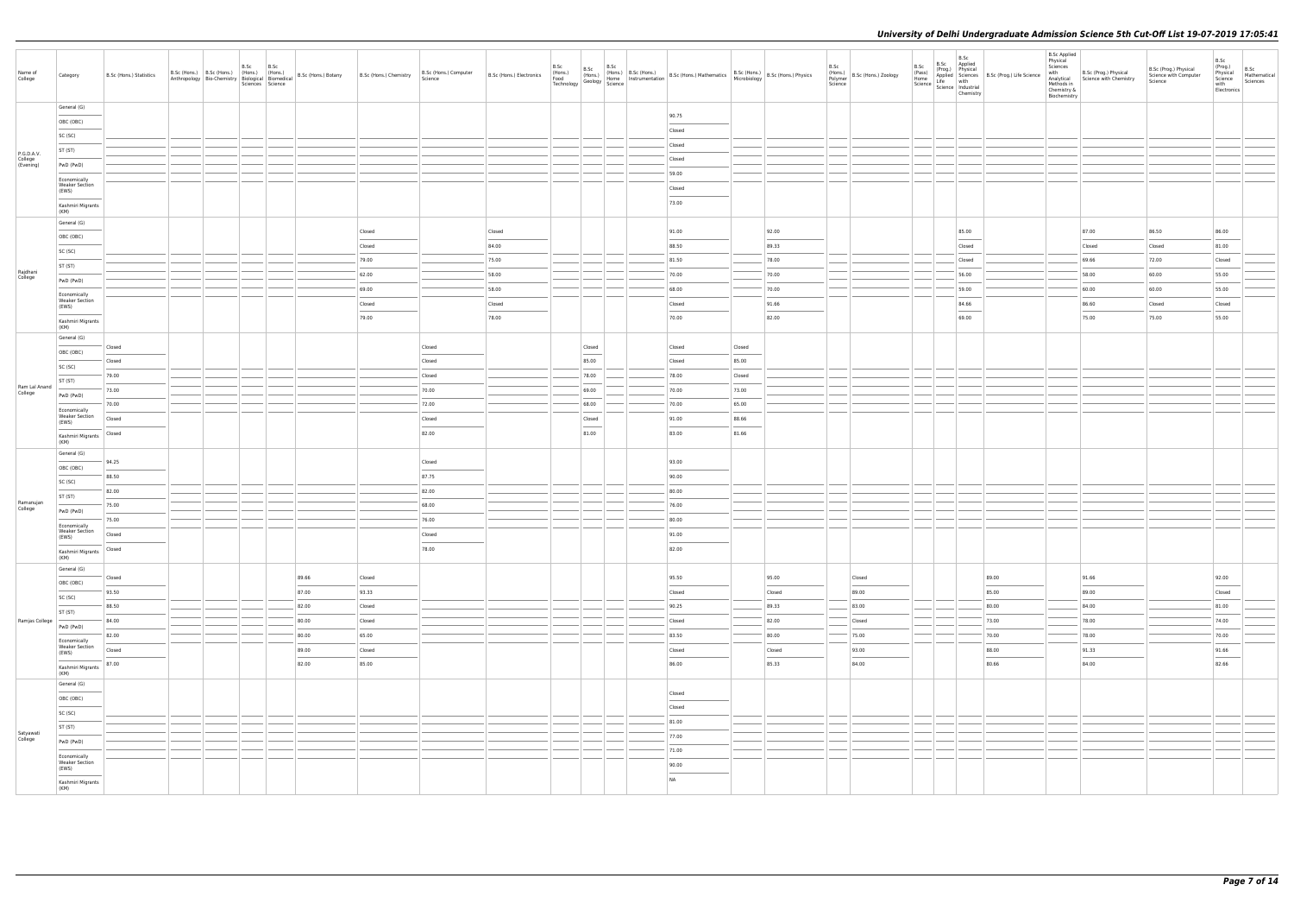| Name of<br>College       | Category                                                                                                                                                                                                                                                                                                                                                                                                                                                                                                | B.Sc (Hons.) Statistics      |  | B.Sc | B.Sc<br>Sciences Science |       | Anthropology   Bio-Chemistry   Biological   Biomedical   B.Sc (Hons.) Botany   B.Sc (Hons.) Chemistry | B.Sc (Hons.) Computer<br>Science | B.Sc (Hons.) Electronics | B.Sc<br>(Hons.)<br>Food<br>Technology | B.Sc                                                                                                                                                                                                                                                                                                                                                                                                                                                                                | B.Sc | B.Sc (Hons.) (Hons.) B.Sc (Hons.) B.Sc (Hons.) Mathematics B.Sc (Hons.) B.Sc (Hons.) Physics (Hons.) Physics (Hons.) Physics (Hons.) Physics (Hons.) Physics (Plane) B.Sc (Hons.) Physics (Plane) B.Sc (Hons.) Physics (Plane) |        |                | B.Sc<br>Science | (Hons.)<br>Polymer   B.Sc (Hons.) Zoology | B.Sc<br>(Pass)<br>Home | B.Sc<br>B.Sc<br>Applied<br>(Prog.) Physical<br>Science   Science   Industrial                                                                                                                                                                                                                                                                                                                                                                                                       | Chemistry                         | Applied Sciences B.Sc (Prog.) Life Science<br>Life with | <b>B.Sc Applied</b><br>Physical<br>Sciences<br>with<br>Methods in<br>Chemistry &<br>Biochemistry | B.Sc (Prog.) Physical<br>Analytical Science with Chemistry | B.Sc (Prog.) Physical<br>Science with Computer<br>Science | B.Sc<br>(Prog.)<br>B.Sc<br>Physical<br>Science<br>Mathematical<br>Sciences<br>with<br>Electronics                                                                                                                                                                                                                                                                                                                                                                                   |
|--------------------------|---------------------------------------------------------------------------------------------------------------------------------------------------------------------------------------------------------------------------------------------------------------------------------------------------------------------------------------------------------------------------------------------------------------------------------------------------------------------------------------------------------|------------------------------|--|------|--------------------------|-------|-------------------------------------------------------------------------------------------------------|----------------------------------|--------------------------|---------------------------------------|-------------------------------------------------------------------------------------------------------------------------------------------------------------------------------------------------------------------------------------------------------------------------------------------------------------------------------------------------------------------------------------------------------------------------------------------------------------------------------------|------|--------------------------------------------------------------------------------------------------------------------------------------------------------------------------------------------------------------------------------|--------|----------------|-----------------|-------------------------------------------|------------------------|-------------------------------------------------------------------------------------------------------------------------------------------------------------------------------------------------------------------------------------------------------------------------------------------------------------------------------------------------------------------------------------------------------------------------------------------------------------------------------------|-----------------------------------|---------------------------------------------------------|--------------------------------------------------------------------------------------------------|------------------------------------------------------------|-----------------------------------------------------------|-------------------------------------------------------------------------------------------------------------------------------------------------------------------------------------------------------------------------------------------------------------------------------------------------------------------------------------------------------------------------------------------------------------------------------------------------------------------------------------|
|                          | General (G)<br>OBC (OBC)                                                                                                                                                                                                                                                                                                                                                                                                                                                                                |                              |  |      |                          |       |                                                                                                       |                                  |                          |                                       |                                                                                                                                                                                                                                                                                                                                                                                                                                                                                     |      | 90.75                                                                                                                                                                                                                          |        |                |                 |                                           |                        |                                                                                                                                                                                                                                                                                                                                                                                                                                                                                     |                                   |                                                         |                                                                                                  |                                                            |                                                           |                                                                                                                                                                                                                                                                                                                                                                                                                                                                                     |
|                          | SC (SC)                                                                                                                                                                                                                                                                                                                                                                                                                                                                                                 |                              |  |      |                          |       |                                                                                                       |                                  |                          |                                       |                                                                                                                                                                                                                                                                                                                                                                                                                                                                                     |      | Closed                                                                                                                                                                                                                         |        |                |                 |                                           |                        |                                                                                                                                                                                                                                                                                                                                                                                                                                                                                     |                                   |                                                         |                                                                                                  |                                                            |                                                           |                                                                                                                                                                                                                                                                                                                                                                                                                                                                                     |
| P.G.D.A.V.               | ST (ST)                                                                                                                                                                                                                                                                                                                                                                                                                                                                                                 |                              |  |      |                          |       |                                                                                                       |                                  |                          |                                       |                                                                                                                                                                                                                                                                                                                                                                                                                                                                                     |      | Closed                                                                                                                                                                                                                         |        |                |                 |                                           |                        |                                                                                                                                                                                                                                                                                                                                                                                                                                                                                     |                                   |                                                         |                                                                                                  |                                                            |                                                           |                                                                                                                                                                                                                                                                                                                                                                                                                                                                                     |
| College<br>(Evening)     | PwD (PwD)                                                                                                                                                                                                                                                                                                                                                                                                                                                                                               |                              |  |      |                          |       |                                                                                                       |                                  |                          |                                       |                                                                                                                                                                                                                                                                                                                                                                                                                                                                                     |      | Closed                                                                                                                                                                                                                         |        |                |                 |                                           |                        |                                                                                                                                                                                                                                                                                                                                                                                                                                                                                     |                                   |                                                         |                                                                                                  |                                                            |                                                           |                                                                                                                                                                                                                                                                                                                                                                                                                                                                                     |
|                          | Economically<br><b>Weaker Section</b>                                                                                                                                                                                                                                                                                                                                                                                                                                                                   |                              |  |      |                          |       |                                                                                                       |                                  |                          |                                       |                                                                                                                                                                                                                                                                                                                                                                                                                                                                                     |      | 59.00<br>Closed                                                                                                                                                                                                                |        |                |                 |                                           |                        |                                                                                                                                                                                                                                                                                                                                                                                                                                                                                     |                                   |                                                         |                                                                                                  |                                                            |                                                           |                                                                                                                                                                                                                                                                                                                                                                                                                                                                                     |
|                          | (EWS)<br>Kashmiri Migrants<br>(KM)                                                                                                                                                                                                                                                                                                                                                                                                                                                                      |                              |  |      |                          |       |                                                                                                       |                                  |                          |                                       |                                                                                                                                                                                                                                                                                                                                                                                                                                                                                     |      | 73.00                                                                                                                                                                                                                          |        |                |                 |                                           |                        |                                                                                                                                                                                                                                                                                                                                                                                                                                                                                     |                                   |                                                         |                                                                                                  |                                                            |                                                           |                                                                                                                                                                                                                                                                                                                                                                                                                                                                                     |
|                          | General (G)                                                                                                                                                                                                                                                                                                                                                                                                                                                                                             |                              |  |      |                          |       |                                                                                                       |                                  |                          |                                       |                                                                                                                                                                                                                                                                                                                                                                                                                                                                                     |      |                                                                                                                                                                                                                                |        |                |                 |                                           |                        |                                                                                                                                                                                                                                                                                                                                                                                                                                                                                     |                                   |                                                         |                                                                                                  |                                                            |                                                           |                                                                                                                                                                                                                                                                                                                                                                                                                                                                                     |
|                          | OBC (OBC)                                                                                                                                                                                                                                                                                                                                                                                                                                                                                               |                              |  |      |                          |       | Closed                                                                                                |                                  | Closed                   |                                       |                                                                                                                                                                                                                                                                                                                                                                                                                                                                                     |      | 91.00                                                                                                                                                                                                                          |        | 92.00          |                 |                                           |                        | 85.00<br>$\frac{1}{2}$                                                                                                                                                                                                                                                                                                                                                                                                                                                              |                                   |                                                         |                                                                                                  | 87.00                                                      | 86.50                                                     | 86.00                                                                                                                                                                                                                                                                                                                                                                                                                                                                               |
|                          | SC (SC)                                                                                                                                                                                                                                                                                                                                                                                                                                                                                                 |                              |  |      |                          |       | Closed                                                                                                |                                  | 84.00                    |                                       |                                                                                                                                                                                                                                                                                                                                                                                                                                                                                     |      | 88.50                                                                                                                                                                                                                          |        | 89.33          |                 |                                           |                        | Closed                                                                                                                                                                                                                                                                                                                                                                                                                                                                              |                                   |                                                         |                                                                                                  | Closed                                                     | Closed                                                    | 81.00                                                                                                                                                                                                                                                                                                                                                                                                                                                                               |
| Rajdhani                 | ST (ST)                                                                                                                                                                                                                                                                                                                                                                                                                                                                                                 |                              |  |      |                          |       | 79.00                                                                                                 |                                  | 75.00                    |                                       |                                                                                                                                                                                                                                                                                                                                                                                                                                                                                     |      | 81.50                                                                                                                                                                                                                          |        | 78.00          |                 |                                           |                        | Closed                                                                                                                                                                                                                                                                                                                                                                                                                                                                              |                                   |                                                         |                                                                                                  | 69.66                                                      | 72.00                                                     | Closed                                                                                                                                                                                                                                                                                                                                                                                                                                                                              |
| College                  | PwD (PwD)                                                                                                                                                                                                                                                                                                                                                                                                                                                                                               |                              |  |      |                          |       | 62.00                                                                                                 |                                  | 58.00                    |                                       |                                                                                                                                                                                                                                                                                                                                                                                                                                                                                     |      | 70.00                                                                                                                                                                                                                          |        | 70.00          |                 |                                           |                        | 56.00                                                                                                                                                                                                                                                                                                                                                                                                                                                                               |                                   |                                                         |                                                                                                  | 58.00                                                      | 60.00                                                     | 55.00                                                                                                                                                                                                                                                                                                                                                                                                                                                                               |
|                          | Economically<br><b>Weaker Section</b>                                                                                                                                                                                                                                                                                                                                                                                                                                                                   |                              |  |      |                          |       | 69.00<br>Closed                                                                                       |                                  | 58.00<br>Closed          |                                       |                                                                                                                                                                                                                                                                                                                                                                                                                                                                                     |      | 68.00<br>Closed                                                                                                                                                                                                                |        | 70.00<br>91.66 |                 |                                           |                        | 59.00<br>84.66                                                                                                                                                                                                                                                                                                                                                                                                                                                                      |                                   |                                                         |                                                                                                  | 60.00<br>86.60                                             | 60.00<br>Closed                                           | 55.00<br>Closed                                                                                                                                                                                                                                                                                                                                                                                                                                                                     |
|                          | (EWS)<br>Kashmiri Migrants<br>(KM)                                                                                                                                                                                                                                                                                                                                                                                                                                                                      |                              |  |      |                          |       | 79.00                                                                                                 |                                  | 78.00                    |                                       |                                                                                                                                                                                                                                                                                                                                                                                                                                                                                     |      | 70.00                                                                                                                                                                                                                          |        | 82.00          |                 |                                           |                        | $\frac{1}{2} \left( \frac{1}{2} \right) \left( \frac{1}{2} \right) \left( \frac{1}{2} \right) \left( \frac{1}{2} \right) \left( \frac{1}{2} \right) \left( \frac{1}{2} \right) \left( \frac{1}{2} \right) \left( \frac{1}{2} \right) \left( \frac{1}{2} \right) \left( \frac{1}{2} \right) \left( \frac{1}{2} \right) \left( \frac{1}{2} \right) \left( \frac{1}{2} \right) \left( \frac{1}{2} \right) \left( \frac{1}{2} \right) \left( \frac{1}{2} \right) \left( \frac$<br>69.00 |                                   |                                                         |                                                                                                  | 75.00                                                      | 75.00                                                     | 55.00                                                                                                                                                                                                                                                                                                                                                                                                                                                                               |
|                          | General (G)                                                                                                                                                                                                                                                                                                                                                                                                                                                                                             | Closed                       |  |      |                          |       |                                                                                                       | Closed                           |                          |                                       | Closed                                                                                                                                                                                                                                                                                                                                                                                                                                                                              |      | Closed                                                                                                                                                                                                                         | Closed |                |                 |                                           |                        |                                                                                                                                                                                                                                                                                                                                                                                                                                                                                     |                                   |                                                         |                                                                                                  |                                                            |                                                           |                                                                                                                                                                                                                                                                                                                                                                                                                                                                                     |
|                          | OBC (OBC)                                                                                                                                                                                                                                                                                                                                                                                                                                                                                               | Closed                       |  |      |                          |       |                                                                                                       | Closed                           |                          |                                       | 85.00                                                                                                                                                                                                                                                                                                                                                                                                                                                                               |      | Closed                                                                                                                                                                                                                         | 85.00  |                |                 |                                           |                        |                                                                                                                                                                                                                                                                                                                                                                                                                                                                                     |                                   |                                                         |                                                                                                  |                                                            |                                                           |                                                                                                                                                                                                                                                                                                                                                                                                                                                                                     |
|                          | SC (SC)                                                                                                                                                                                                                                                                                                                                                                                                                                                                                                 | 79.00                        |  |      |                          |       |                                                                                                       | Closed                           |                          |                                       | 78.00                                                                                                                                                                                                                                                                                                                                                                                                                                                                               |      | 78.00                                                                                                                                                                                                                          | Closed |                |                 |                                           |                        |                                                                                                                                                                                                                                                                                                                                                                                                                                                                                     |                                   |                                                         |                                                                                                  |                                                            |                                                           |                                                                                                                                                                                                                                                                                                                                                                                                                                                                                     |
| Ram Lal Anand<br>College | ST (ST)                                                                                                                                                                                                                                                                                                                                                                                                                                                                                                 | 73.00                        |  |      |                          |       |                                                                                                       | 70.00                            |                          |                                       | 69.00                                                                                                                                                                                                                                                                                                                                                                                                                                                                               |      | 70.00                                                                                                                                                                                                                          | 73.00  |                |                 |                                           |                        |                                                                                                                                                                                                                                                                                                                                                                                                                                                                                     |                                   |                                                         |                                                                                                  |                                                            |                                                           |                                                                                                                                                                                                                                                                                                                                                                                                                                                                                     |
|                          | PwD (PwD)                                                                                                                                                                                                                                                                                                                                                                                                                                                                                               | 70.00                        |  |      |                          |       |                                                                                                       | 72.00                            |                          |                                       | 68.00                                                                                                                                                                                                                                                                                                                                                                                                                                                                               |      | 70.00                                                                                                                                                                                                                          | 65.00  |                |                 |                                           |                        |                                                                                                                                                                                                                                                                                                                                                                                                                                                                                     |                                   |                                                         |                                                                                                  |                                                            |                                                           |                                                                                                                                                                                                                                                                                                                                                                                                                                                                                     |
|                          | Economically<br><b>Weaker Section</b><br>(EWS)                                                                                                                                                                                                                                                                                                                                                                                                                                                          | Closed                       |  |      |                          |       |                                                                                                       | Closed                           |                          |                                       | Closed                                                                                                                                                                                                                                                                                                                                                                                                                                                                              |      | 91.00                                                                                                                                                                                                                          | 88.66  |                |                 |                                           |                        |                                                                                                                                                                                                                                                                                                                                                                                                                                                                                     |                                   |                                                         |                                                                                                  |                                                            |                                                           |                                                                                                                                                                                                                                                                                                                                                                                                                                                                                     |
|                          | Kashmiri Migrants<br>(KM)                                                                                                                                                                                                                                                                                                                                                                                                                                                                               | Closed                       |  |      |                          |       |                                                                                                       | 82.00                            |                          |                                       | $\frac{1}{2} \left( \frac{1}{2} \right) \left( \frac{1}{2} \right) \left( \frac{1}{2} \right) \left( \frac{1}{2} \right) \left( \frac{1}{2} \right) \left( \frac{1}{2} \right) \left( \frac{1}{2} \right) \left( \frac{1}{2} \right) \left( \frac{1}{2} \right) \left( \frac{1}{2} \right) \left( \frac{1}{2} \right) \left( \frac{1}{2} \right) \left( \frac{1}{2} \right) \left( \frac{1}{2} \right) \left( \frac{1}{2} \right) \left( \frac{1}{2} \right) \left( \frac$<br>81.00 |      | 83.00                                                                                                                                                                                                                          | 81.66  |                |                 |                                           |                        |                                                                                                                                                                                                                                                                                                                                                                                                                                                                                     |                                   |                                                         |                                                                                                  |                                                            |                                                           |                                                                                                                                                                                                                                                                                                                                                                                                                                                                                     |
|                          | General (G)                                                                                                                                                                                                                                                                                                                                                                                                                                                                                             | 94.25                        |  |      |                          |       |                                                                                                       | Closed                           |                          |                                       |                                                                                                                                                                                                                                                                                                                                                                                                                                                                                     |      | 93.00                                                                                                                                                                                                                          |        |                |                 |                                           |                        |                                                                                                                                                                                                                                                                                                                                                                                                                                                                                     |                                   |                                                         |                                                                                                  |                                                            |                                                           |                                                                                                                                                                                                                                                                                                                                                                                                                                                                                     |
|                          | OBC (OBC)                                                                                                                                                                                                                                                                                                                                                                                                                                                                                               | 88.50                        |  |      |                          |       |                                                                                                       | 87.75                            |                          |                                       |                                                                                                                                                                                                                                                                                                                                                                                                                                                                                     |      | 90.00                                                                                                                                                                                                                          |        |                |                 |                                           |                        |                                                                                                                                                                                                                                                                                                                                                                                                                                                                                     |                                   |                                                         |                                                                                                  |                                                            |                                                           |                                                                                                                                                                                                                                                                                                                                                                                                                                                                                     |
|                          | SC (SC)                                                                                                                                                                                                                                                                                                                                                                                                                                                                                                 | 82.00                        |  |      |                          |       |                                                                                                       | 82.00                            |                          |                                       |                                                                                                                                                                                                                                                                                                                                                                                                                                                                                     |      | 80.00                                                                                                                                                                                                                          |        |                |                 |                                           |                        |                                                                                                                                                                                                                                                                                                                                                                                                                                                                                     |                                   |                                                         |                                                                                                  |                                                            |                                                           |                                                                                                                                                                                                                                                                                                                                                                                                                                                                                     |
| Ramanujan<br>College     | ST (ST)                                                                                                                                                                                                                                                                                                                                                                                                                                                                                                 | 75.00                        |  |      |                          |       |                                                                                                       | 68.00                            |                          |                                       |                                                                                                                                                                                                                                                                                                                                                                                                                                                                                     |      | 76.00                                                                                                                                                                                                                          |        |                |                 |                                           |                        |                                                                                                                                                                                                                                                                                                                                                                                                                                                                                     |                                   |                                                         |                                                                                                  |                                                            |                                                           |                                                                                                                                                                                                                                                                                                                                                                                                                                                                                     |
|                          | PwD (PwD)<br>Economically                                                                                                                                                                                                                                                                                                                                                                                                                                                                               | 75.00                        |  |      |                          |       |                                                                                                       | 76.00                            |                          |                                       |                                                                                                                                                                                                                                                                                                                                                                                                                                                                                     |      | 80.00                                                                                                                                                                                                                          |        |                |                 |                                           |                        |                                                                                                                                                                                                                                                                                                                                                                                                                                                                                     |                                   |                                                         |                                                                                                  |                                                            |                                                           |                                                                                                                                                                                                                                                                                                                                                                                                                                                                                     |
|                          | <b>Weaker Section</b><br>(EWS)                                                                                                                                                                                                                                                                                                                                                                                                                                                                          | Closed                       |  |      |                          |       |                                                                                                       | Closed                           |                          |                                       |                                                                                                                                                                                                                                                                                                                                                                                                                                                                                     |      | 91.00                                                                                                                                                                                                                          |        |                |                 |                                           |                        |                                                                                                                                                                                                                                                                                                                                                                                                                                                                                     |                                   |                                                         |                                                                                                  |                                                            |                                                           |                                                                                                                                                                                                                                                                                                                                                                                                                                                                                     |
|                          | Kashmiri Migrants<br>(KM)                                                                                                                                                                                                                                                                                                                                                                                                                                                                               | Closed                       |  |      |                          |       |                                                                                                       | 78.00                            |                          |                                       |                                                                                                                                                                                                                                                                                                                                                                                                                                                                                     |      | 82.00                                                                                                                                                                                                                          |        |                |                 |                                           |                        |                                                                                                                                                                                                                                                                                                                                                                                                                                                                                     |                                   |                                                         |                                                                                                  |                                                            |                                                           |                                                                                                                                                                                                                                                                                                                                                                                                                                                                                     |
|                          | General (G)                                                                                                                                                                                                                                                                                                                                                                                                                                                                                             | Closed                       |  |      |                          | 89.66 | Closed                                                                                                |                                  |                          |                                       |                                                                                                                                                                                                                                                                                                                                                                                                                                                                                     |      | 95.50                                                                                                                                                                                                                          |        | 95.00          |                 | Closed                                    |                        |                                                                                                                                                                                                                                                                                                                                                                                                                                                                                     | 89.00                             |                                                         |                                                                                                  | 91.66                                                      |                                                           | 92.00                                                                                                                                                                                                                                                                                                                                                                                                                                                                               |
|                          | OBC (OBC)<br>$\overline{\phantom{a}}$                                                                                                                                                                                                                                                                                                                                                                                                                                                                   | 93.50                        |  |      |                          | 87.00 | 93.33                                                                                                 |                                  |                          |                                       |                                                                                                                                                                                                                                                                                                                                                                                                                                                                                     |      | Closed                                                                                                                                                                                                                         |        | Closed         |                 | $\sim$<br>89.00                           |                        |                                                                                                                                                                                                                                                                                                                                                                                                                                                                                     | <b>STATISTICS</b><br>85.00        |                                                         |                                                                                                  | $\overline{\phantom{a}}$<br>89.00                          |                                                           | $\overline{\phantom{a}}$<br>Closed                                                                                                                                                                                                                                                                                                                                                                                                                                                  |
|                          | SC (SC)                                                                                                                                                                                                                                                                                                                                                                                                                                                                                                 | 88.50                        |  |      |                          | 82.00 | Closed                                                                                                |                                  |                          |                                       |                                                                                                                                                                                                                                                                                                                                                                                                                                                                                     |      | 90.25                                                                                                                                                                                                                          |        | 89.33          |                 | 83.00                                     |                        |                                                                                                                                                                                                                                                                                                                                                                                                                                                                                     | 80.00                             |                                                         |                                                                                                  | 84.00                                                      |                                                           | 81.00                                                                                                                                                                                                                                                                                                                                                                                                                                                                               |
| Ramjas College           | ST (ST)                                                                                                                                                                                                                                                                                                                                                                                                                                                                                                 | $\sim$ 0.000 $\sim$<br>84.00 |  |      |                          | 80.00 | Closed                                                                                                |                                  |                          |                                       |                                                                                                                                                                                                                                                                                                                                                                                                                                                                                     |      | Closed                                                                                                                                                                                                                         |        | 82.00          |                 | Closed                                    |                        |                                                                                                                                                                                                                                                                                                                                                                                                                                                                                     | 73.00                             |                                                         |                                                                                                  | 78.00                                                      |                                                           | $\frac{1}{2} \left( \frac{1}{2} \right) \left( \frac{1}{2} \right) \left( \frac{1}{2} \right) \left( \frac{1}{2} \right) \left( \frac{1}{2} \right) \left( \frac{1}{2} \right) \left( \frac{1}{2} \right) \left( \frac{1}{2} \right) \left( \frac{1}{2} \right) \left( \frac{1}{2} \right) \left( \frac{1}{2} \right) \left( \frac{1}{2} \right) \left( \frac{1}{2} \right) \left( \frac{1}{2} \right) \left( \frac{1}{2} \right) \left( \frac{1}{2} \right) \left( \frac$<br>74.00 |
|                          | PwD (PwD)<br>and the control of the control of                                                                                                                                                                                                                                                                                                                                                                                                                                                          | 82.00                        |  |      |                          | 80.00 | 65.00                                                                                                 |                                  |                          |                                       |                                                                                                                                                                                                                                                                                                                                                                                                                                                                                     |      | 83.50                                                                                                                                                                                                                          |        | 80.00          |                 | 75.00                                     |                        |                                                                                                                                                                                                                                                                                                                                                                                                                                                                                     | 70.00                             |                                                         |                                                                                                  | 78.00                                                      |                                                           | $\frac{1}{2}$<br>70.00                                                                                                                                                                                                                                                                                                                                                                                                                                                              |
|                          | Economically<br><b>Weaker Section</b><br>(EWS)                                                                                                                                                                                                                                                                                                                                                                                                                                                          | Closed                       |  |      |                          | 89.00 | Closed                                                                                                |                                  |                          |                                       |                                                                                                                                                                                                                                                                                                                                                                                                                                                                                     |      | Closed                                                                                                                                                                                                                         |        | Closed         |                 | 93.00                                     |                        |                                                                                                                                                                                                                                                                                                                                                                                                                                                                                     | 88.00                             |                                                         |                                                                                                  | 91.33                                                      |                                                           | 91.66                                                                                                                                                                                                                                                                                                                                                                                                                                                                               |
|                          | $\frac{1}{2} \left( \frac{1}{2} \right) \left( \frac{1}{2} \right) \left( \frac{1}{2} \right) \left( \frac{1}{2} \right) \left( \frac{1}{2} \right) \left( \frac{1}{2} \right) \left( \frac{1}{2} \right) \left( \frac{1}{2} \right) \left( \frac{1}{2} \right) \left( \frac{1}{2} \right) \left( \frac{1}{2} \right) \left( \frac{1}{2} \right) \left( \frac{1}{2} \right) \left( \frac{1}{2} \right) \left( \frac{1}{2} \right) \left( \frac{1}{2} \right) \left( \frac$<br>Kashmiri Migrants   87.00 |                              |  |      |                          | 82.00 | 85.00                                                                                                 |                                  |                          |                                       |                                                                                                                                                                                                                                                                                                                                                                                                                                                                                     |      | 86.00                                                                                                                                                                                                                          |        | 85.33          |                 | $\overline{\phantom{a}}$<br>84.00         |                        |                                                                                                                                                                                                                                                                                                                                                                                                                                                                                     | $\overline{\phantom{a}}$<br>80.66 |                                                         |                                                                                                  | 84.00                                                      |                                                           | $\overline{\phantom{a}}$<br>82.66                                                                                                                                                                                                                                                                                                                                                                                                                                                   |
|                          | (KM)                                                                                                                                                                                                                                                                                                                                                                                                                                                                                                    |                              |  |      |                          |       |                                                                                                       |                                  |                          |                                       |                                                                                                                                                                                                                                                                                                                                                                                                                                                                                     |      |                                                                                                                                                                                                                                |        |                |                 |                                           |                        |                                                                                                                                                                                                                                                                                                                                                                                                                                                                                     |                                   |                                                         |                                                                                                  |                                                            |                                                           |                                                                                                                                                                                                                                                                                                                                                                                                                                                                                     |
|                          | General (G)<br>OBC (OBC)                                                                                                                                                                                                                                                                                                                                                                                                                                                                                |                              |  |      |                          |       |                                                                                                       |                                  |                          |                                       |                                                                                                                                                                                                                                                                                                                                                                                                                                                                                     |      | Closed                                                                                                                                                                                                                         |        |                |                 |                                           |                        |                                                                                                                                                                                                                                                                                                                                                                                                                                                                                     |                                   |                                                         |                                                                                                  |                                                            |                                                           |                                                                                                                                                                                                                                                                                                                                                                                                                                                                                     |
|                          | SC (SC)                                                                                                                                                                                                                                                                                                                                                                                                                                                                                                 |                              |  |      |                          |       |                                                                                                       |                                  |                          |                                       |                                                                                                                                                                                                                                                                                                                                                                                                                                                                                     |      | $\frac{1}{2}$<br>Closed                                                                                                                                                                                                        |        |                |                 |                                           |                        |                                                                                                                                                                                                                                                                                                                                                                                                                                                                                     |                                   |                                                         |                                                                                                  |                                                            |                                                           |                                                                                                                                                                                                                                                                                                                                                                                                                                                                                     |
|                          | $\sim$ $\sim$<br>ST (ST)                                                                                                                                                                                                                                                                                                                                                                                                                                                                                |                              |  |      |                          |       |                                                                                                       |                                  |                          |                                       |                                                                                                                                                                                                                                                                                                                                                                                                                                                                                     |      | 81.00                                                                                                                                                                                                                          |        |                |                 |                                           |                        |                                                                                                                                                                                                                                                                                                                                                                                                                                                                                     |                                   |                                                         |                                                                                                  |                                                            |                                                           |                                                                                                                                                                                                                                                                                                                                                                                                                                                                                     |
| Satyawati<br>College     | PwD (PwD)                                                                                                                                                                                                                                                                                                                                                                                                                                                                                               |                              |  |      |                          |       |                                                                                                       |                                  |                          |                                       |                                                                                                                                                                                                                                                                                                                                                                                                                                                                                     |      | 77.00                                                                                                                                                                                                                          |        |                |                 |                                           |                        |                                                                                                                                                                                                                                                                                                                                                                                                                                                                                     |                                   |                                                         |                                                                                                  |                                                            |                                                           |                                                                                                                                                                                                                                                                                                                                                                                                                                                                                     |
|                          | Economically                                                                                                                                                                                                                                                                                                                                                                                                                                                                                            |                              |  |      |                          |       |                                                                                                       |                                  |                          |                                       |                                                                                                                                                                                                                                                                                                                                                                                                                                                                                     |      | 71.00                                                                                                                                                                                                                          |        |                |                 |                                           |                        |                                                                                                                                                                                                                                                                                                                                                                                                                                                                                     |                                   |                                                         |                                                                                                  |                                                            |                                                           |                                                                                                                                                                                                                                                                                                                                                                                                                                                                                     |
|                          | <b>Weaker Section</b><br>(EWS)                                                                                                                                                                                                                                                                                                                                                                                                                                                                          |                              |  |      |                          |       |                                                                                                       |                                  |                          |                                       |                                                                                                                                                                                                                                                                                                                                                                                                                                                                                     |      | 90.00                                                                                                                                                                                                                          |        |                |                 |                                           |                        |                                                                                                                                                                                                                                                                                                                                                                                                                                                                                     |                                   |                                                         |                                                                                                  |                                                            |                                                           |                                                                                                                                                                                                                                                                                                                                                                                                                                                                                     |
|                          | Kashmiri Migrants<br>(KM)                                                                                                                                                                                                                                                                                                                                                                                                                                                                               |                              |  |      |                          |       |                                                                                                       |                                  |                          |                                       |                                                                                                                                                                                                                                                                                                                                                                                                                                                                                     |      | NA                                                                                                                                                                                                                             |        |                |                 |                                           |                        |                                                                                                                                                                                                                                                                                                                                                                                                                                                                                     |                                   |                                                         |                                                                                                  |                                                            |                                                           |                                                                                                                                                                                                                                                                                                                                                                                                                                                                                     |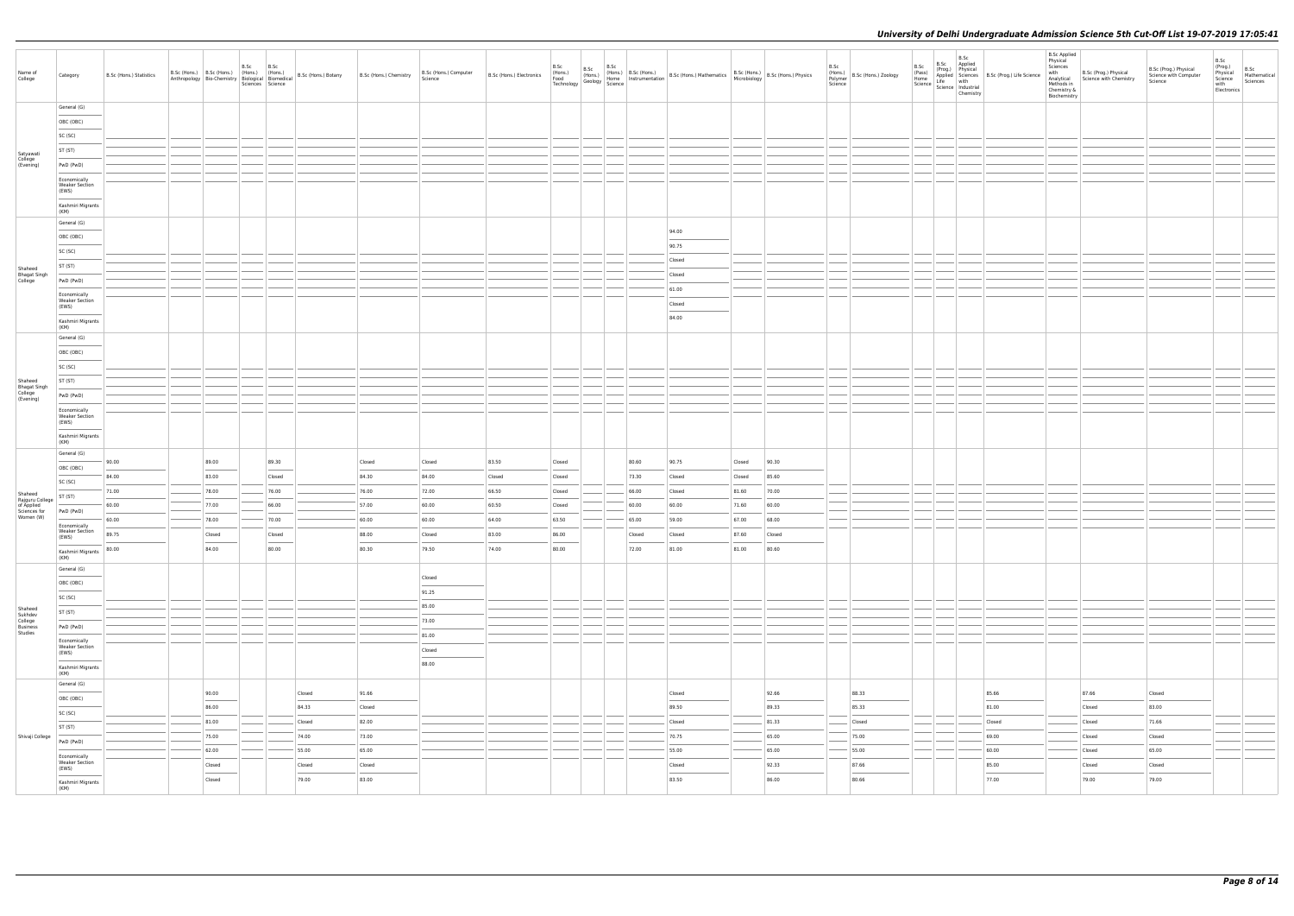| Name of<br>College                       | Category                                        | B.Sc (Hons.) Statistics |                                                                                                                                                                                                                                                                                                                                                                                                                                                                                     | B.Sc<br>Sciences Science | B.Sc            |        |        | B.Sc (Hons.) Computer<br>Science                                                                                                                                                                                                                                                                                                                                                                                                                                                              | B.Sc (Hons.) Electronics | B.Sc<br>(Hons.)<br>Food<br>Technology |  |        | B.Sc (Hons.) B.Sc (Hons.)<br>(Hons.) Home Instrumentation B.Sc (Hons.) Mathematics B.Sc (Hons.) B.Sc (Hons.) Physics<br>Jy Geology Science<br>Science                                                                                                                                                                                                                                                                                                                                |        |        | B.Sc<br>Science | B.Sc<br>(Hons.)<br>Polymer B.Sc (Hons.) Zoology<br>(Pass) | B.Sc<br>Applied<br>B.Sc<br>$\left  \frac{\text{Home}}{\text{Home}} \right  \left  \frac{\text{Appuoc}}{\text{Science}} \right  \left  \frac{\text{with}}{\text{chensity}} \right $<br>Chemistry | Prog.)<br>Applied Sciences<br>Life with B.Sc (Prog.) Life Science<br>Life with | <b>B.Sc Applied</b><br>Physical<br>Sciences<br>with<br>Methods in<br>Chemistry &<br>Biochemistry | B.Sc (Prog.) Physical<br>Analytical Science with Chemistry | B.Sc (Prog.) Physical<br>Science with Computer<br>Science | B.Sc<br>(Prog.)<br>Physical<br>Science<br>with<br>Electronics | B.Sc<br>Mathematical<br>Sciences |
|------------------------------------------|-------------------------------------------------|-------------------------|-------------------------------------------------------------------------------------------------------------------------------------------------------------------------------------------------------------------------------------------------------------------------------------------------------------------------------------------------------------------------------------------------------------------------------------------------------------------------------------|--------------------------|-----------------|--------|--------|-----------------------------------------------------------------------------------------------------------------------------------------------------------------------------------------------------------------------------------------------------------------------------------------------------------------------------------------------------------------------------------------------------------------------------------------------------------------------------------------------|--------------------------|---------------------------------------|--|--------|--------------------------------------------------------------------------------------------------------------------------------------------------------------------------------------------------------------------------------------------------------------------------------------------------------------------------------------------------------------------------------------------------------------------------------------------------------------------------------------|--------|--------|-----------------|-----------------------------------------------------------|-------------------------------------------------------------------------------------------------------------------------------------------------------------------------------------------------|--------------------------------------------------------------------------------|--------------------------------------------------------------------------------------------------|------------------------------------------------------------|-----------------------------------------------------------|---------------------------------------------------------------|----------------------------------|
|                                          | General (G)                                     |                         |                                                                                                                                                                                                                                                                                                                                                                                                                                                                                     |                          |                 |        |        |                                                                                                                                                                                                                                                                                                                                                                                                                                                                                               |                          |                                       |  |        |                                                                                                                                                                                                                                                                                                                                                                                                                                                                                      |        |        |                 |                                                           |                                                                                                                                                                                                 |                                                                                |                                                                                                  |                                                            |                                                           |                                                               |                                  |
|                                          | OBC (OBC)                                       |                         |                                                                                                                                                                                                                                                                                                                                                                                                                                                                                     |                          |                 |        |        |                                                                                                                                                                                                                                                                                                                                                                                                                                                                                               |                          |                                       |  |        |                                                                                                                                                                                                                                                                                                                                                                                                                                                                                      |        |        |                 |                                                           |                                                                                                                                                                                                 |                                                                                |                                                                                                  |                                                            |                                                           |                                                               |                                  |
|                                          | SC (SC)                                         |                         |                                                                                                                                                                                                                                                                                                                                                                                                                                                                                     |                          |                 |        |        |                                                                                                                                                                                                                                                                                                                                                                                                                                                                                               |                          |                                       |  |        |                                                                                                                                                                                                                                                                                                                                                                                                                                                                                      |        |        |                 |                                                           |                                                                                                                                                                                                 |                                                                                |                                                                                                  |                                                            |                                                           |                                                               |                                  |
|                                          | ST (ST)                                         |                         |                                                                                                                                                                                                                                                                                                                                                                                                                                                                                     |                          |                 |        |        |                                                                                                                                                                                                                                                                                                                                                                                                                                                                                               |                          |                                       |  |        |                                                                                                                                                                                                                                                                                                                                                                                                                                                                                      |        |        |                 |                                                           |                                                                                                                                                                                                 |                                                                                |                                                                                                  |                                                            |                                                           |                                                               |                                  |
| Satyawati<br>College<br>(Evening)        | PwD (PwD)                                       |                         |                                                                                                                                                                                                                                                                                                                                                                                                                                                                                     |                          |                 |        |        |                                                                                                                                                                                                                                                                                                                                                                                                                                                                                               |                          |                                       |  |        |                                                                                                                                                                                                                                                                                                                                                                                                                                                                                      |        |        |                 |                                                           |                                                                                                                                                                                                 |                                                                                |                                                                                                  |                                                            |                                                           |                                                               |                                  |
|                                          | Economically<br><b>Weaker Section</b><br>(EWS)  |                         |                                                                                                                                                                                                                                                                                                                                                                                                                                                                                     |                          |                 |        |        |                                                                                                                                                                                                                                                                                                                                                                                                                                                                                               |                          |                                       |  |        |                                                                                                                                                                                                                                                                                                                                                                                                                                                                                      |        |        |                 |                                                           |                                                                                                                                                                                                 |                                                                                |                                                                                                  |                                                            |                                                           |                                                               |                                  |
|                                          | Kashmiri Migrants<br>(KM)                       |                         |                                                                                                                                                                                                                                                                                                                                                                                                                                                                                     |                          |                 |        |        |                                                                                                                                                                                                                                                                                                                                                                                                                                                                                               |                          |                                       |  |        |                                                                                                                                                                                                                                                                                                                                                                                                                                                                                      |        |        |                 |                                                           |                                                                                                                                                                                                 |                                                                                |                                                                                                  |                                                            |                                                           |                                                               |                                  |
|                                          | General (G)                                     |                         |                                                                                                                                                                                                                                                                                                                                                                                                                                                                                     |                          |                 |        |        |                                                                                                                                                                                                                                                                                                                                                                                                                                                                                               |                          |                                       |  |        |                                                                                                                                                                                                                                                                                                                                                                                                                                                                                      |        |        |                 |                                                           |                                                                                                                                                                                                 |                                                                                |                                                                                                  |                                                            |                                                           |                                                               |                                  |
|                                          | OBC (OBC)                                       |                         |                                                                                                                                                                                                                                                                                                                                                                                                                                                                                     |                          |                 |        |        |                                                                                                                                                                                                                                                                                                                                                                                                                                                                                               |                          |                                       |  |        | 94.00                                                                                                                                                                                                                                                                                                                                                                                                                                                                                |        |        |                 |                                                           |                                                                                                                                                                                                 |                                                                                |                                                                                                  |                                                            |                                                           |                                                               |                                  |
|                                          | SC (SC)                                         |                         |                                                                                                                                                                                                                                                                                                                                                                                                                                                                                     |                          |                 |        |        |                                                                                                                                                                                                                                                                                                                                                                                                                                                                                               |                          |                                       |  |        | 90.75                                                                                                                                                                                                                                                                                                                                                                                                                                                                                |        |        |                 |                                                           |                                                                                                                                                                                                 |                                                                                |                                                                                                  |                                                            |                                                           |                                                               |                                  |
| Shaheed                                  | ST (ST)                                         |                         |                                                                                                                                                                                                                                                                                                                                                                                                                                                                                     |                          |                 |        |        |                                                                                                                                                                                                                                                                                                                                                                                                                                                                                               |                          |                                       |  |        | Closed                                                                                                                                                                                                                                                                                                                                                                                                                                                                               |        |        |                 |                                                           |                                                                                                                                                                                                 |                                                                                |                                                                                                  |                                                            |                                                           |                                                               |                                  |
| Bhagat Singh<br>College                  | PwD (PwD)                                       |                         |                                                                                                                                                                                                                                                                                                                                                                                                                                                                                     |                          |                 |        |        |                                                                                                                                                                                                                                                                                                                                                                                                                                                                                               |                          |                                       |  |        | Closed                                                                                                                                                                                                                                                                                                                                                                                                                                                                               |        |        |                 |                                                           |                                                                                                                                                                                                 |                                                                                |                                                                                                  |                                                            |                                                           |                                                               |                                  |
|                                          | Economically                                    |                         |                                                                                                                                                                                                                                                                                                                                                                                                                                                                                     |                          |                 |        |        |                                                                                                                                                                                                                                                                                                                                                                                                                                                                                               |                          |                                       |  |        | 61.00                                                                                                                                                                                                                                                                                                                                                                                                                                                                                |        |        |                 |                                                           |                                                                                                                                                                                                 |                                                                                |                                                                                                  |                                                            |                                                           |                                                               |                                  |
|                                          | <b>Weaker Section</b><br>(EWS)                  |                         |                                                                                                                                                                                                                                                                                                                                                                                                                                                                                     |                          |                 |        |        |                                                                                                                                                                                                                                                                                                                                                                                                                                                                                               |                          |                                       |  |        | Closed<br>84.00                                                                                                                                                                                                                                                                                                                                                                                                                                                                      |        |        |                 |                                                           |                                                                                                                                                                                                 |                                                                                |                                                                                                  |                                                            |                                                           |                                                               |                                  |
|                                          | Kashmiri Migrants<br>(KM)                       |                         |                                                                                                                                                                                                                                                                                                                                                                                                                                                                                     |                          |                 |        |        |                                                                                                                                                                                                                                                                                                                                                                                                                                                                                               |                          |                                       |  |        |                                                                                                                                                                                                                                                                                                                                                                                                                                                                                      |        |        |                 |                                                           |                                                                                                                                                                                                 |                                                                                |                                                                                                  |                                                            |                                                           |                                                               |                                  |
|                                          | General (G)                                     |                         |                                                                                                                                                                                                                                                                                                                                                                                                                                                                                     |                          |                 |        |        |                                                                                                                                                                                                                                                                                                                                                                                                                                                                                               |                          |                                       |  |        |                                                                                                                                                                                                                                                                                                                                                                                                                                                                                      |        |        |                 |                                                           |                                                                                                                                                                                                 |                                                                                |                                                                                                  |                                                            |                                                           |                                                               |                                  |
|                                          | OBC (OBC)                                       |                         |                                                                                                                                                                                                                                                                                                                                                                                                                                                                                     |                          |                 |        |        |                                                                                                                                                                                                                                                                                                                                                                                                                                                                                               |                          |                                       |  |        |                                                                                                                                                                                                                                                                                                                                                                                                                                                                                      |        |        |                 |                                                           |                                                                                                                                                                                                 |                                                                                |                                                                                                  |                                                            |                                                           |                                                               |                                  |
|                                          | SC (SC)                                         |                         |                                                                                                                                                                                                                                                                                                                                                                                                                                                                                     |                          |                 |        |        |                                                                                                                                                                                                                                                                                                                                                                                                                                                                                               |                          |                                       |  |        |                                                                                                                                                                                                                                                                                                                                                                                                                                                                                      |        |        |                 |                                                           |                                                                                                                                                                                                 |                                                                                |                                                                                                  |                                                            |                                                           |                                                               |                                  |
| Shaheed                                  | ST (ST)                                         |                         |                                                                                                                                                                                                                                                                                                                                                                                                                                                                                     |                          |                 |        |        |                                                                                                                                                                                                                                                                                                                                                                                                                                                                                               |                          |                                       |  |        |                                                                                                                                                                                                                                                                                                                                                                                                                                                                                      |        |        |                 |                                                           |                                                                                                                                                                                                 |                                                                                |                                                                                                  |                                                            |                                                           |                                                               |                                  |
| Bhagat Singh<br>College<br>(Evening)     | PwD (PwD)                                       |                         |                                                                                                                                                                                                                                                                                                                                                                                                                                                                                     |                          |                 |        |        |                                                                                                                                                                                                                                                                                                                                                                                                                                                                                               |                          |                                       |  |        |                                                                                                                                                                                                                                                                                                                                                                                                                                                                                      |        |        |                 |                                                           |                                                                                                                                                                                                 |                                                                                |                                                                                                  |                                                            |                                                           |                                                               |                                  |
|                                          | Economically<br><b>Weaker Section</b>           |                         |                                                                                                                                                                                                                                                                                                                                                                                                                                                                                     |                          |                 |        |        |                                                                                                                                                                                                                                                                                                                                                                                                                                                                                               |                          |                                       |  |        |                                                                                                                                                                                                                                                                                                                                                                                                                                                                                      |        |        |                 |                                                           |                                                                                                                                                                                                 |                                                                                |                                                                                                  |                                                            |                                                           |                                                               |                                  |
|                                          | (EWS)<br>Kashmiri Migrants                      |                         |                                                                                                                                                                                                                                                                                                                                                                                                                                                                                     |                          |                 |        |        |                                                                                                                                                                                                                                                                                                                                                                                                                                                                                               |                          |                                       |  |        |                                                                                                                                                                                                                                                                                                                                                                                                                                                                                      |        |        |                 |                                                           |                                                                                                                                                                                                 |                                                                                |                                                                                                  |                                                            |                                                           |                                                               |                                  |
|                                          | (KM)                                            |                         |                                                                                                                                                                                                                                                                                                                                                                                                                                                                                     |                          |                 |        |        |                                                                                                                                                                                                                                                                                                                                                                                                                                                                                               |                          |                                       |  |        |                                                                                                                                                                                                                                                                                                                                                                                                                                                                                      |        |        |                 |                                                           |                                                                                                                                                                                                 |                                                                                |                                                                                                  |                                                            |                                                           |                                                               |                                  |
|                                          | General (G)                                     | 90.00                   | 89.00                                                                                                                                                                                                                                                                                                                                                                                                                                                                               |                          | 89.30           |        | Closed | Closed                                                                                                                                                                                                                                                                                                                                                                                                                                                                                        | 83.50                    | Closed                                |  | 80.60  | 90.75                                                                                                                                                                                                                                                                                                                                                                                                                                                                                | Closed | 90.30  |                 |                                                           |                                                                                                                                                                                                 |                                                                                |                                                                                                  |                                                            |                                                           |                                                               |                                  |
|                                          | OBC (OBC)                                       | 84.00                   | 83.00                                                                                                                                                                                                                                                                                                                                                                                                                                                                               |                          | Closed          |        | 84.30  | 84.00                                                                                                                                                                                                                                                                                                                                                                                                                                                                                         | Closed                   | Closed                                |  | 73.30  | Closed                                                                                                                                                                                                                                                                                                                                                                                                                                                                               | Closed | 85.60  |                 |                                                           |                                                                                                                                                                                                 |                                                                                |                                                                                                  |                                                            |                                                           |                                                               |                                  |
|                                          | SC (SC)                                         | 71.00                   | 78.00                                                                                                                                                                                                                                                                                                                                                                                                                                                                               |                          | 76.00           |        | 76.00  | 72.00                                                                                                                                                                                                                                                                                                                                                                                                                                                                                         | 66.50                    | Closed                                |  | 66.00  | Closed                                                                                                                                                                                                                                                                                                                                                                                                                                                                               | 81.60  | 70.00  |                 |                                                           |                                                                                                                                                                                                 |                                                                                |                                                                                                  |                                                            |                                                           |                                                               |                                  |
| Shaheed<br>Rajguru College<br>of Applied | ST (ST)                                         | 60.00                   | 77.00                                                                                                                                                                                                                                                                                                                                                                                                                                                                               |                          | 66.00           |        | 57.00  | 60.00                                                                                                                                                                                                                                                                                                                                                                                                                                                                                         | 60.50                    | Closed                                |  | 60.00  | 60.00                                                                                                                                                                                                                                                                                                                                                                                                                                                                                | 71.60  | 60.00  |                 |                                                           |                                                                                                                                                                                                 |                                                                                |                                                                                                  |                                                            |                                                           |                                                               |                                  |
| Sciences for<br>Women (W)                | PwD (PwD)                                       | 60.00                   | 78.00                                                                                                                                                                                                                                                                                                                                                                                                                                                                               |                          | 70.00           |        | 60.00  | 60.00                                                                                                                                                                                                                                                                                                                                                                                                                                                                                         | 64.00                    | 63.50                                 |  | 65.00  | 59.00                                                                                                                                                                                                                                                                                                                                                                                                                                                                                | 67.00  | 68.00  |                 |                                                           |                                                                                                                                                                                                 |                                                                                |                                                                                                  |                                                            |                                                           |                                                               |                                  |
|                                          | Economically<br><b>Weaker Section</b>           | 89.75                   | Closed                                                                                                                                                                                                                                                                                                                                                                                                                                                                              |                          | Closed          |        | 88.00  | Closed                                                                                                                                                                                                                                                                                                                                                                                                                                                                                        | 83.00                    | 86.00                                 |  | Closed | Closed                                                                                                                                                                                                                                                                                                                                                                                                                                                                               | 87.60  | Closed |                 |                                                           |                                                                                                                                                                                                 |                                                                                |                                                                                                  |                                                            |                                                           |                                                               |                                  |
|                                          | (EWS)<br>Kashmiri Migrants 80.00<br>(KM)        |                         | $\frac{1}{2} \left( \frac{1}{2} \right) \left( \frac{1}{2} \right) \left( \frac{1}{2} \right) \left( \frac{1}{2} \right) \left( \frac{1}{2} \right) \left( \frac{1}{2} \right) \left( \frac{1}{2} \right) \left( \frac{1}{2} \right) \left( \frac{1}{2} \right) \left( \frac{1}{2} \right) \left( \frac{1}{2} \right) \left( \frac{1}{2} \right) \left( \frac{1}{2} \right) \left( \frac{1}{2} \right) \left( \frac{1}{2} \right) \left( \frac{1}{2} \right) \left( \frac$<br>84.00 |                          | $\sim$<br>80.00 |        | 80.30  | 79.50                                                                                                                                                                                                                                                                                                                                                                                                                                                                                         | 74.00                    | 80.00                                 |  | 72.00  | 81.00                                                                                                                                                                                                                                                                                                                                                                                                                                                                                | 81.00  | 80.60  |                 |                                                           |                                                                                                                                                                                                 |                                                                                |                                                                                                  |                                                            |                                                           |                                                               |                                  |
|                                          | General (G)                                     |                         |                                                                                                                                                                                                                                                                                                                                                                                                                                                                                     |                          |                 |        |        |                                                                                                                                                                                                                                                                                                                                                                                                                                                                                               |                          |                                       |  |        |                                                                                                                                                                                                                                                                                                                                                                                                                                                                                      |        |        |                 |                                                           |                                                                                                                                                                                                 |                                                                                |                                                                                                  |                                                            |                                                           |                                                               |                                  |
|                                          | OBC (OBC)                                       |                         |                                                                                                                                                                                                                                                                                                                                                                                                                                                                                     |                          |                 |        |        | Closed                                                                                                                                                                                                                                                                                                                                                                                                                                                                                        |                          |                                       |  |        |                                                                                                                                                                                                                                                                                                                                                                                                                                                                                      |        |        |                 |                                                           |                                                                                                                                                                                                 |                                                                                |                                                                                                  |                                                            |                                                           |                                                               |                                  |
|                                          | $\frac{1}{2}$<br>SC (SC)                        |                         |                                                                                                                                                                                                                                                                                                                                                                                                                                                                                     |                          |                 |        |        | 91.25                                                                                                                                                                                                                                                                                                                                                                                                                                                                                         |                          |                                       |  |        |                                                                                                                                                                                                                                                                                                                                                                                                                                                                                      |        |        |                 |                                                           |                                                                                                                                                                                                 |                                                                                |                                                                                                  |                                                            |                                                           |                                                               |                                  |
| Shaheed<br>Sukhdev                       | ST (ST)                                         |                         |                                                                                                                                                                                                                                                                                                                                                                                                                                                                                     |                          |                 |        |        | 85.00                                                                                                                                                                                                                                                                                                                                                                                                                                                                                         |                          |                                       |  |        |                                                                                                                                                                                                                                                                                                                                                                                                                                                                                      |        |        |                 |                                                           |                                                                                                                                                                                                 |                                                                                |                                                                                                  |                                                            |                                                           |                                                               |                                  |
| College<br>Business                      | PwD (PwD)                                       |                         |                                                                                                                                                                                                                                                                                                                                                                                                                                                                                     |                          |                 |        |        | 73.00<br>$\frac{1}{2} \left( \frac{1}{2} \right) \left( \frac{1}{2} \right) \left( \frac{1}{2} \right) \left( \frac{1}{2} \right) \left( \frac{1}{2} \right) \left( \frac{1}{2} \right) \left( \frac{1}{2} \right) \left( \frac{1}{2} \right) \left( \frac{1}{2} \right) \left( \frac{1}{2} \right) \left( \frac{1}{2} \right) \left( \frac{1}{2} \right) \left( \frac{1}{2} \right) \left( \frac{1}{2} \right) \left( \frac{1}{2} \right) \left( \frac{1}{2} \right) \left( \frac$           |                          |                                       |  |        |                                                                                                                                                                                                                                                                                                                                                                                                                                                                                      |        |        |                 |                                                           |                                                                                                                                                                                                 |                                                                                |                                                                                                  |                                                            |                                                           |                                                               |                                  |
| Studies                                  | Economically                                    |                         |                                                                                                                                                                                                                                                                                                                                                                                                                                                                                     |                          |                 |        |        | 81.00                                                                                                                                                                                                                                                                                                                                                                                                                                                                                         |                          |                                       |  |        |                                                                                                                                                                                                                                                                                                                                                                                                                                                                                      |        |        |                 |                                                           |                                                                                                                                                                                                 |                                                                                |                                                                                                  |                                                            |                                                           |                                                               |                                  |
|                                          | <b>Weaker Section</b><br>(EWS)<br>$\frac{1}{2}$ |                         |                                                                                                                                                                                                                                                                                                                                                                                                                                                                                     |                          |                 |        |        | Closed<br>$\frac{1}{2} \left( \frac{1}{2} \right) \left( \frac{1}{2} \right) \left( \frac{1}{2} \right) \left( \frac{1}{2} \right) \left( \frac{1}{2} \right) \left( \frac{1}{2} \right) \left( \frac{1}{2} \right) \left( \frac{1}{2} \right) \left( \frac{1}{2} \right) \left( \frac{1}{2} \right) \left( \frac{1}{2} \right) \left( \frac{1}{2} \right) \left( \frac{1}{2} \right) \left( \frac{1}{2} \right) \left( \frac{1}{2} \right) \left( \frac{1}{2} \right) \left( \frac$<br>88.00 |                          |                                       |  |        |                                                                                                                                                                                                                                                                                                                                                                                                                                                                                      |        |        |                 |                                                           |                                                                                                                                                                                                 |                                                                                |                                                                                                  |                                                            |                                                           |                                                               |                                  |
|                                          | Kashmiri Migrants<br>(KM)                       |                         |                                                                                                                                                                                                                                                                                                                                                                                                                                                                                     |                          |                 |        |        |                                                                                                                                                                                                                                                                                                                                                                                                                                                                                               |                          |                                       |  |        |                                                                                                                                                                                                                                                                                                                                                                                                                                                                                      |        |        |                 |                                                           |                                                                                                                                                                                                 |                                                                                |                                                                                                  |                                                            |                                                           |                                                               |                                  |
|                                          | General (G)                                     |                         | 90.00                                                                                                                                                                                                                                                                                                                                                                                                                                                                               |                          |                 | Closed | 91.66  |                                                                                                                                                                                                                                                                                                                                                                                                                                                                                               |                          |                                       |  |        | Closed                                                                                                                                                                                                                                                                                                                                                                                                                                                                               |        | 92.66  |                 | 88.33                                                     |                                                                                                                                                                                                 | 85.66                                                                          |                                                                                                  | 87.66                                                      | Closed                                                    |                                                               |                                  |
|                                          | OBC (OBC)<br>$\sim$                             |                         | $\overline{\phantom{a}}$                                                                                                                                                                                                                                                                                                                                                                                                                                                            |                          |                 |        |        |                                                                                                                                                                                                                                                                                                                                                                                                                                                                                               |                          |                                       |  |        |                                                                                                                                                                                                                                                                                                                                                                                                                                                                                      |        |        |                 | $\overline{\phantom{a}}$                                  |                                                                                                                                                                                                 | $\frac{1}{2}$                                                                  |                                                                                                  | $\overline{\phantom{a}}$                                   | 83.00                                                     |                                                               |                                  |
|                                          | SC (SC)                                         |                         | 86.00                                                                                                                                                                                                                                                                                                                                                                                                                                                                               |                          |                 | 84.33  | Closed |                                                                                                                                                                                                                                                                                                                                                                                                                                                                                               |                          |                                       |  |        | 89.50                                                                                                                                                                                                                                                                                                                                                                                                                                                                                |        | 89.33  |                 | 85.33                                                     |                                                                                                                                                                                                 | 81.00                                                                          |                                                                                                  | Closed                                                     |                                                           |                                                               |                                  |
|                                          | ST (ST)                                         |                         | 81.00                                                                                                                                                                                                                                                                                                                                                                                                                                                                               |                          |                 | Closed | 82.00  |                                                                                                                                                                                                                                                                                                                                                                                                                                                                                               |                          |                                       |  |        | Closed                                                                                                                                                                                                                                                                                                                                                                                                                                                                               |        | 81.33  |                 | Closed                                                    |                                                                                                                                                                                                 | Closed                                                                         |                                                                                                  | Closed                                                     | 71.66                                                     |                                                               |                                  |
| Shivaji College                          | PwD (PwD)                                       |                         | 75.00                                                                                                                                                                                                                                                                                                                                                                                                                                                                               |                          |                 | 74.00  | 73.00  |                                                                                                                                                                                                                                                                                                                                                                                                                                                                                               |                          |                                       |  |        | 70.75                                                                                                                                                                                                                                                                                                                                                                                                                                                                                |        | 65.00  |                 | 75.00                                                     |                                                                                                                                                                                                 | 69.00                                                                          |                                                                                                  | Closed                                                     | Closed                                                    |                                                               |                                  |
|                                          | Economically<br><b>Weaker Section</b>           |                         | 62.00                                                                                                                                                                                                                                                                                                                                                                                                                                                                               |                          |                 | 55.00  | 65.00  |                                                                                                                                                                                                                                                                                                                                                                                                                                                                                               |                          |                                       |  |        | 55.00                                                                                                                                                                                                                                                                                                                                                                                                                                                                                |        | 65.00  |                 | 55.00                                                     |                                                                                                                                                                                                 | 60.00                                                                          |                                                                                                  | Closed                                                     | 65.00                                                     |                                                               |                                  |
|                                          | (EWS)<br>$\sim$                                 |                         | Closed                                                                                                                                                                                                                                                                                                                                                                                                                                                                              |                          |                 | Closed | Closed |                                                                                                                                                                                                                                                                                                                                                                                                                                                                                               |                          |                                       |  |        | Closed<br>$\frac{1}{2} \left( \frac{1}{2} \right) \left( \frac{1}{2} \right) \left( \frac{1}{2} \right) \left( \frac{1}{2} \right) \left( \frac{1}{2} \right) \left( \frac{1}{2} \right) \left( \frac{1}{2} \right) \left( \frac{1}{2} \right) \left( \frac{1}{2} \right) \left( \frac{1}{2} \right) \left( \frac{1}{2} \right) \left( \frac{1}{2} \right) \left( \frac{1}{2} \right) \left( \frac{1}{2} \right) \left( \frac{1}{2} \right) \left( \frac{1}{2} \right) \left( \frac$ |        | 92.33  |                 | 87.66<br>$\sim$                                           |                                                                                                                                                                                                 | 85.00<br>$\overline{\phantom{a}}$                                              |                                                                                                  | Closed                                                     | Closed                                                    |                                                               |                                  |
|                                          | Kashmiri Migrants<br>(KM)                       |                         | Closed                                                                                                                                                                                                                                                                                                                                                                                                                                                                              |                          |                 | 79.00  | 83.00  |                                                                                                                                                                                                                                                                                                                                                                                                                                                                                               |                          |                                       |  |        | 83.50                                                                                                                                                                                                                                                                                                                                                                                                                                                                                |        | 86.00  |                 | 80.66                                                     |                                                                                                                                                                                                 | 77.00                                                                          |                                                                                                  | 79.00                                                      | 79.00                                                     |                                                               |                                  |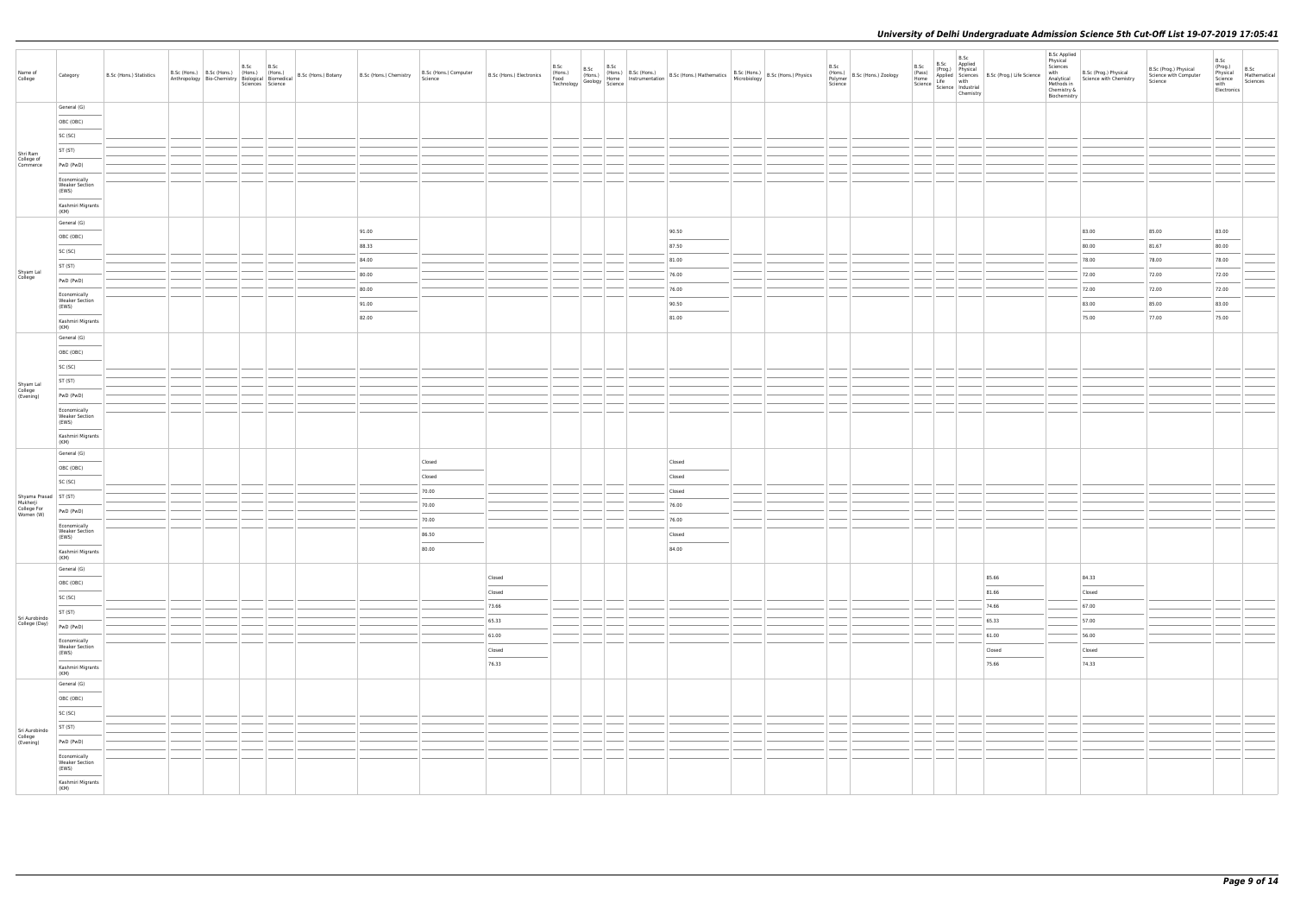| Name of<br>College                    | Category                                                        | B.Sc (Hons.) Statistics | B.Sc (Hons.) B.Sc (Hons.) (Hons.) (Hons.) (Hons.) B.Sc (Hons.) Botany B.Sc (Hons.) Chemistry Anthropology Bio-Chemistry Biological Biomedical B.Sc (Hons.) B.Sc (Hons.) Chemistry | B.Sc<br>B.Sc<br>Sciences Science |       | B.Sc (Hons.) Computer<br>Science | B.Sc (Hons.) Electronics           | B.Sc<br>(Hons.)<br>Food<br>Technology |  | B.Sc (Hons.) B.Sc (Hons.)<br>(Hons.) Home Instrumentation B.Sc (Hons.) Mathematics B.Sc (Hons.) B.Sc (Hons.) Physics<br>gy Geology Science (Science 1999) |  | B.Sc<br>Science | B.Sc<br>(Hons.)<br>Polymer B.Sc (Hons.) Zoology<br>(Pass)<br>Home | B.Sc<br>B.Sc Applied<br>(Prog.) Physical<br>$\left  \frac{\text{Line}}{\text{Science}} \right  \frac{\text{Line}}{\text{Science}} \left  \frac{\text{mine}}{\text{industrial}} \right $ | Applied Sciences B.Sc (Prog.) Life Science With B.Sc (Prog.) Physical<br>Life with With Analytical Science with Chemistry | <b>B.Sc Applied</b><br>Physical<br>Sciences<br>with<br>Methods in<br>Chemistry & | B.Sc (Prog.) Physical | B.Sc (Prog.) Physical<br>Science with Computer<br>Science | B.Sc<br>(Prog.)<br>Physical<br>Science<br>with<br>Electronics | B.Sc<br>Mathematical<br>Sciences |
|---------------------------------------|-----------------------------------------------------------------|-------------------------|-----------------------------------------------------------------------------------------------------------------------------------------------------------------------------------|----------------------------------|-------|----------------------------------|------------------------------------|---------------------------------------|--|-----------------------------------------------------------------------------------------------------------------------------------------------------------|--|-----------------|-------------------------------------------------------------------|-----------------------------------------------------------------------------------------------------------------------------------------------------------------------------------------|---------------------------------------------------------------------------------------------------------------------------|----------------------------------------------------------------------------------|-----------------------|-----------------------------------------------------------|---------------------------------------------------------------|----------------------------------|
|                                       |                                                                 |                         |                                                                                                                                                                                   |                                  |       |                                  |                                    |                                       |  |                                                                                                                                                           |  |                 |                                                                   | Chemistry                                                                                                                                                                               |                                                                                                                           | Biochemistry                                                                     |                       |                                                           |                                                               |                                  |
|                                       | General (G)                                                     |                         |                                                                                                                                                                                   |                                  |       |                                  |                                    |                                       |  |                                                                                                                                                           |  |                 |                                                                   |                                                                                                                                                                                         |                                                                                                                           |                                                                                  |                       |                                                           |                                                               |                                  |
|                                       | OBC (OBC)                                                       |                         |                                                                                                                                                                                   |                                  |       |                                  |                                    |                                       |  |                                                                                                                                                           |  |                 |                                                                   |                                                                                                                                                                                         |                                                                                                                           |                                                                                  |                       |                                                           |                                                               |                                  |
|                                       | SC (SC)                                                         |                         |                                                                                                                                                                                   |                                  |       |                                  |                                    |                                       |  |                                                                                                                                                           |  |                 |                                                                   |                                                                                                                                                                                         |                                                                                                                           |                                                                                  |                       |                                                           |                                                               |                                  |
| Shri Ram<br>College of                | ST (ST)<br>PwD (PwD)                                            |                         |                                                                                                                                                                                   |                                  |       |                                  |                                    |                                       |  |                                                                                                                                                           |  |                 |                                                                   |                                                                                                                                                                                         |                                                                                                                           |                                                                                  |                       |                                                           |                                                               |                                  |
| Commerce                              | Economically<br><b>Weaker Section</b>                           |                         |                                                                                                                                                                                   |                                  |       |                                  |                                    |                                       |  |                                                                                                                                                           |  |                 |                                                                   |                                                                                                                                                                                         |                                                                                                                           |                                                                                  |                       |                                                           |                                                               |                                  |
|                                       | (EWS)<br>Kashmiri Migrants                                      |                         |                                                                                                                                                                                   |                                  |       |                                  |                                    |                                       |  |                                                                                                                                                           |  |                 |                                                                   |                                                                                                                                                                                         |                                                                                                                           |                                                                                  |                       |                                                           |                                                               |                                  |
|                                       | (KM)<br>General (G)                                             |                         |                                                                                                                                                                                   |                                  |       |                                  |                                    |                                       |  |                                                                                                                                                           |  |                 |                                                                   |                                                                                                                                                                                         |                                                                                                                           |                                                                                  |                       |                                                           |                                                               |                                  |
|                                       | OBC (OBC)                                                       |                         |                                                                                                                                                                                   |                                  | 91.00 |                                  |                                    |                                       |  | 90.50                                                                                                                                                     |  |                 |                                                                   |                                                                                                                                                                                         |                                                                                                                           |                                                                                  | 83.00                 | 85.00                                                     | 83.00                                                         |                                  |
|                                       | ____<br>SC (SC)                                                 |                         |                                                                                                                                                                                   |                                  | 88.33 |                                  |                                    |                                       |  | 87.50                                                                                                                                                     |  |                 |                                                                   |                                                                                                                                                                                         |                                                                                                                           |                                                                                  | 80.00                 | 81.67                                                     | 80.00                                                         |                                  |
|                                       | ST (ST)                                                         |                         |                                                                                                                                                                                   |                                  | 84.00 |                                  |                                    |                                       |  | 81.00                                                                                                                                                     |  |                 |                                                                   |                                                                                                                                                                                         |                                                                                                                           |                                                                                  | 78.00                 | 78.00                                                     | 78.00                                                         |                                  |
| Shyam Lal<br>College                  | PwD (PwD)                                                       |                         |                                                                                                                                                                                   |                                  | 80.00 |                                  |                                    |                                       |  | 76.00                                                                                                                                                     |  |                 |                                                                   |                                                                                                                                                                                         |                                                                                                                           |                                                                                  | 72.00                 | 72.00                                                     | 72.00                                                         |                                  |
|                                       | Economically                                                    |                         |                                                                                                                                                                                   |                                  | 80.00 |                                  |                                    |                                       |  | 76.00                                                                                                                                                     |  |                 |                                                                   |                                                                                                                                                                                         |                                                                                                                           |                                                                                  | 72.00                 | 72.00                                                     | 72.00                                                         |                                  |
|                                       | <b>Weaker Section</b><br>(EWS)                                  |                         |                                                                                                                                                                                   |                                  | 91.00 |                                  |                                    |                                       |  | 90.50                                                                                                                                                     |  |                 |                                                                   |                                                                                                                                                                                         |                                                                                                                           |                                                                                  | 83.00                 | 85.00                                                     | 83.00                                                         |                                  |
|                                       | Kashmiri Migrants<br>(KM)                                       |                         |                                                                                                                                                                                   |                                  | 82.00 |                                  |                                    |                                       |  | 81.00                                                                                                                                                     |  |                 |                                                                   |                                                                                                                                                                                         |                                                                                                                           |                                                                                  | 75.00                 | 77.00                                                     | 75.00                                                         |                                  |
|                                       | General (G)                                                     |                         |                                                                                                                                                                                   |                                  |       |                                  |                                    |                                       |  |                                                                                                                                                           |  |                 |                                                                   |                                                                                                                                                                                         |                                                                                                                           |                                                                                  |                       |                                                           |                                                               |                                  |
|                                       | OBC (OBC)                                                       |                         |                                                                                                                                                                                   |                                  |       |                                  |                                    |                                       |  |                                                                                                                                                           |  |                 |                                                                   |                                                                                                                                                                                         |                                                                                                                           |                                                                                  |                       |                                                           |                                                               |                                  |
|                                       | SC (SC)                                                         |                         |                                                                                                                                                                                   |                                  |       |                                  |                                    |                                       |  |                                                                                                                                                           |  |                 |                                                                   |                                                                                                                                                                                         |                                                                                                                           |                                                                                  |                       |                                                           |                                                               |                                  |
| Shyam Lal<br>College<br>(Evening)     | ST (ST)                                                         |                         |                                                                                                                                                                                   |                                  |       |                                  |                                    |                                       |  |                                                                                                                                                           |  |                 |                                                                   |                                                                                                                                                                                         |                                                                                                                           |                                                                                  |                       |                                                           |                                                               |                                  |
|                                       | PwD (PwD)                                                       |                         |                                                                                                                                                                                   |                                  |       |                                  |                                    |                                       |  |                                                                                                                                                           |  |                 |                                                                   |                                                                                                                                                                                         |                                                                                                                           |                                                                                  |                       |                                                           |                                                               |                                  |
|                                       | Economically<br><b>Weaker Section</b><br>(EWS)                  |                         |                                                                                                                                                                                   |                                  |       |                                  |                                    |                                       |  |                                                                                                                                                           |  |                 |                                                                   |                                                                                                                                                                                         |                                                                                                                           |                                                                                  |                       |                                                           |                                                               |                                  |
|                                       | Kashmiri Migrants<br>(KM)                                       |                         |                                                                                                                                                                                   |                                  |       |                                  |                                    |                                       |  |                                                                                                                                                           |  |                 |                                                                   |                                                                                                                                                                                         |                                                                                                                           |                                                                                  |                       |                                                           |                                                               |                                  |
|                                       | General (G)                                                     |                         |                                                                                                                                                                                   |                                  |       |                                  |                                    |                                       |  |                                                                                                                                                           |  |                 |                                                                   |                                                                                                                                                                                         |                                                                                                                           |                                                                                  |                       |                                                           |                                                               |                                  |
|                                       | OBC (OBC)                                                       |                         |                                                                                                                                                                                   |                                  |       | Closed                           |                                    |                                       |  | Closed                                                                                                                                                    |  |                 |                                                                   |                                                                                                                                                                                         |                                                                                                                           |                                                                                  |                       |                                                           |                                                               |                                  |
|                                       | SC (SC)                                                         |                         |                                                                                                                                                                                   |                                  |       | Closed                           |                                    |                                       |  | Closed                                                                                                                                                    |  |                 |                                                                   |                                                                                                                                                                                         |                                                                                                                           |                                                                                  |                       |                                                           |                                                               |                                  |
| Shyama Prasad   ST (ST)               |                                                                 |                         |                                                                                                                                                                                   |                                  |       | 70.00                            |                                    |                                       |  | Closed                                                                                                                                                    |  |                 |                                                                   |                                                                                                                                                                                         |                                                                                                                           |                                                                                  |                       |                                                           |                                                               |                                  |
| Mukherji<br>College For<br>Women (W)  | PwD (PwD)                                                       |                         |                                                                                                                                                                                   |                                  |       | 70.00                            |                                    |                                       |  | 76.00                                                                                                                                                     |  |                 |                                                                   |                                                                                                                                                                                         |                                                                                                                           |                                                                                  |                       |                                                           |                                                               |                                  |
|                                       | Economically<br><b>Weaker Section</b>                           |                         |                                                                                                                                                                                   |                                  |       | 70.00                            |                                    |                                       |  | 76.00                                                                                                                                                     |  |                 |                                                                   |                                                                                                                                                                                         |                                                                                                                           |                                                                                  |                       |                                                           |                                                               |                                  |
|                                       | (EWS)                                                           |                         |                                                                                                                                                                                   |                                  |       | 86.50                            |                                    |                                       |  | Closed                                                                                                                                                    |  |                 |                                                                   |                                                                                                                                                                                         |                                                                                                                           |                                                                                  |                       |                                                           |                                                               |                                  |
|                                       | Kashmiri Migrants<br>(KM)                                       |                         |                                                                                                                                                                                   |                                  |       | 80.00                            |                                    |                                       |  | 84.00                                                                                                                                                     |  |                 |                                                                   |                                                                                                                                                                                         |                                                                                                                           |                                                                                  |                       |                                                           |                                                               |                                  |
|                                       | General (G)                                                     |                         |                                                                                                                                                                                   |                                  |       |                                  | Closed                             |                                       |  |                                                                                                                                                           |  |                 |                                                                   |                                                                                                                                                                                         | 85.66                                                                                                                     |                                                                                  | 84.33                 |                                                           |                                                               |                                  |
|                                       | OBC (OBC)<br>$\frac{1}{2}$                                      |                         |                                                                                                                                                                                   |                                  |       |                                  | $\overline{\phantom{a}}$<br>Closed |                                       |  |                                                                                                                                                           |  |                 |                                                                   |                                                                                                                                                                                         | 81.66                                                                                                                     |                                                                                  | $\sim$<br>Closed      |                                                           |                                                               |                                  |
|                                       | SC (SC)                                                         |                         |                                                                                                                                                                                   |                                  |       |                                  | $73.66$                            |                                       |  |                                                                                                                                                           |  |                 |                                                                   |                                                                                                                                                                                         | 74.66                                                                                                                     |                                                                                  | 67.00                 |                                                           |                                                               |                                  |
| Sri Aurobindo<br>College (Day)        | ST (ST)                                                         |                         |                                                                                                                                                                                   |                                  |       |                                  | 65.33                              |                                       |  |                                                                                                                                                           |  |                 |                                                                   |                                                                                                                                                                                         | 65.33                                                                                                                     |                                                                                  | 57.00                 |                                                           |                                                               |                                  |
|                                       | PwD (PwD)                                                       |                         |                                                                                                                                                                                   |                                  |       |                                  | 61.00                              |                                       |  |                                                                                                                                                           |  |                 |                                                                   |                                                                                                                                                                                         | 61.00                                                                                                                     |                                                                                  | 56.00                 |                                                           |                                                               |                                  |
|                                       | Economically<br><b>Weaker Section</b><br>(EWS)                  |                         |                                                                                                                                                                                   |                                  |       |                                  | Closed                             |                                       |  |                                                                                                                                                           |  |                 |                                                                   |                                                                                                                                                                                         | Closed                                                                                                                    |                                                                                  | Closed                |                                                           |                                                               |                                  |
|                                       | <b>Contract Contract</b><br>Kashmiri Migrants                   |                         |                                                                                                                                                                                   |                                  |       |                                  | 76.33                              |                                       |  |                                                                                                                                                           |  |                 |                                                                   |                                                                                                                                                                                         | 75.66                                                                                                                     |                                                                                  | 74.33                 |                                                           |                                                               |                                  |
|                                       | (KM)                                                            |                         |                                                                                                                                                                                   |                                  |       |                                  |                                    |                                       |  |                                                                                                                                                           |  |                 |                                                                   |                                                                                                                                                                                         |                                                                                                                           |                                                                                  |                       |                                                           |                                                               |                                  |
|                                       | General (G)                                                     |                         |                                                                                                                                                                                   |                                  |       |                                  |                                    |                                       |  |                                                                                                                                                           |  |                 |                                                                   |                                                                                                                                                                                         |                                                                                                                           |                                                                                  |                       |                                                           |                                                               |                                  |
|                                       | OBC (OBC)                                                       |                         |                                                                                                                                                                                   |                                  |       |                                  |                                    |                                       |  |                                                                                                                                                           |  |                 |                                                                   |                                                                                                                                                                                         |                                                                                                                           |                                                                                  |                       |                                                           |                                                               |                                  |
|                                       | SC (SC)                                                         |                         |                                                                                                                                                                                   |                                  |       |                                  |                                    |                                       |  |                                                                                                                                                           |  |                 |                                                                   |                                                                                                                                                                                         |                                                                                                                           |                                                                                  |                       |                                                           |                                                               |                                  |
| Sri Aurobindo<br>College<br>(Evening) | ST (ST)                                                         |                         |                                                                                                                                                                                   |                                  |       |                                  |                                    |                                       |  |                                                                                                                                                           |  |                 |                                                                   |                                                                                                                                                                                         |                                                                                                                           |                                                                                  |                       |                                                           |                                                               |                                  |
|                                       | PwD (PwD)                                                       |                         |                                                                                                                                                                                   |                                  |       |                                  |                                    |                                       |  |                                                                                                                                                           |  |                 |                                                                   |                                                                                                                                                                                         |                                                                                                                           |                                                                                  |                       |                                                           |                                                               |                                  |
|                                       | Economically<br><b>Weaker Section</b><br>(EWS)<br>$\frac{1}{2}$ |                         |                                                                                                                                                                                   |                                  |       |                                  |                                    |                                       |  |                                                                                                                                                           |  |                 |                                                                   |                                                                                                                                                                                         |                                                                                                                           |                                                                                  |                       |                                                           |                                                               |                                  |
|                                       | Kashmiri Migrants<br>(KM)                                       |                         |                                                                                                                                                                                   |                                  |       |                                  |                                    |                                       |  |                                                                                                                                                           |  |                 |                                                                   |                                                                                                                                                                                         |                                                                                                                           |                                                                                  |                       |                                                           |                                                               |                                  |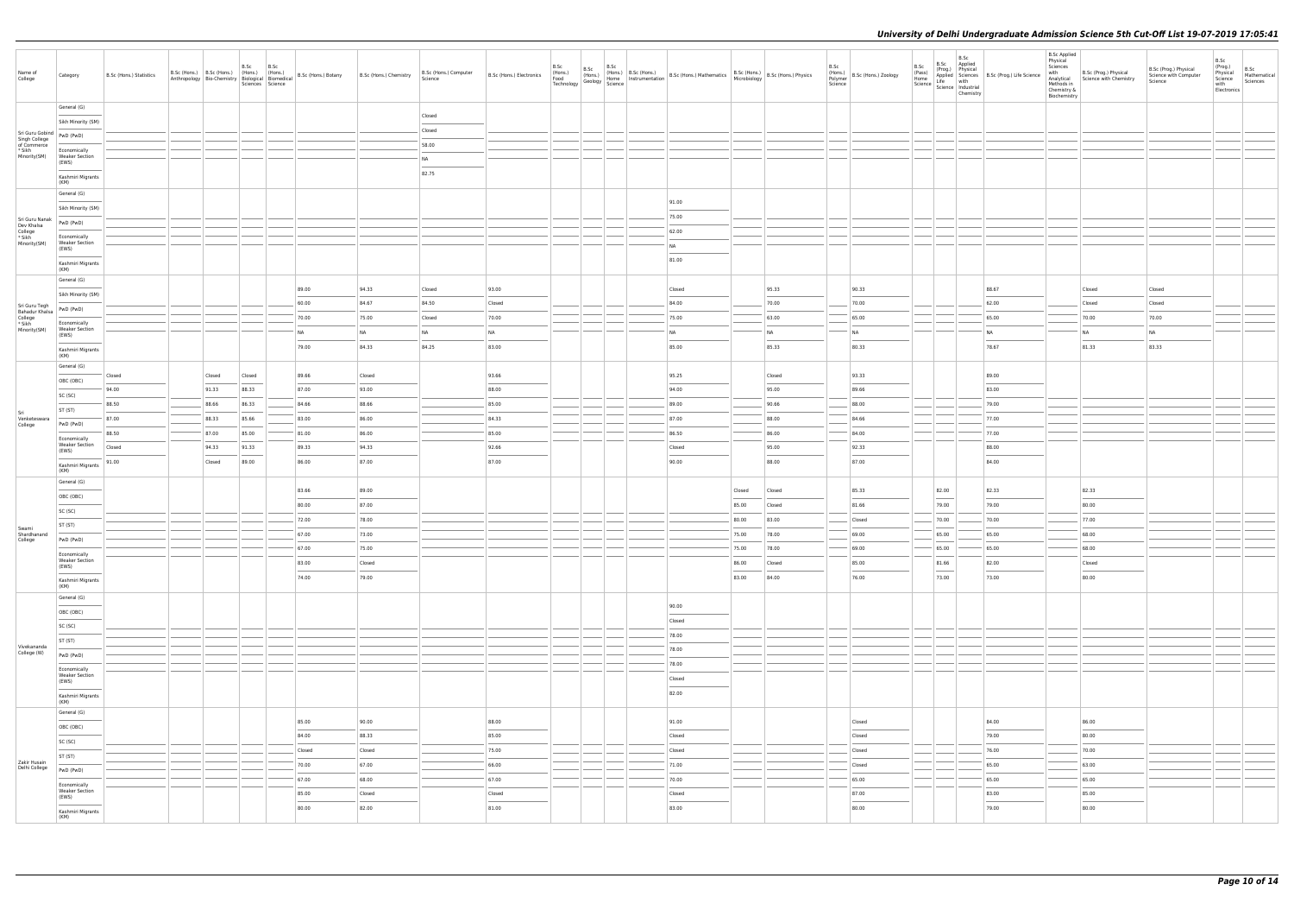| Name of<br>College                              | Category                                                                                                                                                                                                                                                                                                                                                                                                                                                                                        | B.Sc (Hons.) Statistics |        | B.Sc   | B.Sc<br>Sciences Science | B.Sc (Hons.) B.Sc (Hons.) (Hons.) (Hons.) B.Sc (Hons.) Botany B.Sc (Hons.) Chemistry Anthropology Bio-Chemistry Biological Biomedical B.Sc (Hons.) B.Sc (Hons.) Chemistry |                 | B.Sc (Hons.) Computer<br>Science | B.Sc (Hons.) Electronics          | B.Sc<br>(Hons.)<br>Food<br>Technology | Paris.) $\left \begin{array}{c} \text{B.Sc} \\ \text{(Hons.)} \\ \text{(Hons.)} \\ \text{Geology} \end{array}\right  \left.\begin{array}{c} \text{(r.,} \\ \text{Home} \\ \text{Science} \end{array}\right $ |  | (Hons.) B.Sc (Hons.) B.Sc (Hons.) Mathematics B.Sc (Hons.) B.Sc (Hons.) Physics<br>Home Instrumentation B.Sc (Hons.) Mathematics Microbiology B.Sc (Hons.) Physics |                |                 | B.Sc<br>Science | (Hons.)<br>Polymer B.Sc (Hons.) Zoology | B.Sc<br>B.Sc<br>(Pass)<br>Home<br>Science   Science   Industrial | B.Sc<br>Applied<br>(Prog.) Physical<br>Chemistry | Applied Sciences B.Sc (Prog.) Life Science<br>Life with | <b>B.Sc Applied</b><br>Physical<br>Sciences<br>with<br>Analytical<br>Methods in<br>Chemistry &<br>Biochemistry | B.Sc (Prog.) Physical<br>Science with Chemistry | B.Sc (Prog.) Physical<br>Science with Computer<br>Science | B.Sc<br>(Prog.)<br>Physical<br>Science<br>with<br>Electronics | B.Sc<br>Mathematical<br>Sciences |
|-------------------------------------------------|-------------------------------------------------------------------------------------------------------------------------------------------------------------------------------------------------------------------------------------------------------------------------------------------------------------------------------------------------------------------------------------------------------------------------------------------------------------------------------------------------|-------------------------|--------|--------|--------------------------|---------------------------------------------------------------------------------------------------------------------------------------------------------------------------|-----------------|----------------------------------|-----------------------------------|---------------------------------------|--------------------------------------------------------------------------------------------------------------------------------------------------------------------------------------------------------------|--|--------------------------------------------------------------------------------------------------------------------------------------------------------------------|----------------|-----------------|-----------------|-----------------------------------------|------------------------------------------------------------------|--------------------------------------------------|---------------------------------------------------------|----------------------------------------------------------------------------------------------------------------|-------------------------------------------------|-----------------------------------------------------------|---------------------------------------------------------------|----------------------------------|
|                                                 | General (G)                                                                                                                                                                                                                                                                                                                                                                                                                                                                                     |                         |        |        |                          |                                                                                                                                                                           |                 |                                  |                                   |                                       |                                                                                                                                                                                                              |  |                                                                                                                                                                    |                |                 |                 |                                         |                                                                  |                                                  |                                                         |                                                                                                                |                                                 |                                                           |                                                               |                                  |
|                                                 | Sikh Minority (SM)                                                                                                                                                                                                                                                                                                                                                                                                                                                                              |                         |        |        |                          |                                                                                                                                                                           |                 | Closed                           |                                   |                                       |                                                                                                                                                                                                              |  |                                                                                                                                                                    |                |                 |                 |                                         |                                                                  |                                                  |                                                         |                                                                                                                |                                                 |                                                           |                                                               |                                  |
| Sri Guru Gobind<br>Singh College<br>of Commerce |                                                                                                                                                                                                                                                                                                                                                                                                                                                                                                 |                         |        |        |                          |                                                                                                                                                                           |                 | Closed                           |                                   |                                       |                                                                                                                                                                                                              |  |                                                                                                                                                                    |                |                 |                 |                                         |                                                                  |                                                  |                                                         |                                                                                                                |                                                 |                                                           |                                                               |                                  |
| * Sikh<br>Minority(SM)                          | Economically<br><b>Weaker Section</b>                                                                                                                                                                                                                                                                                                                                                                                                                                                           |                         |        |        |                          |                                                                                                                                                                           |                 | 58.00                            |                                   |                                       |                                                                                                                                                                                                              |  |                                                                                                                                                                    |                |                 |                 |                                         |                                                                  |                                                  |                                                         |                                                                                                                |                                                 |                                                           |                                                               |                                  |
|                                                 | (EWS)                                                                                                                                                                                                                                                                                                                                                                                                                                                                                           |                         |        |        |                          |                                                                                                                                                                           |                 | <b>NA</b><br>82.75               |                                   |                                       |                                                                                                                                                                                                              |  |                                                                                                                                                                    |                |                 |                 |                                         |                                                                  |                                                  |                                                         |                                                                                                                |                                                 |                                                           |                                                               |                                  |
|                                                 | Kashmiri Migrants<br>(KM)<br>General (G)                                                                                                                                                                                                                                                                                                                                                                                                                                                        |                         |        |        |                          |                                                                                                                                                                           |                 |                                  |                                   |                                       |                                                                                                                                                                                                              |  |                                                                                                                                                                    |                |                 |                 |                                         |                                                                  |                                                  |                                                         |                                                                                                                |                                                 |                                                           |                                                               |                                  |
|                                                 | Sikh Minority (SM)                                                                                                                                                                                                                                                                                                                                                                                                                                                                              |                         |        |        |                          |                                                                                                                                                                           |                 |                                  |                                   |                                       |                                                                                                                                                                                                              |  | 91.00                                                                                                                                                              |                |                 |                 |                                         |                                                                  |                                                  |                                                         |                                                                                                                |                                                 |                                                           |                                                               |                                  |
| Sri Guru Nanak<br>Dev Khalsa                    | PwD (PwD)                                                                                                                                                                                                                                                                                                                                                                                                                                                                                       |                         |        |        |                          |                                                                                                                                                                           |                 |                                  |                                   |                                       |                                                                                                                                                                                                              |  | 75.00                                                                                                                                                              |                |                 |                 |                                         |                                                                  |                                                  |                                                         |                                                                                                                |                                                 |                                                           |                                                               |                                  |
| College<br>* Sikh<br>Minority(SM)               | Economically<br><b>Weaker Section</b>                                                                                                                                                                                                                                                                                                                                                                                                                                                           |                         |        |        |                          |                                                                                                                                                                           |                 |                                  |                                   |                                       |                                                                                                                                                                                                              |  | 62.00<br>N <sub>A</sub>                                                                                                                                            |                |                 |                 |                                         |                                                                  |                                                  |                                                         |                                                                                                                |                                                 |                                                           |                                                               |                                  |
|                                                 | (EWS)<br>Kashmiri Migrants                                                                                                                                                                                                                                                                                                                                                                                                                                                                      |                         |        |        |                          |                                                                                                                                                                           |                 |                                  |                                   |                                       |                                                                                                                                                                                                              |  | 81.00                                                                                                                                                              |                |                 |                 |                                         |                                                                  |                                                  |                                                         |                                                                                                                |                                                 |                                                           |                                                               |                                  |
|                                                 | (KM)<br>General (G)                                                                                                                                                                                                                                                                                                                                                                                                                                                                             |                         |        |        |                          |                                                                                                                                                                           |                 |                                  |                                   |                                       |                                                                                                                                                                                                              |  |                                                                                                                                                                    |                |                 |                 |                                         |                                                                  |                                                  |                                                         |                                                                                                                |                                                 |                                                           |                                                               |                                  |
|                                                 | Sikh Minority (SM)                                                                                                                                                                                                                                                                                                                                                                                                                                                                              |                         |        |        |                          | 89.00                                                                                                                                                                     | 94.33           | Closed                           | 93.00                             |                                       |                                                                                                                                                                                                              |  | Closed                                                                                                                                                             |                | 95.33           |                 | 90.33                                   |                                                                  |                                                  | 88.67                                                   |                                                                                                                | Closed                                          | Closed                                                    |                                                               |                                  |
| Sri Guru Tegh<br><b>Bahadur Khalsa</b>          | PwD (PwD)                                                                                                                                                                                                                                                                                                                                                                                                                                                                                       |                         |        |        |                          | 60.00                                                                                                                                                                     | 84.67           | 84.50                            | Closed                            |                                       |                                                                                                                                                                                                              |  | 84.00                                                                                                                                                              |                | 70.00           |                 | 70.00                                   |                                                                  |                                                  | 62.00                                                   |                                                                                                                | Closed                                          | Closed                                                    |                                                               |                                  |
| College<br>* Sikh<br>Minority(SM)               | Economically<br><b>Weaker Section</b>                                                                                                                                                                                                                                                                                                                                                                                                                                                           |                         |        |        |                          | 70.00                                                                                                                                                                     | 75.00           | Closed                           | 70.00                             |                                       |                                                                                                                                                                                                              |  | 75.00                                                                                                                                                              |                | 63.00           |                 | 65.00                                   |                                                                  |                                                  | 65.00                                                   |                                                                                                                | 70.00                                           | 70.00                                                     |                                                               |                                  |
|                                                 | (EWS)                                                                                                                                                                                                                                                                                                                                                                                                                                                                                           |                         |        |        |                          | <b>NA</b><br>79.00                                                                                                                                                        | NA<br>84.33     | <b>NA</b><br>84.25               | <b>NA</b><br>83.00                |                                       |                                                                                                                                                                                                              |  | N <sub>A</sub><br>85.00                                                                                                                                            |                | NA<br>85.33     |                 | NA<br>80.33                             |                                                                  |                                                  | <b>NA</b><br>78.67                                      |                                                                                                                | <b>NA</b><br>81.33                              | N <sub>A</sub><br>83.33                                   |                                                               |                                  |
|                                                 | Kashmiri Migrants<br>(KM)                                                                                                                                                                                                                                                                                                                                                                                                                                                                       |                         |        |        |                          |                                                                                                                                                                           |                 |                                  |                                   |                                       |                                                                                                                                                                                                              |  |                                                                                                                                                                    |                |                 |                 |                                         |                                                                  |                                                  |                                                         |                                                                                                                |                                                 |                                                           |                                                               |                                  |
|                                                 | General (G)                                                                                                                                                                                                                                                                                                                                                                                                                                                                                     | Closed                  | Closed | Closed |                          | 89.66                                                                                                                                                                     | Closed          |                                  | 93.66                             |                                       |                                                                                                                                                                                                              |  | 95.25                                                                                                                                                              |                | Closed          |                 | 93.33                                   |                                                                  |                                                  | 89.00                                                   |                                                                                                                |                                                 |                                                           |                                                               |                                  |
|                                                 | OBC (OBC)                                                                                                                                                                                                                                                                                                                                                                                                                                                                                       | 94.00                   | 91.33  | 88.33  |                          | 87.00                                                                                                                                                                     | 93.00           |                                  | 88.00                             |                                       |                                                                                                                                                                                                              |  | 94.00                                                                                                                                                              |                | 95.00           |                 | 89.66                                   |                                                                  |                                                  | 83.00                                                   |                                                                                                                |                                                 |                                                           |                                                               |                                  |
|                                                 | SC (SC)                                                                                                                                                                                                                                                                                                                                                                                                                                                                                         | 88.50                   | 88.66  | 86.33  |                          | 84.66                                                                                                                                                                     | 88.66           |                                  | 85.00                             |                                       |                                                                                                                                                                                                              |  | 89.00                                                                                                                                                              |                | 90.66           |                 | 88.00                                   |                                                                  |                                                  | 79.00                                                   |                                                                                                                |                                                 |                                                           |                                                               |                                  |
| Sri<br>Venketeswara<br>College                  | ST (ST)                                                                                                                                                                                                                                                                                                                                                                                                                                                                                         | 87.00                   | 88.33  | 85.66  |                          | 83.00                                                                                                                                                                     | 86.00           |                                  | 84.33                             |                                       |                                                                                                                                                                                                              |  | 87.00                                                                                                                                                              |                | 88.00           |                 | 84.66                                   |                                                                  |                                                  | 77.00                                                   |                                                                                                                |                                                 |                                                           |                                                               |                                  |
|                                                 | PwD (PwD)                                                                                                                                                                                                                                                                                                                                                                                                                                                                                       | 88.50                   | 87.00  | 85.00  |                          | 81.00                                                                                                                                                                     | 86.00           |                                  | 85.00                             |                                       |                                                                                                                                                                                                              |  | 86.50                                                                                                                                                              |                | 86.00           |                 | 84.00                                   |                                                                  |                                                  | 77.00                                                   |                                                                                                                |                                                 |                                                           |                                                               |                                  |
|                                                 | Economically<br><b>Weaker Section</b><br>(EWS)                                                                                                                                                                                                                                                                                                                                                                                                                                                  | Closed                  | 94.33  | 91.33  |                          | 89.33                                                                                                                                                                     | 94.33           |                                  | 92.66                             |                                       |                                                                                                                                                                                                              |  | Closed                                                                                                                                                             |                | 95.00           |                 | 92.33                                   |                                                                  |                                                  | 88.00                                                   |                                                                                                                |                                                 |                                                           |                                                               |                                  |
|                                                 | Kashmiri Migrants                                                                                                                                                                                                                                                                                                                                                                                                                                                                               | 91.00                   | Closed | 89.00  |                          | 86.00                                                                                                                                                                     | 87.00           |                                  | 87.00                             |                                       |                                                                                                                                                                                                              |  | 90.00                                                                                                                                                              |                | 88.00           |                 | 87.00                                   |                                                                  |                                                  | 84.00                                                   |                                                                                                                |                                                 |                                                           |                                                               |                                  |
|                                                 | (KM)<br>General (G)                                                                                                                                                                                                                                                                                                                                                                                                                                                                             |                         |        |        |                          |                                                                                                                                                                           |                 |                                  |                                   |                                       |                                                                                                                                                                                                              |  |                                                                                                                                                                    |                |                 |                 |                                         |                                                                  |                                                  |                                                         |                                                                                                                |                                                 |                                                           |                                                               |                                  |
|                                                 | OBC (OBC)                                                                                                                                                                                                                                                                                                                                                                                                                                                                                       |                         |        |        |                          | 83.66                                                                                                                                                                     | 89.00           |                                  |                                   |                                       |                                                                                                                                                                                                              |  |                                                                                                                                                                    | Closed         | Closed          |                 | 85.33                                   | 82.00                                                            |                                                  | 82.33                                                   |                                                                                                                | 82.33                                           |                                                           |                                                               |                                  |
|                                                 | SC (SC)                                                                                                                                                                                                                                                                                                                                                                                                                                                                                         |                         |        |        |                          | 80.00                                                                                                                                                                     | 87.00           |                                  |                                   |                                       |                                                                                                                                                                                                              |  |                                                                                                                                                                    | 85.00          | Closed          |                 | 81.66                                   | 79.00                                                            |                                                  | 79.00                                                   |                                                                                                                | 80.00                                           |                                                           |                                                               |                                  |
| Swami                                           | ST (ST)                                                                                                                                                                                                                                                                                                                                                                                                                                                                                         |                         |        |        |                          | 72.00                                                                                                                                                                     | 78.00           |                                  |                                   |                                       |                                                                                                                                                                                                              |  |                                                                                                                                                                    | 80.00          | 83.00           |                 | Closed                                  | 70.00                                                            |                                                  | 70.00                                                   |                                                                                                                | 77.00                                           |                                                           |                                                               |                                  |
| Shardhanand<br>College                          | PwD (PwD)                                                                                                                                                                                                                                                                                                                                                                                                                                                                                       |                         |        |        |                          | 67.00                                                                                                                                                                     | 73.00           |                                  |                                   |                                       |                                                                                                                                                                                                              |  |                                                                                                                                                                    | 75.00          | 78.00           |                 | 69.00                                   | 65.00                                                            |                                                  | 65.00                                                   |                                                                                                                | 68.00                                           |                                                           |                                                               |                                  |
|                                                 | Economically                                                                                                                                                                                                                                                                                                                                                                                                                                                                                    |                         |        |        |                          | 67.00                                                                                                                                                                     | 75.00           |                                  |                                   |                                       |                                                                                                                                                                                                              |  |                                                                                                                                                                    | 75.00          | 78.00           |                 | 69.00                                   | 65.00<br>___                                                     |                                                  | 65.00                                                   |                                                                                                                | 68.00                                           |                                                           |                                                               |                                  |
|                                                 | <b>Weaker Section</b><br>(EWS)                                                                                                                                                                                                                                                                                                                                                                                                                                                                  |                         |        |        |                          | 83.00<br>74.00                                                                                                                                                            | Closed<br>79.00 |                                  |                                   |                                       |                                                                                                                                                                                                              |  |                                                                                                                                                                    | 86.00<br>83.00 | Closed<br>84.00 |                 | 85.00<br>76.00                          | 81.66<br>$\overline{\phantom{a}}$<br>73.00                       |                                                  | 82.00<br>73.00                                          |                                                                                                                | Closed<br>80.00                                 |                                                           |                                                               |                                  |
|                                                 | Kashmiri Migrants<br>(KM)                                                                                                                                                                                                                                                                                                                                                                                                                                                                       |                         |        |        |                          |                                                                                                                                                                           |                 |                                  |                                   |                                       |                                                                                                                                                                                                              |  |                                                                                                                                                                    |                |                 |                 |                                         |                                                                  |                                                  |                                                         |                                                                                                                |                                                 |                                                           |                                                               |                                  |
|                                                 | General (G)<br>OBC (OBC)                                                                                                                                                                                                                                                                                                                                                                                                                                                                        |                         |        |        |                          |                                                                                                                                                                           |                 |                                  |                                   |                                       |                                                                                                                                                                                                              |  | 90.00                                                                                                                                                              |                |                 |                 |                                         |                                                                  |                                                  |                                                         |                                                                                                                |                                                 |                                                           |                                                               |                                  |
|                                                 | ____<br>SC (SC)                                                                                                                                                                                                                                                                                                                                                                                                                                                                                 |                         |        |        |                          |                                                                                                                                                                           |                 |                                  |                                   |                                       |                                                                                                                                                                                                              |  | Closed                                                                                                                                                             |                |                 |                 |                                         |                                                                  |                                                  |                                                         |                                                                                                                |                                                 |                                                           |                                                               |                                  |
|                                                 | ST (ST)                                                                                                                                                                                                                                                                                                                                                                                                                                                                                         |                         |        |        |                          |                                                                                                                                                                           |                 |                                  |                                   |                                       |                                                                                                                                                                                                              |  | 78.00                                                                                                                                                              |                |                 |                 |                                         |                                                                  |                                                  |                                                         |                                                                                                                |                                                 |                                                           |                                                               |                                  |
| Vivekananda<br>College (W)                      | PwD (PwD)                                                                                                                                                                                                                                                                                                                                                                                                                                                                                       |                         |        |        |                          |                                                                                                                                                                           |                 |                                  |                                   |                                       |                                                                                                                                                                                                              |  | 78.00                                                                                                                                                              |                |                 |                 |                                         |                                                                  |                                                  |                                                         |                                                                                                                |                                                 |                                                           |                                                               |                                  |
|                                                 | Economically                                                                                                                                                                                                                                                                                                                                                                                                                                                                                    |                         |        |        |                          |                                                                                                                                                                           |                 |                                  |                                   |                                       |                                                                                                                                                                                                              |  | 78.00                                                                                                                                                              |                |                 |                 |                                         |                                                                  |                                                  |                                                         |                                                                                                                |                                                 |                                                           |                                                               |                                  |
|                                                 | <b>Weaker Section</b><br>(EWS)                                                                                                                                                                                                                                                                                                                                                                                                                                                                  |                         |        |        |                          |                                                                                                                                                                           |                 |                                  |                                   |                                       |                                                                                                                                                                                                              |  | Closed<br>$\overline{\phantom{a}}$                                                                                                                                 |                |                 |                 |                                         |                                                                  |                                                  |                                                         |                                                                                                                |                                                 |                                                           |                                                               |                                  |
|                                                 | Kashmiri Migrants<br>(KM)                                                                                                                                                                                                                                                                                                                                                                                                                                                                       |                         |        |        |                          |                                                                                                                                                                           |                 |                                  |                                   |                                       |                                                                                                                                                                                                              |  | 82.00                                                                                                                                                              |                |                 |                 |                                         |                                                                  |                                                  |                                                         |                                                                                                                |                                                 |                                                           |                                                               |                                  |
|                                                 | General (G)                                                                                                                                                                                                                                                                                                                                                                                                                                                                                     |                         |        |        |                          | 85.00                                                                                                                                                                     | 90.00           |                                  | 88.00                             |                                       |                                                                                                                                                                                                              |  | 91.00                                                                                                                                                              |                |                 |                 | Closed                                  |                                                                  |                                                  | 84.00                                                   |                                                                                                                | 86.00                                           |                                                           |                                                               |                                  |
|                                                 | OBC (OBC)                                                                                                                                                                                                                                                                                                                                                                                                                                                                                       |                         |        |        |                          | 84.00                                                                                                                                                                     | 88.33           |                                  | 85.00                             |                                       |                                                                                                                                                                                                              |  | $\sim$<br>Closed                                                                                                                                                   |                |                 |                 | Closed                                  |                                                                  |                                                  | 79.00                                                   |                                                                                                                | $\sim$<br>80.00                                 |                                                           |                                                               |                                  |
|                                                 | SC (SC)                                                                                                                                                                                                                                                                                                                                                                                                                                                                                         |                         |        |        |                          | Closed                                                                                                                                                                    | Closed          |                                  | 75.00                             |                                       |                                                                                                                                                                                                              |  | Closed                                                                                                                                                             |                |                 |                 | Closed                                  |                                                                  |                                                  | 76.00                                                   |                                                                                                                | 70.00                                           |                                                           |                                                               |                                  |
| Zakir Husain<br>Delhi College                   | ST (ST)                                                                                                                                                                                                                                                                                                                                                                                                                                                                                         |                         |        |        |                          | 70.00                                                                                                                                                                     | 67.00           |                                  | 66.00                             |                                       |                                                                                                                                                                                                              |  | 71.00                                                                                                                                                              |                |                 |                 | ---<br>Closed                           |                                                                  |                                                  | 65.00                                                   |                                                                                                                | 63.00                                           |                                                           |                                                               |                                  |
|                                                 | PwD (PwD)                                                                                                                                                                                                                                                                                                                                                                                                                                                                                       |                         |        |        |                          | 67.00                                                                                                                                                                     | 68.00           |                                  | 67.00                             |                                       |                                                                                                                                                                                                              |  | 70.00                                                                                                                                                              |                |                 |                 | 65.00                                   |                                                                  |                                                  | 65.00                                                   |                                                                                                                | 65.00                                           |                                                           |                                                               |                                  |
|                                                 | Economically<br><b>Weaker Section</b><br>(EWS)                                                                                                                                                                                                                                                                                                                                                                                                                                                  |                         |        |        |                          | 85.00                                                                                                                                                                     | Closed          |                                  | Closed                            |                                       |                                                                                                                                                                                                              |  | Closed                                                                                                                                                             |                |                 |                 | 87.00                                   |                                                                  |                                                  | 83.00                                                   |                                                                                                                | 85.00                                           |                                                           |                                                               |                                  |
|                                                 | $\frac{1}{2} \left( \frac{1}{2} \right) \left( \frac{1}{2} \right) \left( \frac{1}{2} \right) \left( \frac{1}{2} \right) \left( \frac{1}{2} \right) \left( \frac{1}{2} \right) \left( \frac{1}{2} \right) \left( \frac{1}{2} \right) \left( \frac{1}{2} \right) \left( \frac{1}{2} \right) \left( \frac{1}{2} \right) \left( \frac{1}{2} \right) \left( \frac{1}{2} \right) \left( \frac{1}{2} \right) \left( \frac{1}{2} \right) \left( \frac{1}{2} \right) \left( \frac$<br>Kashmiri Migrants |                         |        |        |                          | 80.00                                                                                                                                                                     | 82.00           |                                  | $\overline{\phantom{a}}$<br>81.00 |                                       |                                                                                                                                                                                                              |  | 83.00                                                                                                                                                              |                |                 |                 | $\overline{\phantom{a}}$<br>80.00       |                                                                  |                                                  | 79.00                                                   |                                                                                                                | $\overline{\phantom{a}}$<br>80.00               |                                                           |                                                               |                                  |
|                                                 | (KM)                                                                                                                                                                                                                                                                                                                                                                                                                                                                                            |                         |        |        |                          |                                                                                                                                                                           |                 |                                  |                                   |                                       |                                                                                                                                                                                                              |  |                                                                                                                                                                    |                |                 |                 |                                         |                                                                  |                                                  |                                                         |                                                                                                                |                                                 |                                                           |                                                               |                                  |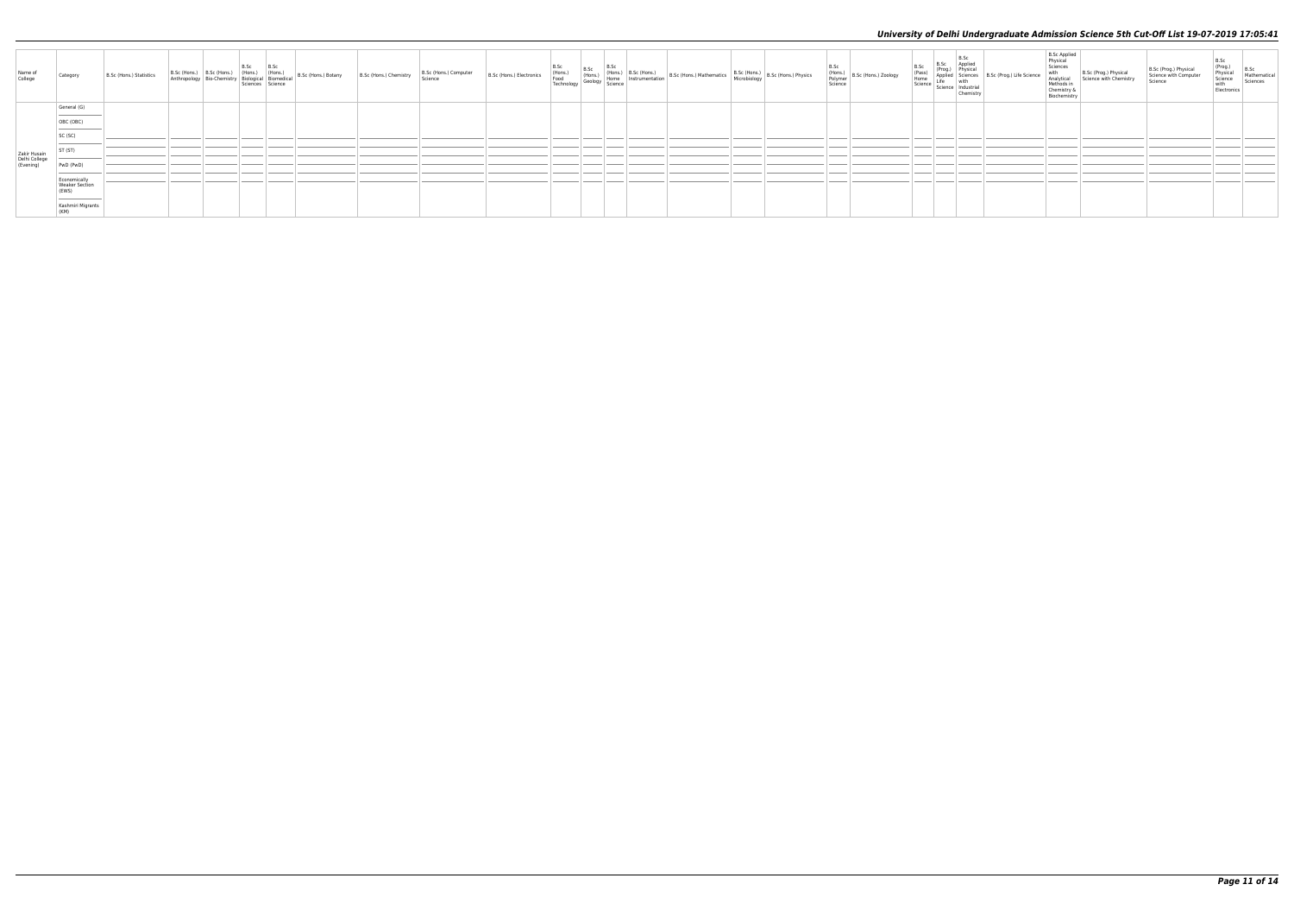| Name of<br>College                         | Category                                                                  | B.Sc (Hons.) Statistics | B.Sc (Hons.)<br>Anthropology | B.Sc (Hons.) B.Sc B.Sc (Hons.) (Hons.) (Hons.) (Hons.) (Hons.) (Hons.) (Bio-Chemistry Biological Biomedical Science |  | B.Sc (Hons.) Botany | B.Sc (Hons.) Chemistry | B.Sc (Hons.) Computer<br>Science | B.Sc (Hons.) Electronics | B.Sc<br>(Hons.)<br>Food<br>Technolog | B.Sc | B.Sc (Hons.) B.Sc (Hons.) B.Sc (Hons.) B.Sc (Hons.) Mathematics B.Sc (Hons.) B.Sc (Hons.) Physics<br>y Geology Science Strumentation B.Sc (Hons.) Mathematics Microbiology B.Sc (Hons.) Physics |  | B.Sc<br>(Hons.)<br>Polymer B.Sc (Hons.) Zoology<br>Science | B.Sc<br>(Pass)<br>Home<br>Science | B.Sc<br>Science<br>Appliec<br>Life with<br>Science Industria<br>Chemist | B.Sc Applied<br>Physical<br>Sciences<br>with<br>Analytical<br>Methods in<br>Chemistry &<br>Biochemistry | Science with Chemistry | Prog.) Physica<br>Science | B.Sc<br>(Prog.)<br>Physical<br>Science<br>B.Sc<br>Mathematical<br>Sciences<br>with<br>Electronics |
|--------------------------------------------|---------------------------------------------------------------------------|-------------------------|------------------------------|---------------------------------------------------------------------------------------------------------------------|--|---------------------|------------------------|----------------------------------|--------------------------|--------------------------------------|------|-------------------------------------------------------------------------------------------------------------------------------------------------------------------------------------------------|--|------------------------------------------------------------|-----------------------------------|-------------------------------------------------------------------------|---------------------------------------------------------------------------------------------------------|------------------------|---------------------------|---------------------------------------------------------------------------------------------------|
|                                            | General (G)<br>and the control of the control of the con-                 |                         |                              |                                                                                                                     |  |                     |                        |                                  |                          |                                      |      |                                                                                                                                                                                                 |  |                                                            |                                   |                                                                         |                                                                                                         |                        |                           |                                                                                                   |
|                                            | OBC (OBC)                                                                 |                         |                              |                                                                                                                     |  |                     |                        |                                  |                          |                                      |      |                                                                                                                                                                                                 |  |                                                            |                                   |                                                                         |                                                                                                         |                        |                           |                                                                                                   |
|                                            | and the control of the con-<br>SC (SC)                                    |                         |                              |                                                                                                                     |  |                     |                        |                                  |                          |                                      |      |                                                                                                                                                                                                 |  |                                                            |                                   |                                                                         |                                                                                                         |                        |                           |                                                                                                   |
|                                            | ST <sub>(ST)</sub>                                                        |                         |                              |                                                                                                                     |  |                     |                        |                                  |                          |                                      |      |                                                                                                                                                                                                 |  |                                                            |                                   |                                                                         |                                                                                                         |                        |                           |                                                                                                   |
| Zakir Husain<br>Delhi College<br>(Evening) | PwD (PwD)                                                                 |                         |                              |                                                                                                                     |  |                     |                        |                                  |                          |                                      |      |                                                                                                                                                                                                 |  |                                                            |                                   |                                                                         |                                                                                                         |                        |                           |                                                                                                   |
|                                            | Economically<br>Weaker Section<br>(EWS)                                   |                         |                              |                                                                                                                     |  |                     |                        |                                  |                          |                                      |      |                                                                                                                                                                                                 |  |                                                            |                                   |                                                                         |                                                                                                         |                        |                           |                                                                                                   |
|                                            | the control of the control of the control of<br>Kashmiri Migrants<br>(KM) |                         |                              |                                                                                                                     |  |                     |                        |                                  |                          |                                      |      |                                                                                                                                                                                                 |  |                                                            |                                   |                                                                         |                                                                                                         |                        |                           |                                                                                                   |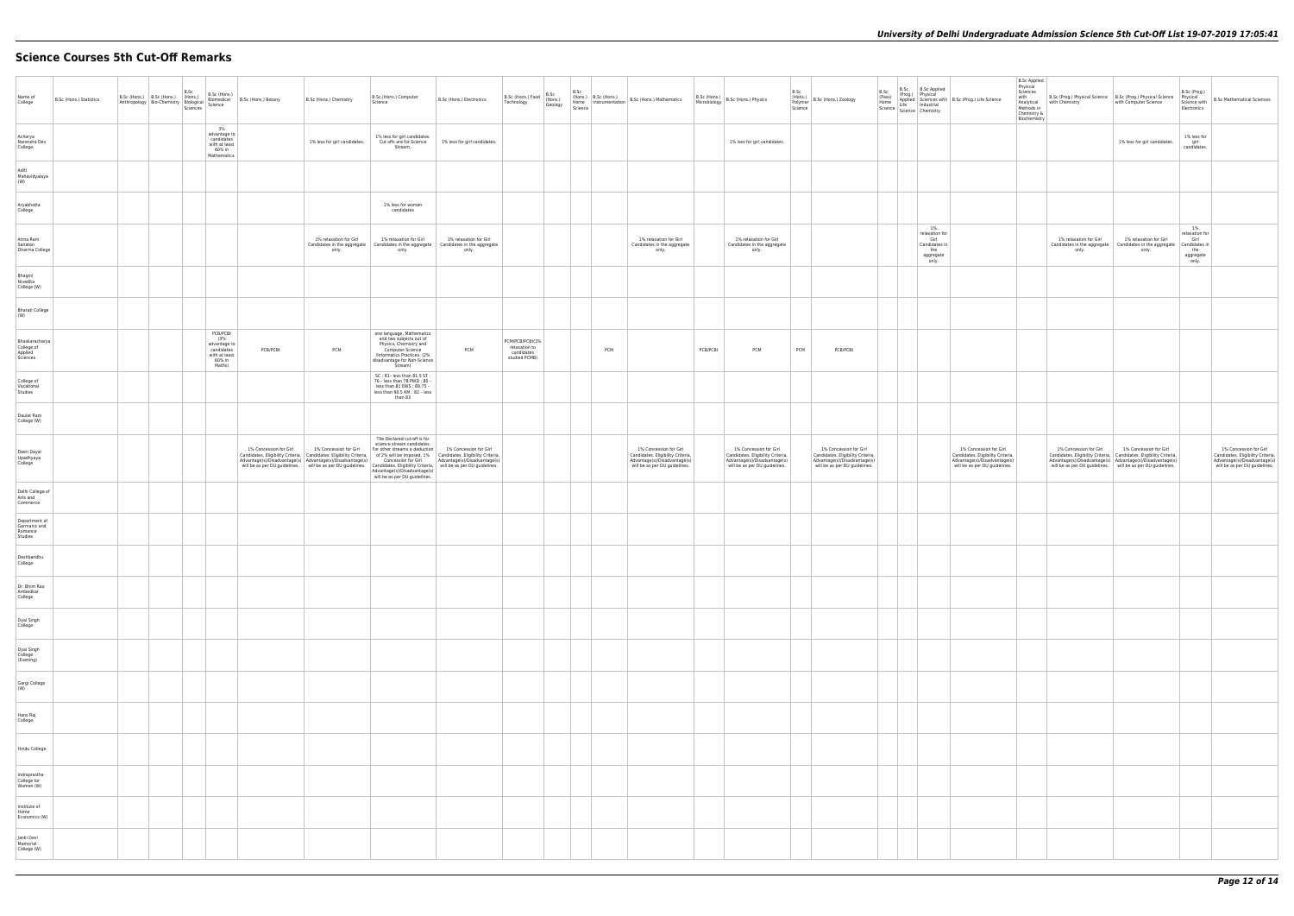# **Science Courses 5th Cut-Off Remarks**

| Name of<br>College                                  | B.Sc (Hons.) Statistics | B.Sc (Hons.) B.Sc (Hons.) (Hons.) | B.Sc | B.Sc (Hons.)                                                                       | Anthropology Bio-Chemistry Biological Biomedical B.Sc (Hons.) Botany<br>Anthropology Bio-Chemistry Biological Science                                                                                                                                                                                                                                                                                                                                                                     | B.Sc (Hons.) Chemistry          | B.Sc (Hons.) Computer<br>Science                                                                                                                                             | B.Sc (Hons.) Electronics        | $\Big $ B.Sc (Hons.) Food $\Big $ (Hons.)<br>Technology         | B.Sc<br>Geology |     | $\left  \begin{array}{cc} \text{Ric} & \text{Ric} \\ \text{Home} & \text{Instrumentation} \end{array} \right $ B.Sc (Hons.) Mathematics Science | Microbiology | $\left  \begin{array}{l} \text{B.Sc (Hons.)} \\ \text{N. C. L.1s} \\ \text{N. D.1s} \end{array} \right $ B.Sc (Hons.) Physics | B.Sc<br>(Hons.)<br>Polymer<br>Science | B.Sc (Hons.) Zoology                                                                                                         | $B.Sc$ $B.Sc$ $B.Sc$ Applied                                               | B.Sc (Prog.) Physical<br>(Phog.) Physical<br>Happled Science with B.Sc (Prog.) Life Science<br>Science Chemistry<br>Science Chemistry | <b>B.Sc Applied</b><br>Physical<br>Sciences<br>with<br>Chemistry &<br>Biochemistry | B.Sc (Prog.) Physical Science   B.Sc (Prog.) Physical Science<br>Analytical with Chemistry<br>Methods in                                                                                                                                                 | with Computer Science           |
|-----------------------------------------------------|-------------------------|-----------------------------------|------|------------------------------------------------------------------------------------|-------------------------------------------------------------------------------------------------------------------------------------------------------------------------------------------------------------------------------------------------------------------------------------------------------------------------------------------------------------------------------------------------------------------------------------------------------------------------------------------|---------------------------------|------------------------------------------------------------------------------------------------------------------------------------------------------------------------------|---------------------------------|-----------------------------------------------------------------|-----------------|-----|-------------------------------------------------------------------------------------------------------------------------------------------------|--------------|-------------------------------------------------------------------------------------------------------------------------------|---------------------------------------|------------------------------------------------------------------------------------------------------------------------------|----------------------------------------------------------------------------|---------------------------------------------------------------------------------------------------------------------------------------|------------------------------------------------------------------------------------|----------------------------------------------------------------------------------------------------------------------------------------------------------------------------------------------------------------------------------------------------------|---------------------------------|
| Acharya<br>Narendra Dev<br>College                  |                         |                                   |      | 3%<br>advantage to<br>candidates<br>with at least<br>60% in<br>Mathematics.        |                                                                                                                                                                                                                                                                                                                                                                                                                                                                                           | 1% less for girl candidates.    | 1% less for girl candidates.<br>Cut offs are for Science<br>Stream.                                                                                                          | 1% less for girl candidates.    |                                                                 |                 |     |                                                                                                                                                 |              | 1% less for girl candidates.                                                                                                  |                                       |                                                                                                                              |                                                                            |                                                                                                                                       |                                                                                    |                                                                                                                                                                                                                                                          | 1% less for girl candidates     |
| Aditi<br>Mahavidyalaya<br>(W)                       |                         |                                   |      |                                                                                    |                                                                                                                                                                                                                                                                                                                                                                                                                                                                                           |                                 |                                                                                                                                                                              |                                 |                                                                 |                 |     |                                                                                                                                                 |              |                                                                                                                               |                                       |                                                                                                                              |                                                                            |                                                                                                                                       |                                                                                    |                                                                                                                                                                                                                                                          |                                 |
| Aryabhatta<br>College                               |                         |                                   |      |                                                                                    |                                                                                                                                                                                                                                                                                                                                                                                                                                                                                           |                                 | 1% less for women<br>candidates                                                                                                                                              |                                 |                                                                 |                 |     |                                                                                                                                                 |              |                                                                                                                               |                                       |                                                                                                                              |                                                                            |                                                                                                                                       |                                                                                    |                                                                                                                                                                                                                                                          |                                 |
| Atma Ram<br>Sanatan<br>Dharma College               |                         |                                   |      |                                                                                    |                                                                                                                                                                                                                                                                                                                                                                                                                                                                                           | 1% relaxation for Girl<br>only. | 1% relaxation for Girl<br>Candidates in the aggregate   Candidates in the aggregate   Candidates in the aggregate<br>only.                                                   | 1% relaxation for Girl<br>only. |                                                                 |                 |     | 1% relaxation for Girl<br>Candidates in the aggregate<br>only.                                                                                  |              | 1% relaxation for Girl<br>Candidates in the aggregate<br>only.                                                                |                                       |                                                                                                                              | 1%<br>relaxation for<br>Girl<br>Candidates in<br>the<br>aggregate<br>only. |                                                                                                                                       |                                                                                    | 1% relaxation for Girl<br>Candidates in the aggregate   Candidates in the aggregat<br>only.                                                                                                                                                              | 1% relaxation for Girl<br>only. |
| Bhagini<br>Nivedita<br>College (W)                  |                         |                                   |      |                                                                                    |                                                                                                                                                                                                                                                                                                                                                                                                                                                                                           |                                 |                                                                                                                                                                              |                                 |                                                                 |                 |     |                                                                                                                                                 |              |                                                                                                                               |                                       |                                                                                                                              |                                                                            |                                                                                                                                       |                                                                                    |                                                                                                                                                                                                                                                          |                                 |
| <b>Bharati College</b><br>(W)                       |                         |                                   |      |                                                                                    |                                                                                                                                                                                                                                                                                                                                                                                                                                                                                           |                                 |                                                                                                                                                                              |                                 |                                                                 |                 |     |                                                                                                                                                 |              |                                                                                                                               |                                       |                                                                                                                              |                                                                            |                                                                                                                                       |                                                                                    |                                                                                                                                                                                                                                                          |                                 |
| Bhaskaracharya<br>College of<br>Applied<br>Sciences |                         |                                   |      | PCB/PCBt<br>(3%<br>advantage to<br>candidates<br>with at least<br>60% in<br>Maths) | PCB/PCBt                                                                                                                                                                                                                                                                                                                                                                                                                                                                                  | PCM                             | one language, Mathematics<br>and two subjects out of<br>Physics, Chemistry and<br>Computer Science<br>/Informatics Practices. (2%<br>disadvantage for Non-Science<br>Stream) | PCM                             | PCM/PCB/PCBt(3%<br>relaxation to<br>candidates<br>studied PCMB) |                 | PCM |                                                                                                                                                 | PCB/PCBt     | PCM                                                                                                                           | PCM                                   | PCB/PCBt                                                                                                                     |                                                                            |                                                                                                                                       |                                                                                    |                                                                                                                                                                                                                                                          |                                 |
| College of<br>Vocational<br>Studies                 |                         |                                   |      |                                                                                    |                                                                                                                                                                                                                                                                                                                                                                                                                                                                                           |                                 | SC: 81-less than 81.5 ST:<br>76 - less than 78 PWD : 80 -<br>less than 81 EWS: 89.75 -<br>less than 90.5 KM : 82 - less<br>than 83                                           |                                 |                                                                 |                 |     |                                                                                                                                                 |              |                                                                                                                               |                                       |                                                                                                                              |                                                                            |                                                                                                                                       |                                                                                    |                                                                                                                                                                                                                                                          |                                 |
| Daulat Ram<br>College (W)                           |                         |                                   |      |                                                                                    |                                                                                                                                                                                                                                                                                                                                                                                                                                                                                           |                                 |                                                                                                                                                                              |                                 |                                                                 |                 |     |                                                                                                                                                 |              |                                                                                                                               |                                       |                                                                                                                              |                                                                            |                                                                                                                                       |                                                                                    |                                                                                                                                                                                                                                                          |                                 |
| Deen Dayal<br>Upadhyaya<br>College                  |                         |                                   |      |                                                                                    | 1% Concession for Girl<br>Candidates. Eligibility Criteria, Candidates. Eligibility Criteria, of 2% will be imposed. 1% Candidates. Eligibility Criteria, Advantage(s)/Disadvantage(s) Advantage(s) Advantage(s) Concession for Girl Advantage(s)/Disadv<br>will be as per DU guidelines. Will be as per DU guidelines. Candidates. Eligibility Criteria, will be as per DU guidelines.<br>Advantage(5)/Disadvantage(5)<br>will be as per DU guidelines.<br>Will be as per DU guidelines. | 1% Concession for Girl          | The Declared cut-off is for<br>science stream candidates.<br>For other streams a deduction                                                                                   | 1% Concession for Girl          |                                                                 |                 |     | 1% Concession for Girl<br>Candidates. Eligibility Criteria,<br>Advantage(s)/Disadvantage(s)<br>will be as per DU guidelines.                    |              | 1% Concession for Girl<br>Candidates. Eligibility Criteria,<br>Advantage(s)/Disadvantage(s)<br>will be as per DU guidelines.  |                                       | 1% Concession for Girl<br>Candidates. Eligibility Criteria,<br>Advantage(s)/Disadvantage(s)<br>will be as per DU guidelines. |                                                                            | 1% Concession for Girl<br>Candidates. Eligibility Criteria,<br>Advantage(s)/Disadvantage(s)<br>will be as per DU guidelines.          |                                                                                    | 1% Concession for Girl<br>r andidates. Eligibility Criteria, Candidates. Eligibility Criteria, Candidates. Eligibility Criteria, Candidates. Eligibility Criteria, Candidates. Eligibility Criteria, Candidates. Eligibility Criteria, Candidates. Eligi | 1% Concession for Girl          |
| Delhi College of<br>Arts and<br>Commerce            |                         |                                   |      |                                                                                    |                                                                                                                                                                                                                                                                                                                                                                                                                                                                                           |                                 |                                                                                                                                                                              |                                 |                                                                 |                 |     |                                                                                                                                                 |              |                                                                                                                               |                                       |                                                                                                                              |                                                                            |                                                                                                                                       |                                                                                    |                                                                                                                                                                                                                                                          |                                 |
| Department of<br>Germanic and<br>Romance<br>Studies |                         |                                   |      |                                                                                    |                                                                                                                                                                                                                                                                                                                                                                                                                                                                                           |                                 |                                                                                                                                                                              |                                 |                                                                 |                 |     |                                                                                                                                                 |              |                                                                                                                               |                                       |                                                                                                                              |                                                                            |                                                                                                                                       |                                                                                    |                                                                                                                                                                                                                                                          |                                 |
| Deshbandhu<br>College                               |                         |                                   |      |                                                                                    |                                                                                                                                                                                                                                                                                                                                                                                                                                                                                           |                                 |                                                                                                                                                                              |                                 |                                                                 |                 |     |                                                                                                                                                 |              |                                                                                                                               |                                       |                                                                                                                              |                                                                            |                                                                                                                                       |                                                                                    |                                                                                                                                                                                                                                                          |                                 |
| Dr. Bhim Rao<br>Ambedkar<br>College                 |                         |                                   |      |                                                                                    |                                                                                                                                                                                                                                                                                                                                                                                                                                                                                           |                                 |                                                                                                                                                                              |                                 |                                                                 |                 |     |                                                                                                                                                 |              |                                                                                                                               |                                       |                                                                                                                              |                                                                            |                                                                                                                                       |                                                                                    |                                                                                                                                                                                                                                                          |                                 |
| Dyal Singh<br>College                               |                         |                                   |      |                                                                                    |                                                                                                                                                                                                                                                                                                                                                                                                                                                                                           |                                 |                                                                                                                                                                              |                                 |                                                                 |                 |     |                                                                                                                                                 |              |                                                                                                                               |                                       |                                                                                                                              |                                                                            |                                                                                                                                       |                                                                                    |                                                                                                                                                                                                                                                          |                                 |
| Dyal Singh<br>College<br>(Evening)                  |                         |                                   |      |                                                                                    |                                                                                                                                                                                                                                                                                                                                                                                                                                                                                           |                                 |                                                                                                                                                                              |                                 |                                                                 |                 |     |                                                                                                                                                 |              |                                                                                                                               |                                       |                                                                                                                              |                                                                            |                                                                                                                                       |                                                                                    |                                                                                                                                                                                                                                                          |                                 |
| Gargi College<br>(W)                                |                         |                                   |      |                                                                                    |                                                                                                                                                                                                                                                                                                                                                                                                                                                                                           |                                 |                                                                                                                                                                              |                                 |                                                                 |                 |     |                                                                                                                                                 |              |                                                                                                                               |                                       |                                                                                                                              |                                                                            |                                                                                                                                       |                                                                                    |                                                                                                                                                                                                                                                          |                                 |
| Hans Raj<br>College                                 |                         |                                   |      |                                                                                    |                                                                                                                                                                                                                                                                                                                                                                                                                                                                                           |                                 |                                                                                                                                                                              |                                 |                                                                 |                 |     |                                                                                                                                                 |              |                                                                                                                               |                                       |                                                                                                                              |                                                                            |                                                                                                                                       |                                                                                    |                                                                                                                                                                                                                                                          |                                 |
| Hindu College                                       |                         |                                   |      |                                                                                    |                                                                                                                                                                                                                                                                                                                                                                                                                                                                                           |                                 |                                                                                                                                                                              |                                 |                                                                 |                 |     |                                                                                                                                                 |              |                                                                                                                               |                                       |                                                                                                                              |                                                                            |                                                                                                                                       |                                                                                    |                                                                                                                                                                                                                                                          |                                 |
| Indraprastha<br>College for<br>Women (W)            |                         |                                   |      |                                                                                    |                                                                                                                                                                                                                                                                                                                                                                                                                                                                                           |                                 |                                                                                                                                                                              |                                 |                                                                 |                 |     |                                                                                                                                                 |              |                                                                                                                               |                                       |                                                                                                                              |                                                                            |                                                                                                                                       |                                                                                    |                                                                                                                                                                                                                                                          |                                 |
| Institute of<br>Home<br>Economics (W)               |                         |                                   |      |                                                                                    |                                                                                                                                                                                                                                                                                                                                                                                                                                                                                           |                                 |                                                                                                                                                                              |                                 |                                                                 |                 |     |                                                                                                                                                 |              |                                                                                                                               |                                       |                                                                                                                              |                                                                            |                                                                                                                                       |                                                                                    |                                                                                                                                                                                                                                                          |                                 |
| Janki Devi<br>Memorial<br>College (W)               |                         |                                   |      |                                                                                    |                                                                                                                                                                                                                                                                                                                                                                                                                                                                                           |                                 |                                                                                                                                                                              |                                 |                                                                 |                 |     |                                                                                                                                                 |              |                                                                                                                               |                                       |                                                                                                                              |                                                                            |                                                                                                                                       |                                                                                    |                                                                                                                                                                                                                                                          |                                 |

| B.Sc (Prog.) Life Science                                                                                                    | <b>B.Sc Applied</b><br>Physical<br>Sciences<br>with<br>Analytical<br>Methods in<br>Chemistry &<br>Biochemistry | B.Sc (Prog.) Physical Science<br>with Chemistry                                                                              | B.Sc (Prog.) Physical Science<br>with Computer Science                                                                       | B.Sc (Prog.)<br>Physical<br>Science with<br>Electronics                       | <b>B.Sc Mathematical Sciences</b>                                                                                            |
|------------------------------------------------------------------------------------------------------------------------------|----------------------------------------------------------------------------------------------------------------|------------------------------------------------------------------------------------------------------------------------------|------------------------------------------------------------------------------------------------------------------------------|-------------------------------------------------------------------------------|------------------------------------------------------------------------------------------------------------------------------|
|                                                                                                                              |                                                                                                                |                                                                                                                              | 1% less for girl candidates.                                                                                                 | 1% less for<br>girl<br>candidates.                                            |                                                                                                                              |
|                                                                                                                              |                                                                                                                |                                                                                                                              |                                                                                                                              |                                                                               |                                                                                                                              |
|                                                                                                                              |                                                                                                                |                                                                                                                              |                                                                                                                              |                                                                               |                                                                                                                              |
|                                                                                                                              |                                                                                                                | 1% relaxation for Girl<br>Candidates in the aggregate<br>only.                                                               | 1% relaxation for Girl<br>Candidates in the aggregate<br>only.                                                               | $1\%$<br>relaxation for<br>Girl<br>Candidates in<br>the<br>aggregate<br>only. |                                                                                                                              |
|                                                                                                                              |                                                                                                                |                                                                                                                              |                                                                                                                              |                                                                               |                                                                                                                              |
|                                                                                                                              |                                                                                                                |                                                                                                                              |                                                                                                                              |                                                                               |                                                                                                                              |
|                                                                                                                              |                                                                                                                |                                                                                                                              |                                                                                                                              |                                                                               |                                                                                                                              |
|                                                                                                                              |                                                                                                                |                                                                                                                              |                                                                                                                              |                                                                               |                                                                                                                              |
|                                                                                                                              |                                                                                                                |                                                                                                                              |                                                                                                                              |                                                                               |                                                                                                                              |
| 1% Concession for Girl<br>Candidates. Eligibility Criteria,<br>Advantage(s)/Disadvantage(s)<br>will be as per DU guidelines. |                                                                                                                | 1% Concession for Girl<br>Candidates. Eligibility Criteria,<br>Advantage(s)/Disadvantage(s)<br>will be as per DU guidelines. | 1% Concession for Girl<br>Candidates. Eligibility Criteria,<br>Advantage(s)/Disadvantage(s)<br>will be as per DU guidelines. |                                                                               | 1% Concession for Girl<br>Candidates. Eligibility Criteria,<br>Advantage(s)/Disadvantage(s)<br>will be as per DU guidelines. |
|                                                                                                                              |                                                                                                                |                                                                                                                              |                                                                                                                              |                                                                               |                                                                                                                              |
|                                                                                                                              |                                                                                                                |                                                                                                                              |                                                                                                                              |                                                                               |                                                                                                                              |
|                                                                                                                              |                                                                                                                |                                                                                                                              |                                                                                                                              |                                                                               |                                                                                                                              |
|                                                                                                                              |                                                                                                                |                                                                                                                              |                                                                                                                              |                                                                               |                                                                                                                              |
|                                                                                                                              |                                                                                                                |                                                                                                                              |                                                                                                                              |                                                                               |                                                                                                                              |
|                                                                                                                              |                                                                                                                |                                                                                                                              |                                                                                                                              |                                                                               |                                                                                                                              |
|                                                                                                                              |                                                                                                                |                                                                                                                              |                                                                                                                              |                                                                               |                                                                                                                              |
|                                                                                                                              |                                                                                                                |                                                                                                                              |                                                                                                                              |                                                                               |                                                                                                                              |
|                                                                                                                              |                                                                                                                |                                                                                                                              |                                                                                                                              |                                                                               |                                                                                                                              |
|                                                                                                                              |                                                                                                                |                                                                                                                              |                                                                                                                              |                                                                               |                                                                                                                              |
|                                                                                                                              |                                                                                                                |                                                                                                                              |                                                                                                                              |                                                                               |                                                                                                                              |
|                                                                                                                              |                                                                                                                |                                                                                                                              |                                                                                                                              |                                                                               |                                                                                                                              |
|                                                                                                                              |                                                                                                                |                                                                                                                              |                                                                                                                              |                                                                               |                                                                                                                              |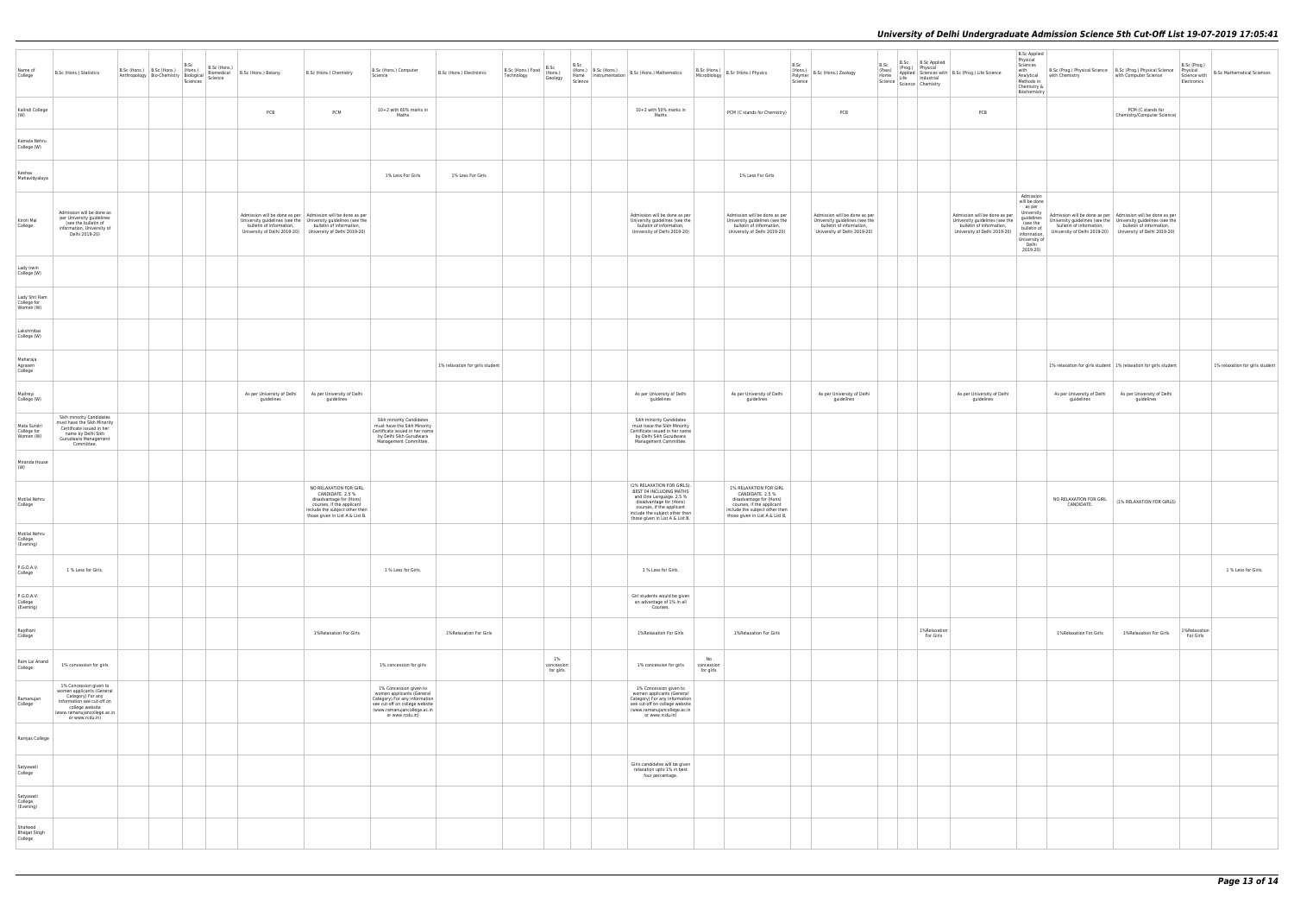| Name of<br>College                        | B.Sc (Hons.) Statistics                                                                                                                                                     |  | B.Sc (Hons.) B.Sc (Hons.) B.Sc (Hons.) B.Sc (Hons.) B.Sc (Hons.) B.Sc (Hons.) B.Sc (Hons.) Botany Bio-Chemistry Biological Biomedical B.Sc (Hons.) Botany Sciences Science |                                                                                                                                                | B.Sc (Hons.) Chemistry                                                                                                                                                  | B.Sc (Hons.) Computer<br>Science                                                                                                                                         | B.Sc (Hons.) Electronics        | B.Sc (Hons.) Food B.Sc<br>Technology (Hons.)<br>Technology | Geology                       | B.Sc<br>(Hons.) B.Sc (Hons.)<br>Science | Home   $\left  \begin{array}{c} 1.161337 \\ 1.000081 \end{array} \right $ B.Sc (Hons.) Mathematics                                                                                                            | B.Sc (Hons.)<br>Microbiology B.Sc (Hons.) Physics                                                                                                                       | B.Sc<br>(Hons.)<br>Polymer<br>Science | B.Sc (Hons.) Zoology                                                                                                        | B.Sc<br>(Pass)<br>Home | (Prog.) Physical | B.Sc B.Sc Applied<br>Applied Sciences with B.Sc (Prog.) Life Science<br>Life Industrial<br>Science Science Chemistry        | <b>B.Sc Applied</b><br>Physical<br>Sciences<br>with<br>Analytical<br>Methods in<br>Chemistry &<br>Biochemistry                                   | with Chemistry                                                                                                                                                                                                                                   | B.Sc (Prog.) Physical Science B.Sc (Prog.) Physical Science Physical<br>with Computer Science | B.Sc (Prog.)<br>Electronics | Science with   B.Sc Mathematical Sciences |
|-------------------------------------------|-----------------------------------------------------------------------------------------------------------------------------------------------------------------------------|--|----------------------------------------------------------------------------------------------------------------------------------------------------------------------------|------------------------------------------------------------------------------------------------------------------------------------------------|-------------------------------------------------------------------------------------------------------------------------------------------------------------------------|--------------------------------------------------------------------------------------------------------------------------------------------------------------------------|---------------------------------|------------------------------------------------------------|-------------------------------|-----------------------------------------|---------------------------------------------------------------------------------------------------------------------------------------------------------------------------------------------------------------|-------------------------------------------------------------------------------------------------------------------------------------------------------------------------|---------------------------------------|-----------------------------------------------------------------------------------------------------------------------------|------------------------|------------------|-----------------------------------------------------------------------------------------------------------------------------|--------------------------------------------------------------------------------------------------------------------------------------------------|--------------------------------------------------------------------------------------------------------------------------------------------------------------------------------------------------------------------------------------------------|-----------------------------------------------------------------------------------------------|-----------------------------|-------------------------------------------|
| Kalindi College<br>(W)                    |                                                                                                                                                                             |  |                                                                                                                                                                            | PCB                                                                                                                                            | PCM                                                                                                                                                                     | 10+2 with 60% marks in<br>Maths                                                                                                                                          |                                 |                                                            |                               |                                         | 10+2 with 50% marks in<br>Maths                                                                                                                                                                               | PCM (C stands for Chemistry)                                                                                                                                            |                                       | PCB                                                                                                                         |                        |                  | PCB                                                                                                                         |                                                                                                                                                  |                                                                                                                                                                                                                                                  | PCM (C stands for<br>Chemistry/Computer Science)                                              |                             |                                           |
| Kamala Nehru<br>College (W)               |                                                                                                                                                                             |  |                                                                                                                                                                            |                                                                                                                                                |                                                                                                                                                                         |                                                                                                                                                                          |                                 |                                                            |                               |                                         |                                                                                                                                                                                                               |                                                                                                                                                                         |                                       |                                                                                                                             |                        |                  |                                                                                                                             |                                                                                                                                                  |                                                                                                                                                                                                                                                  |                                                                                               |                             |                                           |
| Keshav<br>Mahavidyalaya                   |                                                                                                                                                                             |  |                                                                                                                                                                            |                                                                                                                                                |                                                                                                                                                                         | 1% Less For Girls                                                                                                                                                        | 1% Less For Girls               |                                                            |                               |                                         |                                                                                                                                                                                                               | 1% Less For Girls                                                                                                                                                       |                                       |                                                                                                                             |                        |                  |                                                                                                                             |                                                                                                                                                  |                                                                                                                                                                                                                                                  |                                                                                               |                             |                                           |
| Kirori Mal<br>College                     | Admission will be done as<br>per University guidelines<br>(see the bulletin of<br>information, University of<br>Delhi 2019-20)                                              |  |                                                                                                                                                                            | $\begin{tabular}{p{0.8cm}} Admission will be done as per \\ University guidelines (see the \\ University guidelines (see the \\ \end{tabular}$ | bulletin of information, bulletin of information,<br>University of Delhi 2019-20) University of Delhi 2019-20)                                                          |                                                                                                                                                                          |                                 |                                                            |                               |                                         | Admission will be done as per<br>University guidelines (see the<br>bulletin of information,<br>University of Delhi 2019-20)                                                                                   | Admission will be done as per<br>University guidelines (see the<br>bulletin of information,<br>University of Delhi 2019-20)                                             |                                       | Admission will be done as per<br>University guidelines (see the<br>bulletin of information,<br>University of Delhi 2019-20) |                        |                  | Admission will be done as per<br>University guidelines (see the<br>bulletin of information,<br>University of Delhi 2019-20) | Admission<br>will be done<br>as per<br>University<br>guidelines<br>(see the<br>bulletin of<br>information,<br>University of<br>Delhi<br>2019-20) | Admission will be done as per   Admission will be done as per<br>University guidelines (see the University guidelines (see the<br>bulletin of information, bulletin of information,<br>University of Delhi 2019-20) University of Delhi 2019-20) |                                                                                               |                             |                                           |
| Lady Irwin<br>College (W)                 |                                                                                                                                                                             |  |                                                                                                                                                                            |                                                                                                                                                |                                                                                                                                                                         |                                                                                                                                                                          |                                 |                                                            |                               |                                         |                                                                                                                                                                                                               |                                                                                                                                                                         |                                       |                                                                                                                             |                        |                  |                                                                                                                             |                                                                                                                                                  |                                                                                                                                                                                                                                                  |                                                                                               |                             |                                           |
| Lady Shri Ram<br>College for<br>Women (W) |                                                                                                                                                                             |  |                                                                                                                                                                            |                                                                                                                                                |                                                                                                                                                                         |                                                                                                                                                                          |                                 |                                                            |                               |                                         |                                                                                                                                                                                                               |                                                                                                                                                                         |                                       |                                                                                                                             |                        |                  |                                                                                                                             |                                                                                                                                                  |                                                                                                                                                                                                                                                  |                                                                                               |                             |                                           |
| Lakshmibai<br>College (W)                 |                                                                                                                                                                             |  |                                                                                                                                                                            |                                                                                                                                                |                                                                                                                                                                         |                                                                                                                                                                          |                                 |                                                            |                               |                                         |                                                                                                                                                                                                               |                                                                                                                                                                         |                                       |                                                                                                                             |                        |                  |                                                                                                                             |                                                                                                                                                  |                                                                                                                                                                                                                                                  |                                                                                               |                             |                                           |
| Maharaja<br>Agrasen<br>College            |                                                                                                                                                                             |  |                                                                                                                                                                            |                                                                                                                                                |                                                                                                                                                                         |                                                                                                                                                                          | 1% relaxation for girls student |                                                            |                               |                                         |                                                                                                                                                                                                               |                                                                                                                                                                         |                                       |                                                                                                                             |                        |                  |                                                                                                                             |                                                                                                                                                  | 1% relaxation for girls student 1% relaxation for girls student                                                                                                                                                                                  |                                                                                               |                             | 1% relaxation for girls student           |
| Maitreyi<br>College (W)                   |                                                                                                                                                                             |  |                                                                                                                                                                            | As per University of Delhi<br>guidelines                                                                                                       | As per University of Delhi<br>guidelines                                                                                                                                |                                                                                                                                                                          |                                 |                                                            |                               |                                         | As per University of Delhi<br>guidelines                                                                                                                                                                      | As per University of Delhi<br>guidelines                                                                                                                                |                                       | As per University of Delhi<br>guidelines                                                                                    |                        |                  | As per University of Delhi<br>guidelines                                                                                    |                                                                                                                                                  | As per University of Delhi<br>guidelines                                                                                                                                                                                                         | As per University of Delhi<br>guidelines                                                      |                             |                                           |
| Mata Sundri<br>College for<br>Women (W)   | Sikh minority Candidates<br>must have the Sikh Minority<br>Certificate issued in her<br>name by Delhi Sikh<br>Gurudwara Management<br>Committee.                            |  |                                                                                                                                                                            |                                                                                                                                                |                                                                                                                                                                         | Sikh minority Candidates<br>must have the Sikh Minority<br>Certificate issued in her name<br>by Delhi Sikh Gurudwara<br>Management Committee.                            |                                 |                                                            |                               |                                         | Sikh minority Candidates<br>must have the Sikh Minority<br>Certificate issued in her name<br>by Delhi Sikh Gurudwara<br>Management Committee.                                                                 |                                                                                                                                                                         |                                       |                                                                                                                             |                        |                  |                                                                                                                             |                                                                                                                                                  |                                                                                                                                                                                                                                                  |                                                                                               |                             |                                           |
| Miranda House<br>(W)                      |                                                                                                                                                                             |  |                                                                                                                                                                            |                                                                                                                                                |                                                                                                                                                                         |                                                                                                                                                                          |                                 |                                                            |                               |                                         |                                                                                                                                                                                                               |                                                                                                                                                                         |                                       |                                                                                                                             |                        |                  |                                                                                                                             |                                                                                                                                                  |                                                                                                                                                                                                                                                  |                                                                                               |                             |                                           |
| Motilal Nehru<br>College                  |                                                                                                                                                                             |  |                                                                                                                                                                            |                                                                                                                                                | NO RELAXATION FOR GIRL<br>CANDIDATE. 2.5 %<br>disadvantage for (Hons)<br>courses, if the applicant<br>include the subject other then<br>those given in List A & List B. |                                                                                                                                                                          |                                 |                                                            |                               |                                         | (1% RELAXATION FOR GIRLS).<br>BEST 04 INCLUDING MATHS<br>and One Language. 2.5 %<br>disadvantage for (Hons)<br>courses, if the applicant<br>include the subject other then<br>those given in List A & List B. | 1% RELAXATION FOR GIRL<br>CANDIDATE. 2.5 %<br>disadvantage for (Hons)<br>courses, if the applicant<br>include the subject other then<br>those given in List A & List B. |                                       |                                                                                                                             |                        |                  |                                                                                                                             |                                                                                                                                                  | NO RELAXATION FOR GIRL (1% RELAXATION FOR GIRLS)                                                                                                                                                                                                 |                                                                                               |                             |                                           |
| Motilal Nehru<br>College<br>(Evening)     |                                                                                                                                                                             |  |                                                                                                                                                                            |                                                                                                                                                |                                                                                                                                                                         |                                                                                                                                                                          |                                 |                                                            |                               |                                         |                                                                                                                                                                                                               |                                                                                                                                                                         |                                       |                                                                                                                             |                        |                  |                                                                                                                             |                                                                                                                                                  |                                                                                                                                                                                                                                                  |                                                                                               |                             |                                           |
| P.G.D.A.V.<br>College                     | 1 % Less for Girls.                                                                                                                                                         |  |                                                                                                                                                                            |                                                                                                                                                |                                                                                                                                                                         | 1 % Less for Girls.                                                                                                                                                      |                                 |                                                            |                               |                                         | 1 % Less for Girls.                                                                                                                                                                                           |                                                                                                                                                                         |                                       |                                                                                                                             |                        |                  |                                                                                                                             |                                                                                                                                                  |                                                                                                                                                                                                                                                  |                                                                                               |                             | 1 % Less for Girls.                       |
| P.G.D.A.V.<br>College<br>(Evening)        |                                                                                                                                                                             |  |                                                                                                                                                                            |                                                                                                                                                |                                                                                                                                                                         |                                                                                                                                                                          |                                 |                                                            |                               |                                         | Girl students would be given<br>an advantage of 1% in all<br>Courses.                                                                                                                                         |                                                                                                                                                                         |                                       |                                                                                                                             |                        |                  |                                                                                                                             |                                                                                                                                                  |                                                                                                                                                                                                                                                  |                                                                                               |                             |                                           |
| Rajdhani<br>College                       |                                                                                                                                                                             |  |                                                                                                                                                                            |                                                                                                                                                | 1%Relaxation For Girls                                                                                                                                                  |                                                                                                                                                                          | 1%Relaxation For Girls          |                                                            |                               |                                         | 1%Relaxation For Girls                                                                                                                                                                                        | 1%Relaxation For Girls                                                                                                                                                  |                                       |                                                                                                                             |                        |                  | 1%Relaxation<br>For Girls                                                                                                   |                                                                                                                                                  | 1%Relaxation For Girls                                                                                                                                                                                                                           | 1%Relaxation For Girls                                                                        | 1%Relaxation<br>For Girls   |                                           |
| Ram Lal Anand<br>College                  | 1% concession for girls                                                                                                                                                     |  |                                                                                                                                                                            |                                                                                                                                                |                                                                                                                                                                         | 1% concession for girls                                                                                                                                                  |                                 |                                                            | 1%<br>concession<br>for girls |                                         | 1% concession for girls                                                                                                                                                                                       | No<br>concession<br>for girls                                                                                                                                           |                                       |                                                                                                                             |                        |                  |                                                                                                                             |                                                                                                                                                  |                                                                                                                                                                                                                                                  |                                                                                               |                             |                                           |
| Ramanujan<br>College                      | 1% Concession given to<br>women applicants (General<br>Category) For any<br>information see cut-off on<br>college website<br>(www.ramanujancollege.ac.in<br>or www.rcdu.in) |  |                                                                                                                                                                            |                                                                                                                                                |                                                                                                                                                                         | 1% Concession given to<br>women applicants (General<br>Category) For any information<br>see cut-off on college website<br>(www.ramanujancollege.ac.in<br>or www.rcdu.in) |                                 |                                                            |                               |                                         | 1% Concession given to<br>women applicants (General<br>Category) For any information<br>see cut-off on college website<br>(www.ramanujancollege.ac.in<br>or www.rcdu.in)                                      |                                                                                                                                                                         |                                       |                                                                                                                             |                        |                  |                                                                                                                             |                                                                                                                                                  |                                                                                                                                                                                                                                                  |                                                                                               |                             |                                           |
| Ramjas College                            |                                                                                                                                                                             |  |                                                                                                                                                                            |                                                                                                                                                |                                                                                                                                                                         |                                                                                                                                                                          |                                 |                                                            |                               |                                         |                                                                                                                                                                                                               |                                                                                                                                                                         |                                       |                                                                                                                             |                        |                  |                                                                                                                             |                                                                                                                                                  |                                                                                                                                                                                                                                                  |                                                                                               |                             |                                           |
| Satyawati<br>College                      |                                                                                                                                                                             |  |                                                                                                                                                                            |                                                                                                                                                |                                                                                                                                                                         |                                                                                                                                                                          |                                 |                                                            |                               |                                         | Girls candidates will be given<br>relaxation upto 1% in best<br>four percentage.                                                                                                                              |                                                                                                                                                                         |                                       |                                                                                                                             |                        |                  |                                                                                                                             |                                                                                                                                                  |                                                                                                                                                                                                                                                  |                                                                                               |                             |                                           |
| Satyawati<br>College<br>(Evening)         |                                                                                                                                                                             |  |                                                                                                                                                                            |                                                                                                                                                |                                                                                                                                                                         |                                                                                                                                                                          |                                 |                                                            |                               |                                         |                                                                                                                                                                                                               |                                                                                                                                                                         |                                       |                                                                                                                             |                        |                  |                                                                                                                             |                                                                                                                                                  |                                                                                                                                                                                                                                                  |                                                                                               |                             |                                           |
| Shaheed<br><b>Bhagat Singh</b><br>College |                                                                                                                                                                             |  |                                                                                                                                                                            |                                                                                                                                                |                                                                                                                                                                         |                                                                                                                                                                          |                                 |                                                            |                               |                                         |                                                                                                                                                                                                               |                                                                                                                                                                         |                                       |                                                                                                                             |                        |                  |                                                                                                                             |                                                                                                                                                  |                                                                                                                                                                                                                                                  |                                                                                               |                             |                                           |